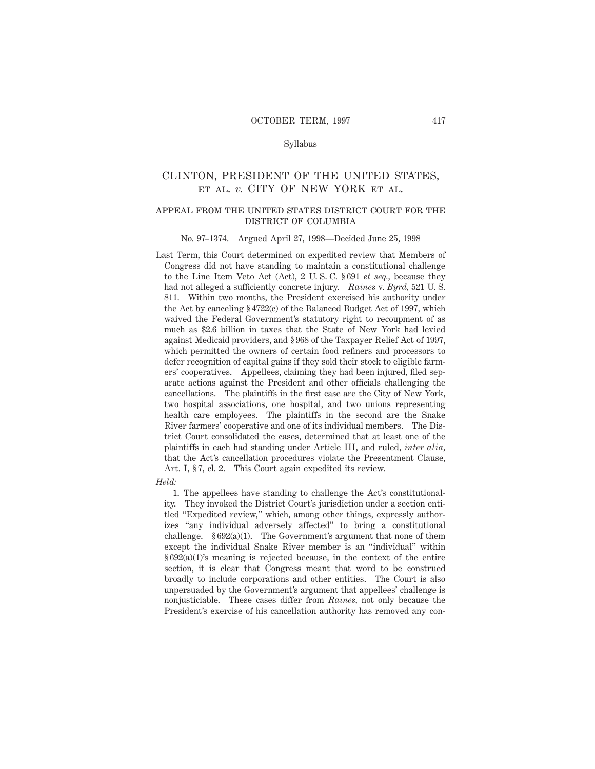### Syllabus

# CLINTON, PRESIDENT OF THE UNITED STATES, et al. *v.* CITY OF NEW YORK et al.

#### appeal from the united states district court for thedistrict of columbia

#### No. 97–1374. Argued April 27, 1998—Decided June 25, 1998

Last Term, this Court determined on expedited review that Members of Congress did not have standing to maintain a constitutional challenge to the Line Item Veto Act (Act), 2 U. S. C. § 691 *et seq.,* because they had not alleged a sufficiently concrete injury. *Raines* v. *Byrd,* 521 U. S. 811. Within two months, the President exercised his authority under the Act by canceling § 4722(c) of the Balanced Budget Act of 1997, which waived the Federal Government's statutory right to recoupment of as much as \$2.6 billion in taxes that the State of New York had levied against Medicaid providers, and § 968 of the Taxpayer Relief Act of 1997, which permitted the owners of certain food refiners and processors to defer recognition of capital gains if they sold their stock to eligible farmers' cooperatives. Appellees, claiming they had been injured, filed separate actions against the President and other officials challenging the cancellations. The plaintiffs in the first case are the City of New York, two hospital associations, one hospital, and two unions representing health care employees. The plaintiffs in the second are the Snake River farmers' cooperative and one of its individual members. The District Court consolidated the cases, determined that at least one of the plaintiffs in each had standing under Article III, and ruled, *inter alia,* that the Act's cancellation procedures violate the Presentment Clause, Art. I, § 7, cl. 2. This Court again expedited its review.

#### *Held:*

1. The appellees have standing to challenge the Act's constitutionality. They invoked the District Court's jurisdiction under a section entitled "Expedited review," which, among other things, expressly authorizes "any individual adversely affected" to bring a constitutional challenge.  $§ 692(a)(1)$ . The Government's argument that none of them except the individual Snake River member is an "individual" within § 692(a)(1)'s meaning is rejected because, in the context of the entire section, it is clear that Congress meant that word to be construed broadly to include corporations and other entities. The Court is also unpersuaded by the Government's argument that appellees' challenge is nonjusticiable. These cases differ from *Raines,* not only because the President's exercise of his cancellation authority has removed any con-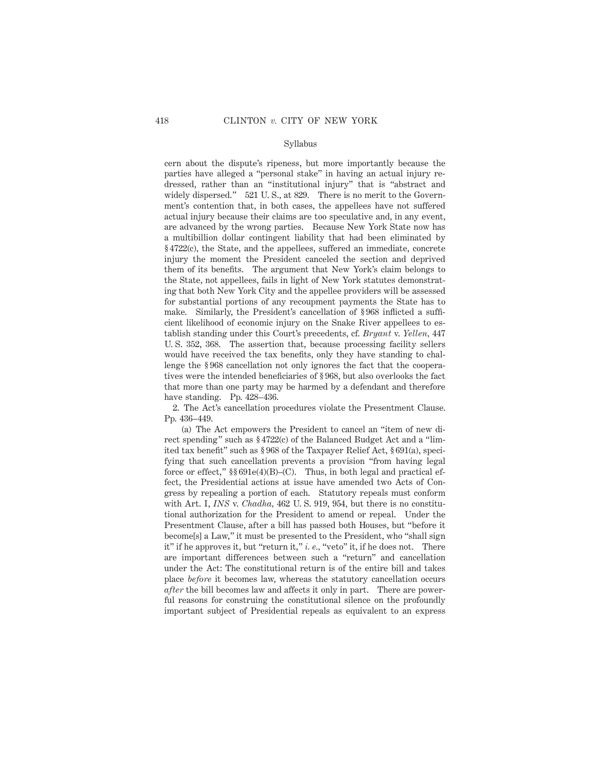#### Syllabus

cern about the dispute's ripeness, but more importantly because the parties have alleged a "personal stake" in having an actual injury redressed, rather than an "institutional injury" that is "abstract and widely dispersed." 521 U.S., at 829. There is no merit to the Government's contention that, in both cases, the appellees have not suffered actual injury because their claims are too speculative and, in any event, are advanced by the wrong parties. Because New York State now has a multibillion dollar contingent liability that had been eliminated by § 4722(c), the State, and the appellees, suffered an immediate, concrete injury the moment the President canceled the section and deprived them of its benefits. The argument that New York's claim belongs to the State, not appellees, fails in light of New York statutes demonstrating that both New York City and the appellee providers will be assessed for substantial portions of any recoupment payments the State has to make. Similarly, the President's cancellation of § 968 inflicted a sufficient likelihood of economic injury on the Snake River appellees to establish standing under this Court's precedents, cf. *Bryant* v. *Yellen,* 447 U. S. 352, 368. The assertion that, because processing facility sellers would have received the tax benefits, only they have standing to challenge the § 968 cancellation not only ignores the fact that the cooperatives were the intended beneficiaries of § 968, but also overlooks the fact that more than one party may be harmed by a defendant and therefore have standing. Pp. 428–436.

2. The Act's cancellation procedures violate the Presentment Clause. Pp. 436–449.

(a) The Act empowers the President to cancel an "item of new direct spending" such as § 4722(c) of the Balanced Budget Act and a "limited tax benefit" such as § 968 of the Taxpayer Relief Act, § 691(a), specifying that such cancellation prevents a provision "from having legal force or effect,"  $\S § 691e(4)(B)$ –(C). Thus, in both legal and practical effect, the Presidential actions at issue have amended two Acts of Congress by repealing a portion of each. Statutory repeals must conform with Art. I, *INS* v. *Chadha,* 462 U. S. 919, 954, but there is no constitutional authorization for the President to amend or repeal. Under the Presentment Clause, after a bill has passed both Houses, but "before it become[s] a Law," it must be presented to the President, who "shall sign it" if he approves it, but "return it," *i. e.,* "veto" it, if he does not. There are important differences between such a "return" and cancellation under the Act: The constitutional return is of the entire bill and takes place *before* it becomes law, whereas the statutory cancellation occurs *after* the bill becomes law and affects it only in part. There are powerful reasons for construing the constitutional silence on the profoundly important subject of Presidential repeals as equivalent to an express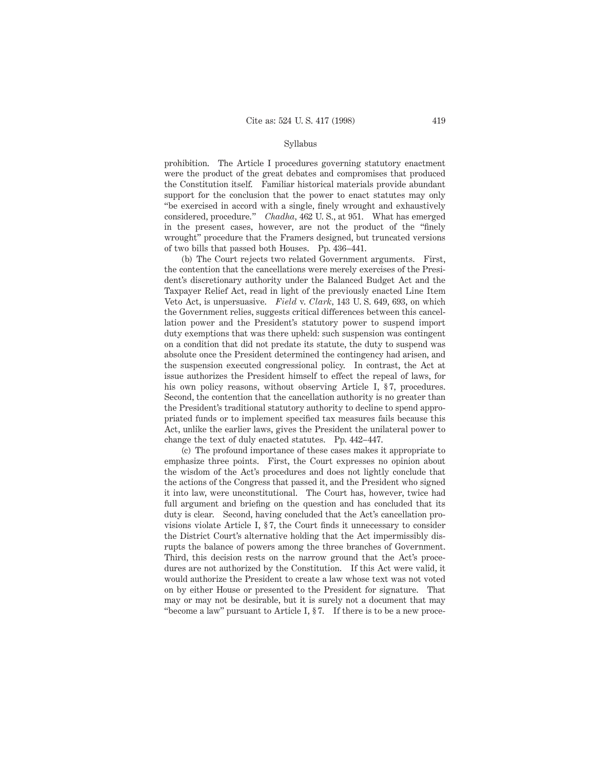#### Syllabus

prohibition. The Article I procedures governing statutory enactment were the product of the great debates and compromises that produced the Constitution itself. Familiar historical materials provide abundant support for the conclusion that the power to enact statutes may only "be exercised in accord with a single, finely wrought and exhaustively considered, procedure." *Chadha,* 462 U. S., at 951. What has emerged in the present cases, however, are not the product of the "finely wrought" procedure that the Framers designed, but truncated versions of two bills that passed both Houses. Pp. 436–441.

(b) The Court rejects two related Government arguments. First, the contention that the cancellations were merely exercises of the President's discretionary authority under the Balanced Budget Act and the Taxpayer Relief Act, read in light of the previously enacted Line Item Veto Act, is unpersuasive. *Field* v. *Clark,* 143 U. S. 649, 693, on which the Government relies, suggests critical differences between this cancellation power and the President's statutory power to suspend import duty exemptions that was there upheld: such suspension was contingent on a condition that did not predate its statute, the duty to suspend was absolute once the President determined the contingency had arisen, and the suspension executed congressional policy. In contrast, the Act at issue authorizes the President himself to effect the repeal of laws, for his own policy reasons, without observing Article I, §7, procedures. Second, the contention that the cancellation authority is no greater than the President's traditional statutory authority to decline to spend appropriated funds or to implement specified tax measures fails because this Act, unlike the earlier laws, gives the President the unilateral power to change the text of duly enacted statutes. Pp. 442–447.

(c) The profound importance of these cases makes it appropriate to emphasize three points. First, the Court expresses no opinion about the wisdom of the Act's procedures and does not lightly conclude that the actions of the Congress that passed it, and the President who signed it into law, were unconstitutional. The Court has, however, twice had full argument and briefing on the question and has concluded that its duty is clear. Second, having concluded that the Act's cancellation provisions violate Article I, § 7, the Court finds it unnecessary to consider the District Court's alternative holding that the Act impermissibly disrupts the balance of powers among the three branches of Government. Third, this decision rests on the narrow ground that the Act's procedures are not authorized by the Constitution. If this Act were valid, it would authorize the President to create a law whose text was not voted on by either House or presented to the President for signature. That may or may not be desirable, but it is surely not a document that may "become a law" pursuant to Article I, § 7. If there is to be a new proce-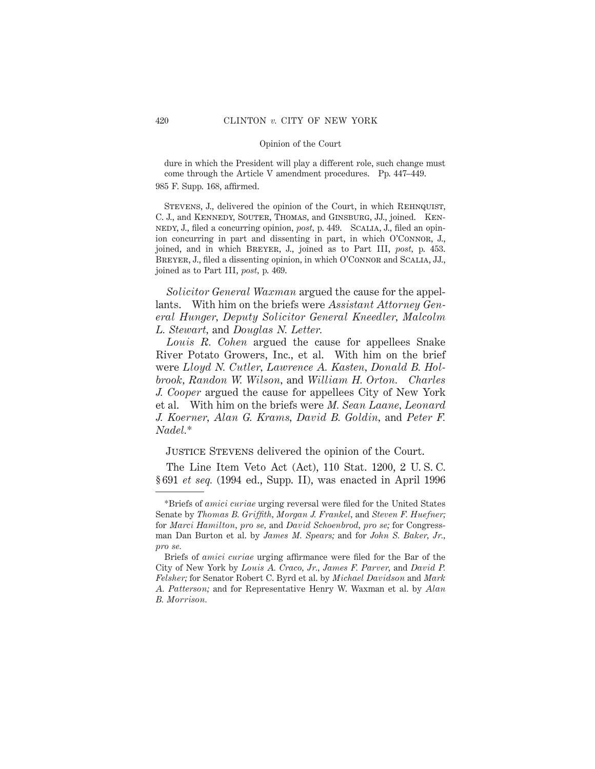dure in which the President will play a different role, such change must come through the Article V amendment procedures. Pp. 447–449. 985 F. Supp. 168, affirmed.

STEVENS, J., delivered the opinion of the Court, in which REHNQUIST, C. J., and Kennedy, Souter, Thomas, and Ginsburg, JJ., joined. Kennedy, J., filed a concurring opinion, *post,* p. 449. Scalia, J., filed an opinion concurring in part and dissenting in part, in which O'Connor, J., joined, and in which Breyer, J., joined as to Part III, *post,* p. 453. Breyer, J., filed a dissenting opinion, in which O'Connor and Scalia, JJ., joined as to Part III, *post,* p. 469.

*Solicitor General Waxman* argued the cause for the appellants. With him on the briefs were *Assistant Attorney General Hunger, Deputy Solicitor General Kneedler, Malcolm L. Stewart,* and *Douglas N. Letter.*

*Louis R. Cohen* argued the cause for appellees Snake River Potato Growers, Inc., et al. With him on the brief were *Lloyd N. Cutler, Lawrence A. Kasten, Donald B. Holbrook, Randon W. Wilson,* and *William H. Orton. Charles J. Cooper* argued the cause for appellees City of New York et al. With him on the briefs were *M. Sean Laane, Leonard J. Koerner, Alan G. Krams, David B. Goldin,* and *Peter F. Nadel.*\*

Justice Stevens delivered the opinion of the Court.

The Line Item Veto Act (Act), 110 Stat. 1200, 2 U. S. C. § 691 *et seq.* (1994 ed., Supp. II), was enacted in April 1996

<sup>\*</sup>Briefs of *amici curiae* urging reversal were filed for the United States Senate by *Thomas B. Griffith, Morgan J. Frankel,* and *Steven F. Huefner;* for *Marci Hamilton, pro se,* and *David Schoenbrod, pro se;* for Congressman Dan Burton et al. by *James M. Spears;* and for *John S. Baker, Jr., pro se.*

Briefs of *amici curiae* urging affirmance were filed for the Bar of the City of New York by *Louis A. Craco, Jr., James F. Parver,* and *David P. Felsher;* for Senator Robert C. Byrd et al. by *Michael Davidson* and *Mark A. Patterson;* and for Representative Henry W. Waxman et al. by *Alan B. Morrison.*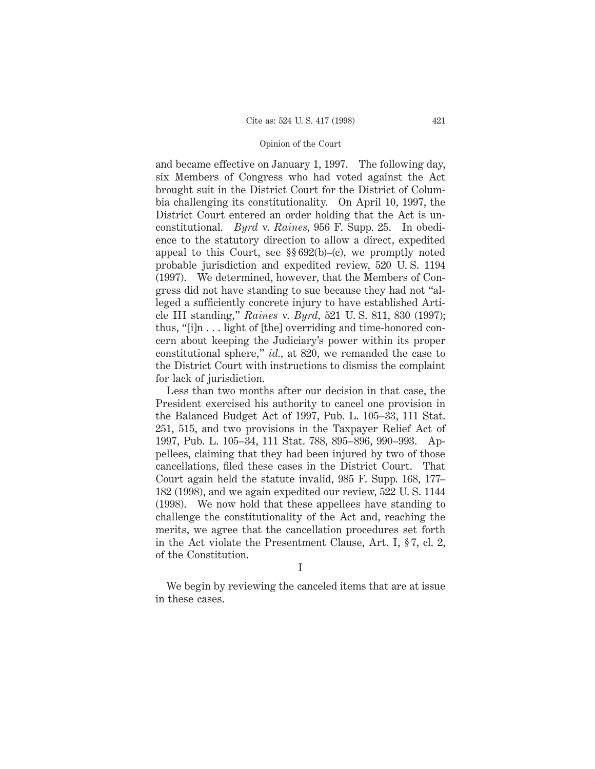and became effective on January 1, 1997. The following day, six Members of Congress who had voted against the Act brought suit in the District Court for the District of Columbia challenging its constitutionality. On April 10, 1997, the District Court entered an order holding that the Act is unconstitutional. *Byrd* v. *Raines,* 956 F. Supp. 25. In obedience to the statutory direction to allow a direct, expedited appeal to this Court, see  $\S § 692(b)$ –(c), we promptly noted probable jurisdiction and expedited review, 520 U. S. 1194 (1997). We determined, however, that the Members of Congress did not have standing to sue because they had not "alleged a sufficiently concrete injury to have established Article III standing," *Raines* v. *Byrd,* 521 U. S. 811, 830 (1997); thus, "[i]n . . . light of [the] overriding and time-honored concern about keeping the Judiciary's power within its proper constitutional sphere," *id.,* at 820, we remanded the case to the District Court with instructions to dismiss the complaint for lack of jurisdiction.

Less than two months after our decision in that case, the President exercised his authority to cancel one provision in the Balanced Budget Act of 1997, Pub. L. 105–33, 111 Stat. 251, 515, and two provisions in the Taxpayer Relief Act of 1997, Pub. L. 105–34, 111 Stat. 788, 895–896, 990–993. Appellees, claiming that they had been injured by two of those cancellations, filed these cases in the District Court. That Court again held the statute invalid, 985 F. Supp. 168, 177– 182 (1998), and we again expedited our review, 522 U. S. 1144 (1998). We now hold that these appellees have standing to challenge the constitutionality of the Act and, reaching the merits, we agree that the cancellation procedures set forth in the Act violate the Presentment Clause, Art. I, § 7, cl. 2, of the Constitution.

I

We begin by reviewing the canceled items that are at issue in these cases.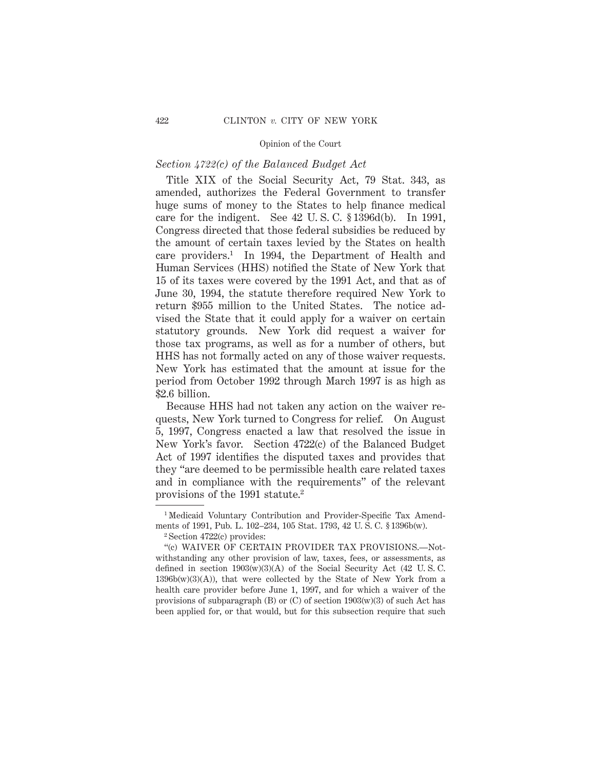# *Section 4722(c) of the Balanced Budget Act*

Title XIX of the Social Security Act, 79 Stat. 343, as amended, authorizes the Federal Government to transfer huge sums of money to the States to help finance medical care for the indigent. See 42 U. S. C. § 1396d(b). In 1991, Congress directed that those federal subsidies be reduced by the amount of certain taxes levied by the States on health care providers.<sup>1</sup> In 1994, the Department of Health and Human Services (HHS) notified the State of New York that 15 of its taxes were covered by the 1991 Act, and that as of June 30, 1994, the statute therefore required New York to return \$955 million to the United States. The notice advised the State that it could apply for a waiver on certain statutory grounds. New York did request a waiver for those tax programs, as well as for a number of others, but HHS has not formally acted on any of those waiver requests. New York has estimated that the amount at issue for the period from October 1992 through March 1997 is as high as \$2.6 billion.

Because HHS had not taken any action on the waiver requests, New York turned to Congress for relief. On August 5, 1997, Congress enacted a law that resolved the issue in New York's favor. Section 4722(c) of the Balanced Budget Act of 1997 identifies the disputed taxes and provides that they "are deemed to be permissible health care related taxes and in compliance with the requirements" of the relevant provisions of the 1991 statute.2

<sup>&</sup>lt;sup>1</sup> Medicaid Voluntary Contribution and Provider-Specific Tax Amendments of 1991, Pub. L. 102–234, 105 Stat. 1793, 42 U. S. C. § 1396b(w).

<sup>2</sup> Section 4722(c) provides:

<sup>&</sup>quot;(c) WAIVER OF CERTAIN PROVIDER TAX PROVISIONS.—Notwithstanding any other provision of law, taxes, fees, or assessments, as defined in section  $1903(w)(3)(A)$  of the Social Security Act (42 U.S.C.  $1396b(w)(3)(A)$ , that were collected by the State of New York from a health care provider before June 1, 1997, and for which a waiver of the provisions of subparagraph (B) or  $(C)$  of section  $1903(w)(3)$  of such Act has been applied for, or that would, but for this subsection require that such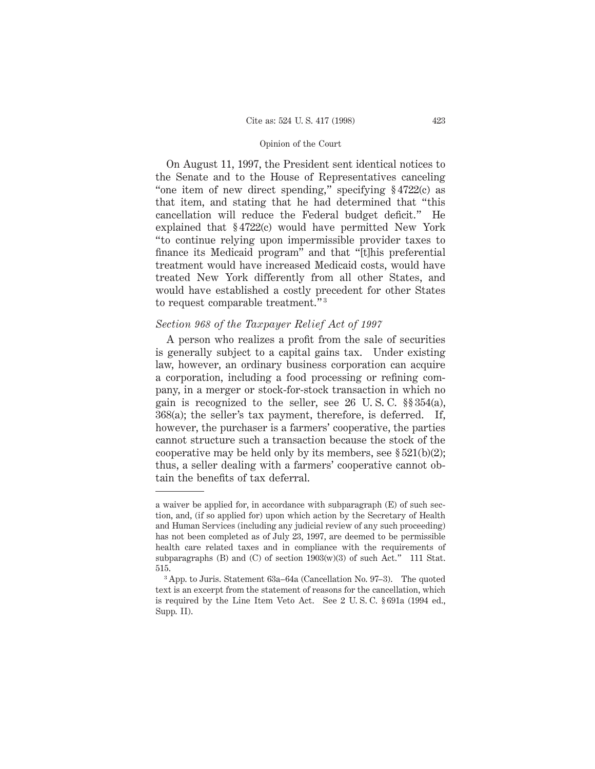On August 11, 1997, the President sent identical notices to the Senate and to the House of Representatives canceling "one item of new direct spending," specifying § 4722(c) as that item, and stating that he had determined that "this cancellation will reduce the Federal budget deficit." He explained that § 4722(c) would have permitted New York "to continue relying upon impermissible provider taxes to finance its Medicaid program" and that "[t]his preferential treatment would have increased Medicaid costs, would have treated New York differently from all other States, and would have established a costly precedent for other States to request comparable treatment."<sup>3</sup>

### *Section 968 of the Taxpayer Relief Act of 1997*

A person who realizes a profit from the sale of securities is generally subject to a capital gains tax. Under existing law, however, an ordinary business corporation can acquire a corporation, including a food processing or refining company, in a merger or stock-for-stock transaction in which no gain is recognized to the seller, see 26 U. S. C. §§ 354(a), 368(a); the seller's tax payment, therefore, is deferred. If, however, the purchaser is a farmers' cooperative, the parties cannot structure such a transaction because the stock of the cooperative may be held only by its members, see  $\S 521(b)(2)$ ; thus, a seller dealing with a farmers' cooperative cannot obtain the benefits of tax deferral.

a waiver be applied for, in accordance with subparagraph (E) of such section, and, (if so applied for) upon which action by the Secretary of Health and Human Services (including any judicial review of any such proceeding) has not been completed as of July 23, 1997, are deemed to be permissible health care related taxes and in compliance with the requirements of subparagraphs (B) and (C) of section 1903(w)(3) of such Act." 111 Stat. 515.

<sup>3</sup> App. to Juris. Statement 63a–64a (Cancellation No. 97–3). The quoted text is an excerpt from the statement of reasons for the cancellation, which is required by the Line Item Veto Act. See 2 U. S. C. § 691a (1994 ed., Supp. II).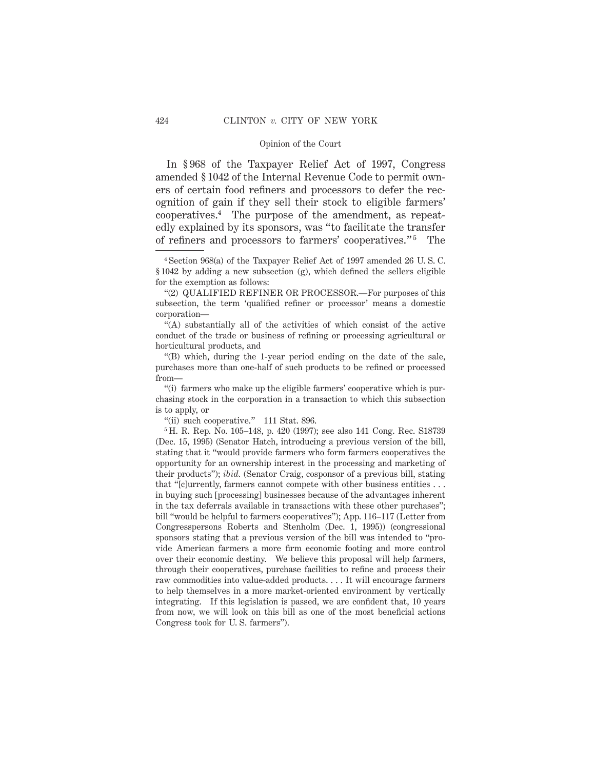In § 968 of the Taxpayer Relief Act of 1997, Congress amended § 1042 of the Internal Revenue Code to permit owners of certain food refiners and processors to defer the recognition of gain if they sell their stock to eligible farmers' cooperatives.4 The purpose of the amendment, as repeatedly explained by its sponsors, was "to facilitate the transfer of refiners and processors to farmers' cooperatives."<sup>5</sup> The

"(2) QUALIFIED REFINER OR PROCESSOR.—For purposes of this subsection, the term 'qualified refiner or processor' means a domestic corporation—

"(A) substantially all of the activities of which consist of the active conduct of the trade or business of refining or processing agricultural or horticultural products, and

"(B) which, during the 1-year period ending on the date of the sale, purchases more than one-half of such products to be refined or processed from—

"(i) farmers who make up the eligible farmers' cooperative which is purchasing stock in the corporation in a transaction to which this subsection is to apply, or

"(ii) such cooperative." 111 Stat. 896.

<sup>5</sup> H. R. Rep. No. 105–148, p. 420 (1997); see also 141 Cong. Rec. S18739 (Dec. 15, 1995) (Senator Hatch, introducing a previous version of the bill, stating that it "would provide farmers who form farmers cooperatives the opportunity for an ownership interest in the processing and marketing of their products"); *ibid.* (Senator Craig, cosponsor of a previous bill, stating that "[c]urrently, farmers cannot compete with other business entities . . . in buying such [processing] businesses because of the advantages inherent in the tax deferrals available in transactions with these other purchases"; bill "would be helpful to farmers cooperatives"); App. 116–117 (Letter from Congresspersons Roberts and Stenholm (Dec. 1, 1995)) (congressional sponsors stating that a previous version of the bill was intended to "provide American farmers a more firm economic footing and more control over their economic destiny. We believe this proposal will help farmers, through their cooperatives, purchase facilities to refine and process their raw commodities into value-added products. . . . It will encourage farmers to help themselves in a more market-oriented environment by vertically integrating. If this legislation is passed, we are confident that, 10 years from now, we will look on this bill as one of the most beneficial actions Congress took for U. S. farmers").

<sup>4</sup> Section 968(a) of the Taxpayer Relief Act of 1997 amended 26 U. S. C. § 1042 by adding a new subsection (g), which defined the sellers eligible for the exemption as follows: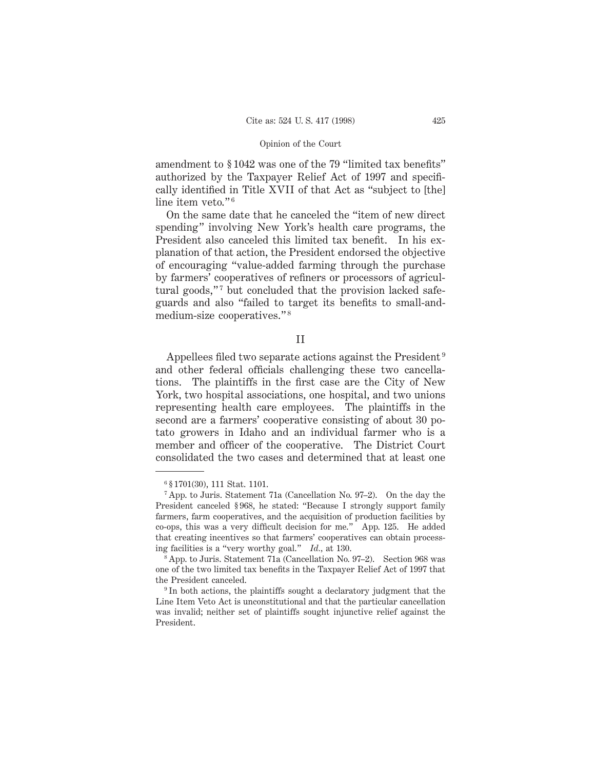amendment to § 1042 was one of the 79 "limited tax benefits" authorized by the Taxpayer Relief Act of 1997 and specifically identified in Title XVII of that Act as "subject to [the] line item veto."<sup>6</sup>

On the same date that he canceled the "item of new direct spending" involving New York's health care programs, the President also canceled this limited tax benefit. In his explanation of that action, the President endorsed the objective of encouraging "value-added farming through the purchase by farmers' cooperatives of refiners or processors of agricultural goods,"<sup>7</sup> but concluded that the provision lacked safeguards and also "failed to target its benefits to small-andmedium-size cooperatives." <sup>8</sup>

II

Appellees filed two separate actions against the President <sup>9</sup> and other federal officials challenging these two cancellations. The plaintiffs in the first case are the City of New York, two hospital associations, one hospital, and two unions representing health care employees. The plaintiffs in the second are a farmers' cooperative consisting of about 30 potato growers in Idaho and an individual farmer who is a member and officer of the cooperative. The District Court consolidated the two cases and determined that at least one

<sup>6</sup> § 1701(30), 111 Stat. 1101.

<sup>7</sup> App. to Juris. Statement 71a (Cancellation No. 97–2). On the day the President canceled § 968, he stated: "Because I strongly support family farmers, farm cooperatives, and the acquisition of production facilities by co-ops, this was a very difficult decision for me." App. 125. He added that creating incentives so that farmers' cooperatives can obtain processing facilities is a "very worthy goal." *Id.,* at 130.

<sup>8</sup> App. to Juris. Statement 71a (Cancellation No. 97–2). Section 968 was one of the two limited tax benefits in the Taxpayer Relief Act of 1997 that the President canceled.

<sup>&</sup>lt;sup>9</sup> In both actions, the plaintiffs sought a declaratory judgment that the Line Item Veto Act is unconstitutional and that the particular cancellation was invalid; neither set of plaintiffs sought injunctive relief against the President.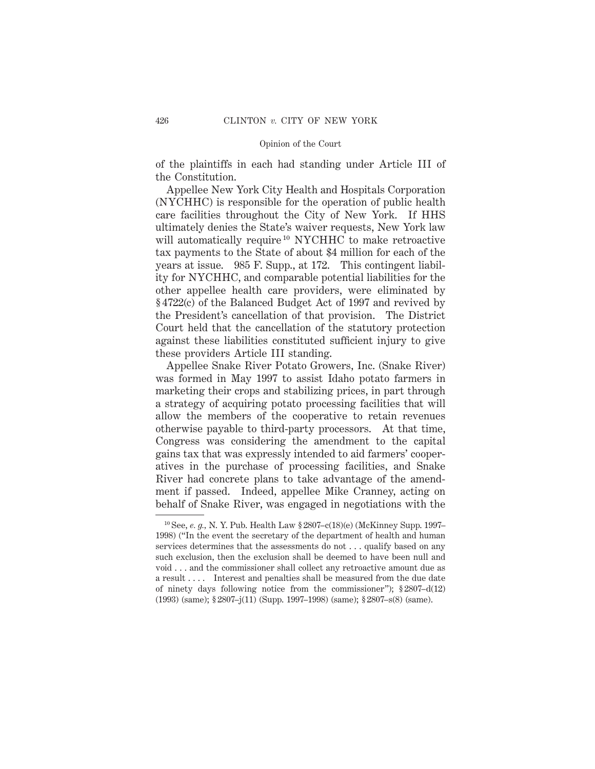of the plaintiffs in each had standing under Article III of the Constitution.

Appellee New York City Health and Hospitals Corporation (NYCHHC) is responsible for the operation of public health care facilities throughout the City of New York. If HHS ultimately denies the State's waiver requests, New York law will automatically require<sup>10</sup> NYCHHC to make retroactive tax payments to the State of about \$4 million for each of the years at issue. 985 F. Supp., at 172. This contingent liability for NYCHHC, and comparable potential liabilities for the other appellee health care providers, were eliminated by § 4722(c) of the Balanced Budget Act of 1997 and revived by the President's cancellation of that provision. The District Court held that the cancellation of the statutory protection against these liabilities constituted sufficient injury to give these providers Article III standing.

Appellee Snake River Potato Growers, Inc. (Snake River) was formed in May 1997 to assist Idaho potato farmers in marketing their crops and stabilizing prices, in part through a strategy of acquiring potato processing facilities that will allow the members of the cooperative to retain revenues otherwise payable to third-party processors. At that time, Congress was considering the amendment to the capital gains tax that was expressly intended to aid farmers' cooperatives in the purchase of processing facilities, and Snake River had concrete plans to take advantage of the amendment if passed. Indeed, appellee Mike Cranney, acting on behalf of Snake River, was engaged in negotiations with the

<sup>10</sup> See, *e. g.,* N. Y. Pub. Health Law § 2807–c(18)(e) (McKinney Supp. 1997– 1998) ("In the event the secretary of the department of health and human services determines that the assessments do not . . . qualify based on any such exclusion, then the exclusion shall be deemed to have been null and void . . . and the commissioner shall collect any retroactive amount due as a result . . . . Interest and penalties shall be measured from the due date of ninety days following notice from the commissioner");  $§ 2807-d(12)$ (1993) (same); § 2807–j(11) (Supp. 1997–1998) (same); § 2807–s(8) (same).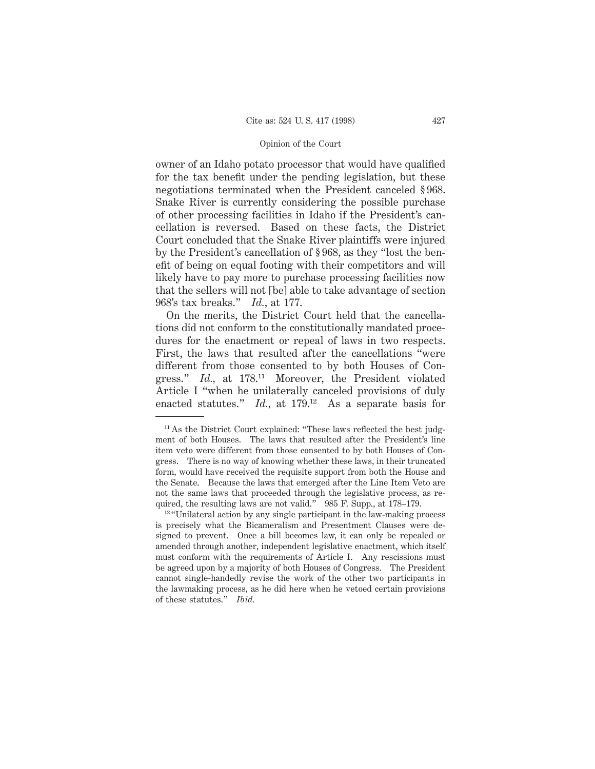owner of an Idaho potato processor that would have qualified for the tax benefit under the pending legislation, but these negotiations terminated when the President canceled § 968. Snake River is currently considering the possible purchase of other processing facilities in Idaho if the President's cancellation is reversed. Based on these facts, the District Court concluded that the Snake River plaintiffs were injured by the President's cancellation of § 968, as they "lost the benefit of being on equal footing with their competitors and will likely have to pay more to purchase processing facilities now that the sellers will not [be] able to take advantage of section 968's tax breaks." *Id.*, at 177.

On the merits, the District Court held that the cancellations did not conform to the constitutionally mandated procedures for the enactment or repeal of laws in two respects. First, the laws that resulted after the cancellations "were different from those consented to by both Houses of Congress." *Id.,* at 178.11 Moreover, the President violated Article I "when he unilaterally canceled provisions of duly enacted statutes." *Id.*, at 179.<sup>12</sup> As a separate basis for

<sup>&</sup>lt;sup>11</sup> As the District Court explained: "These laws reflected the best judgment of both Houses. The laws that resulted after the President's line item veto were different from those consented to by both Houses of Congress. There is no way of knowing whether these laws, in their truncated form, would have received the requisite support from both the House and the Senate. Because the laws that emerged after the Line Item Veto are not the same laws that proceeded through the legislative process, as required, the resulting laws are not valid." 985 F. Supp., at 178–179.

<sup>12</sup> "Unilateral action by any single participant in the law-making process is precisely what the Bicameralism and Presentment Clauses were designed to prevent. Once a bill becomes law, it can only be repealed or amended through another, independent legislative enactment, which itself must conform with the requirements of Article I. Any rescissions must be agreed upon by a majority of both Houses of Congress. The President cannot single-handedly revise the work of the other two participants in the lawmaking process, as he did here when he vetoed certain provisions of these statutes." *Ibid.*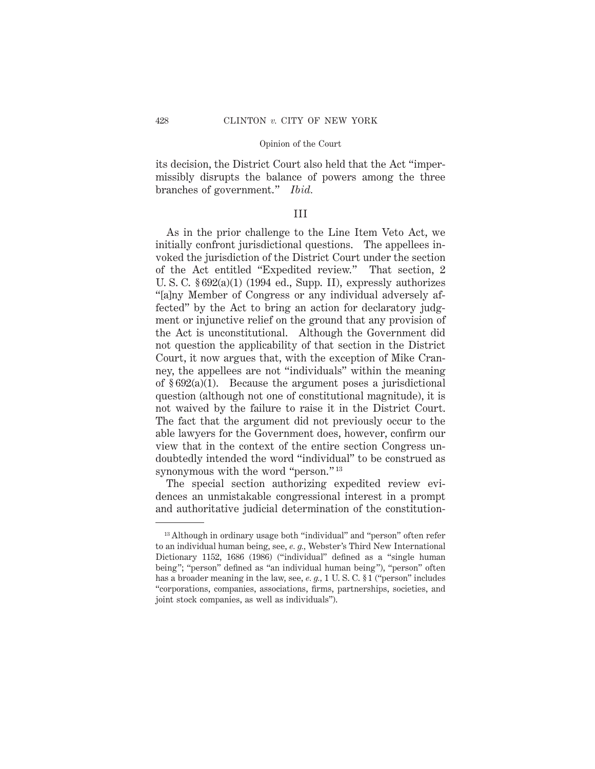its decision, the District Court also held that the Act "impermissibly disrupts the balance of powers among the three branches of government." *Ibid.*

### III

As in the prior challenge to the Line Item Veto Act, we initially confront jurisdictional questions. The appellees invoked the jurisdiction of the District Court under the section of the Act entitled "Expedited review." That section, 2 U. S. C. § 692(a)(1) (1994 ed., Supp. II), expressly authorizes "[a]ny Member of Congress or any individual adversely affected" by the Act to bring an action for declaratory judgment or injunctive relief on the ground that any provision of the Act is unconstitutional. Although the Government did not question the applicability of that section in the District Court, it now argues that, with the exception of Mike Cranney, the appellees are not "individuals" within the meaning of  $§692(a)(1)$ . Because the argument poses a jurisdictional question (although not one of constitutional magnitude), it is not waived by the failure to raise it in the District Court. The fact that the argument did not previously occur to the able lawyers for the Government does, however, confirm our view that in the context of the entire section Congress undoubtedly intended the word "individual" to be construed as synonymous with the word "person." <sup>13</sup>

The special section authorizing expedited review evidences an unmistakable congressional interest in a prompt and authoritative judicial determination of the constitution-

<sup>&</sup>lt;sup>13</sup> Although in ordinary usage both "individual" and "person" often refer to an individual human being, see, *e. g.,* Webster's Third New International Dictionary 1152, 1686 (1986) ("individual" defined as a "single human being"; "person" defined as "an individual human being"), "person" often has a broader meaning in the law, see, *e. g.,* 1 U. S. C. § 1 ("person" includes "corporations, companies, associations, firms, partnerships, societies, and joint stock companies, as well as individuals").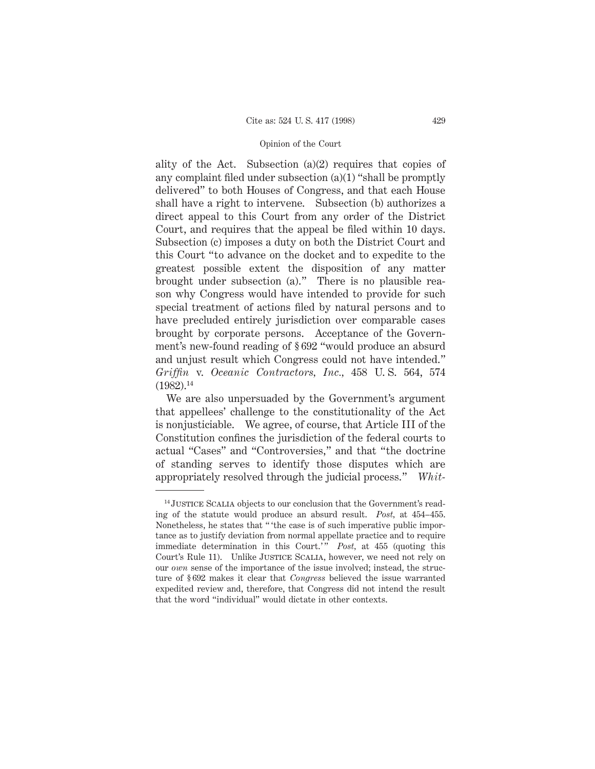ality of the Act. Subsection (a)(2) requires that copies of any complaint filed under subsection  $(a)(1)$  "shall be promptly delivered" to both Houses of Congress, and that each House shall have a right to intervene. Subsection (b) authorizes a direct appeal to this Court from any order of the District Court, and requires that the appeal be filed within 10 days. Subsection (c) imposes a duty on both the District Court and this Court "to advance on the docket and to expedite to the greatest possible extent the disposition of any matter brought under subsection (a)." There is no plausible reason why Congress would have intended to provide for such special treatment of actions filed by natural persons and to have precluded entirely jurisdiction over comparable cases brought by corporate persons. Acceptance of the Government's new-found reading of § 692 "would produce an absurd and unjust result which Congress could not have intended." *Griffin* v. *Oceanic Contractors, Inc.,* 458 U. S. 564, 574  $(1982).<sup>14</sup>$ 

We are also unpersuaded by the Government's argument that appellees' challenge to the constitutionality of the Act is nonjusticiable. We agree, of course, that Article III of the Constitution confines the jurisdiction of the federal courts to actual "Cases" and "Controversies," and that "the doctrine of standing serves to identify those disputes which are appropriately resolved through the judicial process." *Whit-*

<sup>14</sup> Justice Scalia objects to our conclusion that the Government's reading of the statute would produce an absurd result. *Post,* at 454–455. Nonetheless, he states that " 'the case is of such imperative public importance as to justify deviation from normal appellate practice and to require immediate determination in this Court.'" *Post*, at 455 (quoting this Court's Rule 11). Unlike JUSTICE SCALIA, however, we need not rely on our *own* sense of the importance of the issue involved; instead, the structure of § 692 makes it clear that *Congress* believed the issue warranted expedited review and, therefore, that Congress did not intend the result that the word "individual" would dictate in other contexts.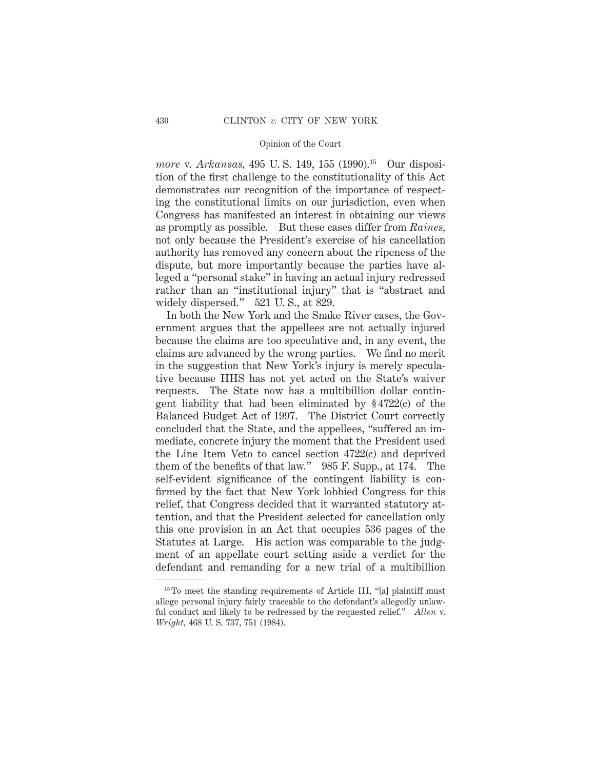*more* v. *Arkansas*, 495 U. S. 149, 155 (1990).<sup>15</sup> Our disposition of the first challenge to the constitutionality of this Act demonstrates our recognition of the importance of respecting the constitutional limits on our jurisdiction, even when Congress has manifested an interest in obtaining our views as promptly as possible. But these cases differ from *Raines,* not only because the President's exercise of his cancellation authority has removed any concern about the ripeness of the dispute, but more importantly because the parties have alleged a "personal stake" in having an actual injury redressed rather than an "institutional injury" that is "abstract and widely dispersed." 521 U.S., at 829.

In both the New York and the Snake River cases, the Government argues that the appellees are not actually injured because the claims are too speculative and, in any event, the claims are advanced by the wrong parties. We find no merit in the suggestion that New York's injury is merely speculative because HHS has not yet acted on the State's waiver requests. The State now has a multibillion dollar contingent liability that had been eliminated by § 4722(c) of the Balanced Budget Act of 1997. The District Court correctly concluded that the State, and the appellees, "suffered an immediate, concrete injury the moment that the President used the Line Item Veto to cancel section 4722(c) and deprived them of the benefits of that law." 985 F. Supp., at 174. The self-evident significance of the contingent liability is confirmed by the fact that New York lobbied Congress for this relief, that Congress decided that it warranted statutory attention, and that the President selected for cancellation only this one provision in an Act that occupies 536 pages of the Statutes at Large. His action was comparable to the judgment of an appellate court setting aside a verdict for the defendant and remanding for a new trial of a multibillion

<sup>&</sup>lt;sup>15</sup> To meet the standing requirements of Article III, "[a] plaintiff must allege personal injury fairly traceable to the defendant's allegedly unlawful conduct and likely to be redressed by the requested relief." *Allen* v. *Wright,* 468 U. S. 737, 751 (1984).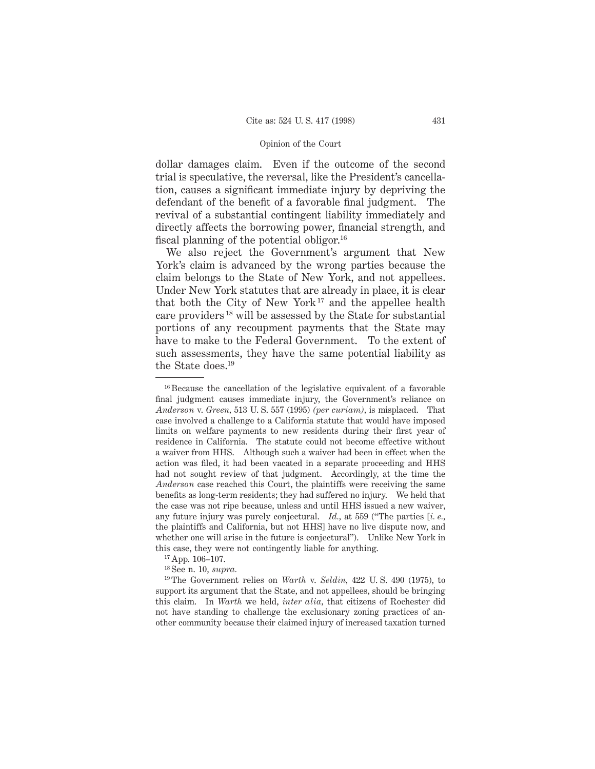dollar damages claim. Even if the outcome of the second trial is speculative, the reversal, like the President's cancellation, causes a significant immediate injury by depriving the defendant of the benefit of a favorable final judgment. The revival of a substantial contingent liability immediately and directly affects the borrowing power, financial strength, and fiscal planning of the potential obligor.16

We also reject the Government's argument that New York's claim is advanced by the wrong parties because the claim belongs to the State of New York, and not appellees. Under New York statutes that are already in place, it is clear that both the City of New York <sup>17</sup> and the appellee health care providers <sup>18</sup> will be assessed by the State for substantial portions of any recoupment payments that the State may have to make to the Federal Government. To the extent of such assessments, they have the same potential liability as the State does.19

<sup>&</sup>lt;sup>16</sup> Because the cancellation of the legislative equivalent of a favorable final judgment causes immediate injury, the Government's reliance on *Anderson* v. *Green,* 513 U. S. 557 (1995) *(per curiam),* is misplaced. That case involved a challenge to a California statute that would have imposed limits on welfare payments to new residents during their first year of residence in California. The statute could not become effective without a waiver from HHS. Although such a waiver had been in effect when the action was filed, it had been vacated in a separate proceeding and HHS had not sought review of that judgment. Accordingly, at the time the *Anderson* case reached this Court, the plaintiffs were receiving the same benefits as long-term residents; they had suffered no injury. We held that the case was not ripe because, unless and until HHS issued a new waiver, any future injury was purely conjectural. *Id.,* at 559 ("The parties [*i. e.,* the plaintiffs and California, but not HHS] have no live dispute now, and whether one will arise in the future is conjectural"). Unlike New York in this case, they were not contingently liable for anything.

 $17$  App.  $106-107$ .

<sup>18</sup> See n. 10, *supra.*

<sup>19</sup> The Government relies on *Warth* v. *Seldin,* 422 U. S. 490 (1975), to support its argument that the State, and not appellees, should be bringing this claim. In *Warth* we held, *inter alia,* that citizens of Rochester did not have standing to challenge the exclusionary zoning practices of another community because their claimed injury of increased taxation turned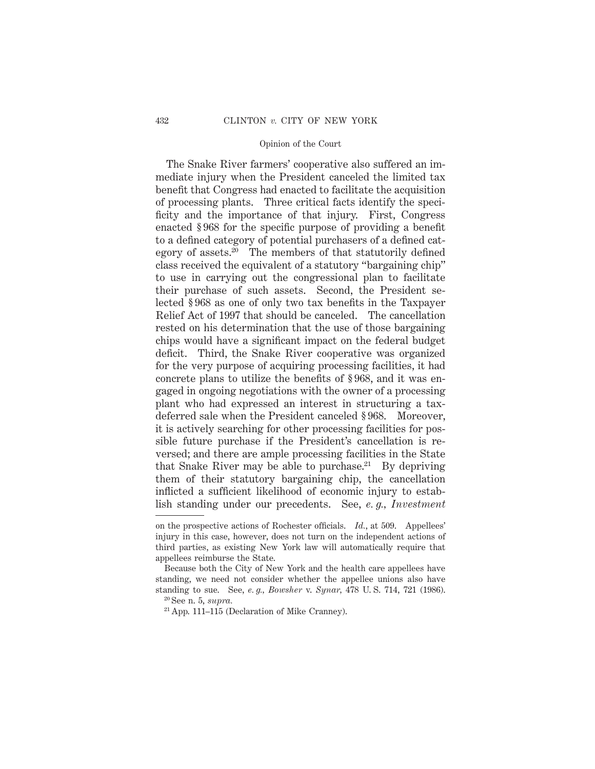The Snake River farmers' cooperative also suffered an immediate injury when the President canceled the limited tax benefit that Congress had enacted to facilitate the acquisition of processing plants. Three critical facts identify the specificity and the importance of that injury. First, Congress enacted § 968 for the specific purpose of providing a benefit to a defined category of potential purchasers of a defined category of assets.20 The members of that statutorily defined class received the equivalent of a statutory "bargaining chip" to use in carrying out the congressional plan to facilitate their purchase of such assets. Second, the President selected § 968 as one of only two tax benefits in the Taxpayer Relief Act of 1997 that should be canceled. The cancellation rested on his determination that the use of those bargaining chips would have a significant impact on the federal budget deficit. Third, the Snake River cooperative was organized for the very purpose of acquiring processing facilities, it had concrete plans to utilize the benefits of § 968, and it was engaged in ongoing negotiations with the owner of a processing plant who had expressed an interest in structuring a taxdeferred sale when the President canceled § 968. Moreover, it is actively searching for other processing facilities for possible future purchase if the President's cancellation is reversed; and there are ample processing facilities in the State that Snake River may be able to purchase.<sup>21</sup> By depriving them of their statutory bargaining chip, the cancellation inflicted a sufficient likelihood of economic injury to establish standing under our precedents. See, *e. g., Investment*

on the prospective actions of Rochester officials. *Id.*, at 509. Appellees' injury in this case, however, does not turn on the independent actions of third parties, as existing New York law will automatically require that appellees reimburse the State.

Because both the City of New York and the health care appellees have standing, we need not consider whether the appellee unions also have standing to sue. See, *e. g., Bowsher* v. *Synar,* 478 U. S. 714, 721 (1986). <sup>20</sup> See n. 5, *supra.*

<sup>21</sup> App. 111–115 (Declaration of Mike Cranney).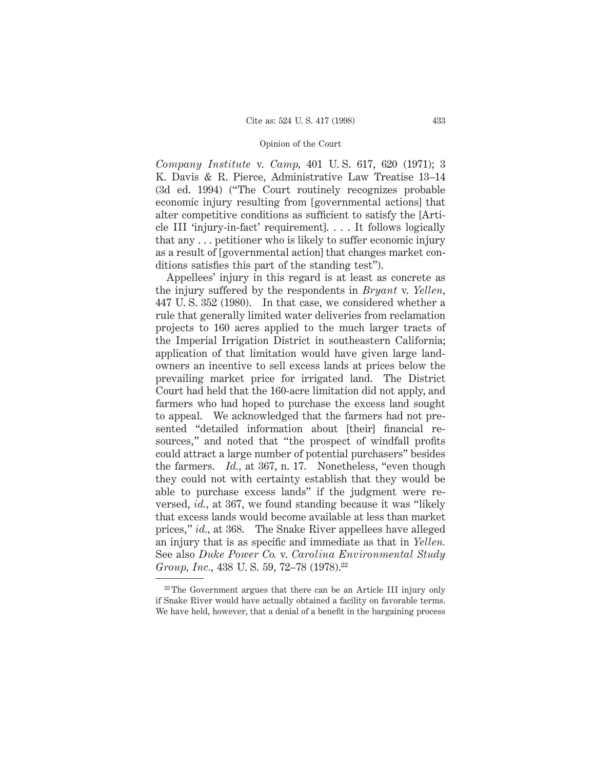*Company Institute* v. *Camp,* 401 U. S. 617, 620 (1971); 3 K. Davis & R. Pierce, Administrative Law Treatise 13–14 (3d ed. 1994) ("The Court routinely recognizes probable economic injury resulting from [governmental actions] that alter competitive conditions as sufficient to satisfy the [Article III 'injury-in-fact' requirement]. . . . It follows logically that any . . . petitioner who is likely to suffer economic injury as a result of [governmental action] that changes market conditions satisfies this part of the standing test").

Appellees' injury in this regard is at least as concrete as the injury suffered by the respondents in *Bryant* v. *Yellen,* 447 U. S. 352 (1980). In that case, we considered whether a rule that generally limited water deliveries from reclamation projects to 160 acres applied to the much larger tracts of the Imperial Irrigation District in southeastern California; application of that limitation would have given large landowners an incentive to sell excess lands at prices below the prevailing market price for irrigated land. The District Court had held that the 160-acre limitation did not apply, and farmers who had hoped to purchase the excess land sought to appeal. We acknowledged that the farmers had not presented "detailed information about [their] financial resources," and noted that "the prospect of windfall profits" could attract a large number of potential purchasers" besides the farmers. *Id.,* at 367, n. 17. Nonetheless, "even though they could not with certainty establish that they would be able to purchase excess lands" if the judgment were reversed, *id.,* at 367, we found standing because it was "likely that excess lands would become available at less than market prices," *id.,* at 368. The Snake River appellees have alleged an injury that is as specific and immediate as that in *Yellen.* See also *Duke Power Co.* v. *Carolina Environmental Study Group, Inc.,* 438 U.S. 59, 72–78 (1978).<sup>22</sup>

 $22$  The Government argues that there can be an Article III injury only if Snake River would have actually obtained a facility on favorable terms. We have held, however, that a denial of a benefit in the bargaining process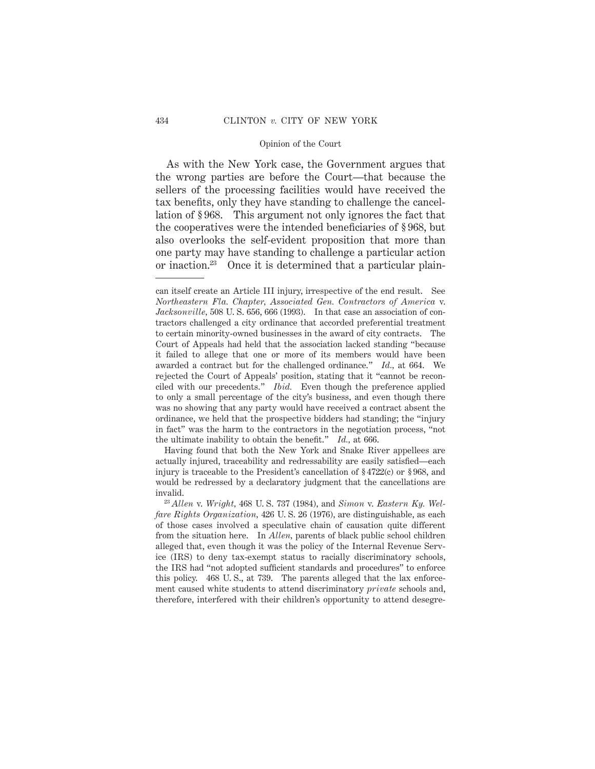As with the New York case, the Government argues that the wrong parties are before the Court—that because the sellers of the processing facilities would have received the tax benefits, only they have standing to challenge the cancellation of § 968. This argument not only ignores the fact that the cooperatives were the intended beneficiaries of § 968, but also overlooks the self-evident proposition that more than one party may have standing to challenge a particular action or inaction.23 Once it is determined that a particular plain-

Having found that both the New York and Snake River appellees are actually injured, traceability and redressability are easily satisfied—each injury is traceable to the President's cancellation of  $\S 4722(c)$  or  $\S 968$ , and would be redressed by a declaratory judgment that the cancellations are invalid.

<sup>23</sup> *Allen* v. *Wright,* 468 U. S. 737 (1984), and *Simon* v. *Eastern Ky. Welfare Rights Organization,* 426 U. S. 26 (1976), are distinguishable, as each of those cases involved a speculative chain of causation quite different from the situation here. In *Allen,* parents of black public school children alleged that, even though it was the policy of the Internal Revenue Service (IRS) to deny tax-exempt status to racially discriminatory schools, the IRS had "not adopted sufficient standards and procedures" to enforce this policy. 468 U. S., at 739. The parents alleged that the lax enforcement caused white students to attend discriminatory *private* schools and, therefore, interfered with their children's opportunity to attend desegre-

can itself create an Article III injury, irrespective of the end result. See *Northeastern Fla. Chapter, Associated Gen. Contractors of America* v. *Jacksonville,* 508 U. S. 656, 666 (1993). In that case an association of contractors challenged a city ordinance that accorded preferential treatment to certain minority-owned businesses in the award of city contracts. The Court of Appeals had held that the association lacked standing "because it failed to allege that one or more of its members would have been awarded a contract but for the challenged ordinance." *Id.,* at 664. We rejected the Court of Appeals' position, stating that it "cannot be reconciled with our precedents." *Ibid.* Even though the preference applied to only a small percentage of the city's business, and even though there was no showing that any party would have received a contract absent the ordinance, we held that the prospective bidders had standing; the "injury in fact" was the harm to the contractors in the negotiation process, "not the ultimate inability to obtain the benefit." *Id.,* at 666.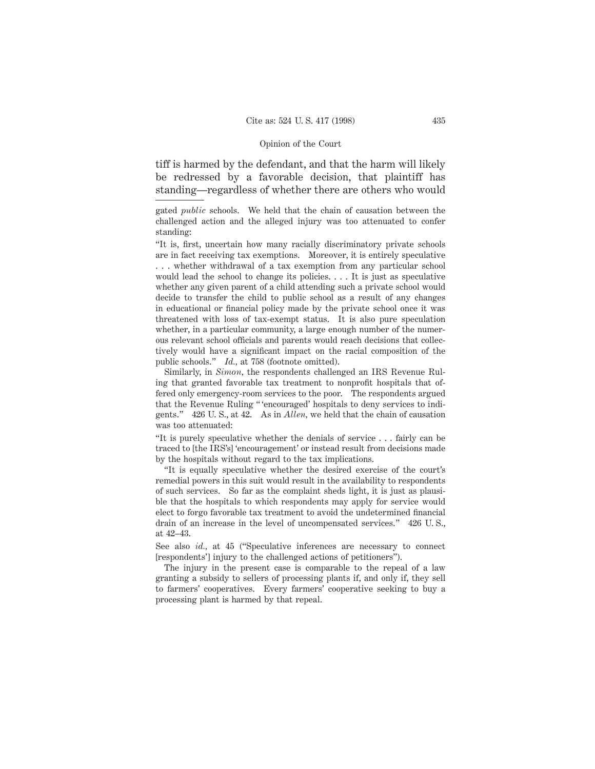tiff is harmed by the defendant, and that the harm will likely be redressed by a favorable decision, that plaintiff has standing—regardless of whether there are others who would

gated *public* schools. We held that the chain of causation between the challenged action and the alleged injury was too attenuated to confer standing:

"It is, first, uncertain how many racially discriminatory private schools are in fact receiving tax exemptions. Moreover, it is entirely speculative . . . whether withdrawal of a tax exemption from any particular school would lead the school to change its policies. . . . It is just as speculative whether any given parent of a child attending such a private school would decide to transfer the child to public school as a result of any changes in educational or financial policy made by the private school once it was threatened with loss of tax-exempt status. It is also pure speculation whether, in a particular community, a large enough number of the numerous relevant school officials and parents would reach decisions that collectively would have a significant impact on the racial composition of the public schools." *Id.,* at 758 (footnote omitted).

Similarly, in *Simon,* the respondents challenged an IRS Revenue Ruling that granted favorable tax treatment to nonprofit hospitals that offered only emergency-room services to the poor. The respondents argued that the Revenue Ruling " 'encouraged' hospitals to deny services to indigents." 426 U. S., at 42. As in *Allen,* we held that the chain of causation was too attenuated:

"It is purely speculative whether the denials of service . . . fairly can be traced to [the IRS's] 'encouragement' or instead result from decisions made by the hospitals without regard to the tax implications.

"It is equally speculative whether the desired exercise of the court's remedial powers in this suit would result in the availability to respondents of such services. So far as the complaint sheds light, it is just as plausible that the hospitals to which respondents may apply for service would elect to forgo favorable tax treatment to avoid the undetermined financial drain of an increase in the level of uncompensated services." 426 U. S., at 42–43.

See also *id.,* at 45 ("Speculative inferences are necessary to connect [respondents'] injury to the challenged actions of petitioners").

The injury in the present case is comparable to the repeal of a law granting a subsidy to sellers of processing plants if, and only if, they sell to farmers' cooperatives. Every farmers' cooperative seeking to buy a processing plant is harmed by that repeal.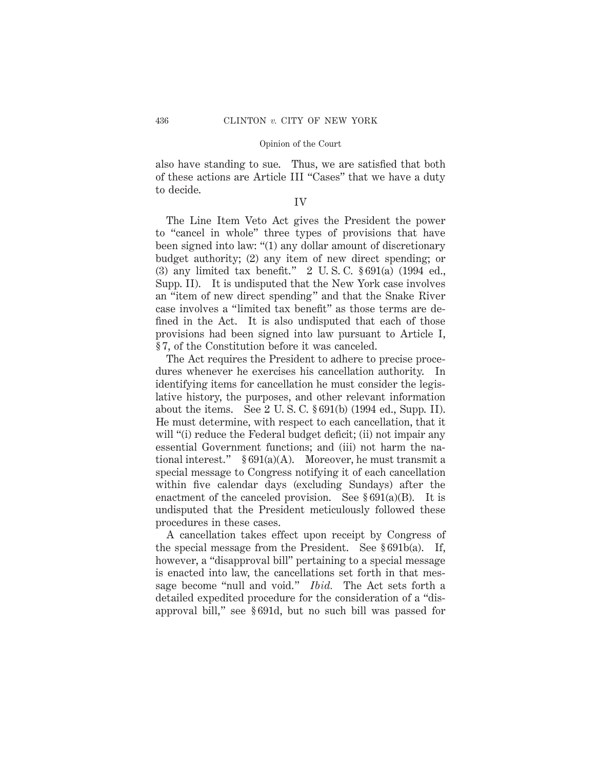also have standing to sue. Thus, we are satisfied that both of these actions are Article III "Cases" that we have a duty to decide.

# IV

The Line Item Veto Act gives the President the power to "cancel in whole" three types of provisions that have been signed into law: "(1) any dollar amount of discretionary budget authority; (2) any item of new direct spending; or (3) any limited tax benefit." 2 U. S. C. § 691(a) (1994 ed., Supp. II). It is undisputed that the New York case involves an "item of new direct spending" and that the Snake River case involves a "limited tax benefit" as those terms are defined in the Act. It is also undisputed that each of those provisions had been signed into law pursuant to Article I, § 7, of the Constitution before it was canceled.

The Act requires the President to adhere to precise procedures whenever he exercises his cancellation authority. In identifying items for cancellation he must consider the legislative history, the purposes, and other relevant information about the items. See 2 U. S. C. § 691(b) (1994 ed., Supp. II). He must determine, with respect to each cancellation, that it will "(i) reduce the Federal budget deficit; (ii) not impair any essential Government functions; and (iii) not harm the national interest." § 691(a)(A). Moreover, he must transmit a special message to Congress notifying it of each cancellation within five calendar days (excluding Sundays) after the enactment of the canceled provision. See  $\S 691(a)(B)$ . It is undisputed that the President meticulously followed these procedures in these cases.

A cancellation takes effect upon receipt by Congress of the special message from the President. See § 691b(a). If, however, a "disapproval bill" pertaining to a special message is enacted into law, the cancellations set forth in that message become "null and void." *Ibid.* The Act sets forth a detailed expedited procedure for the consideration of a "disapproval bill," see § 691d, but no such bill was passed for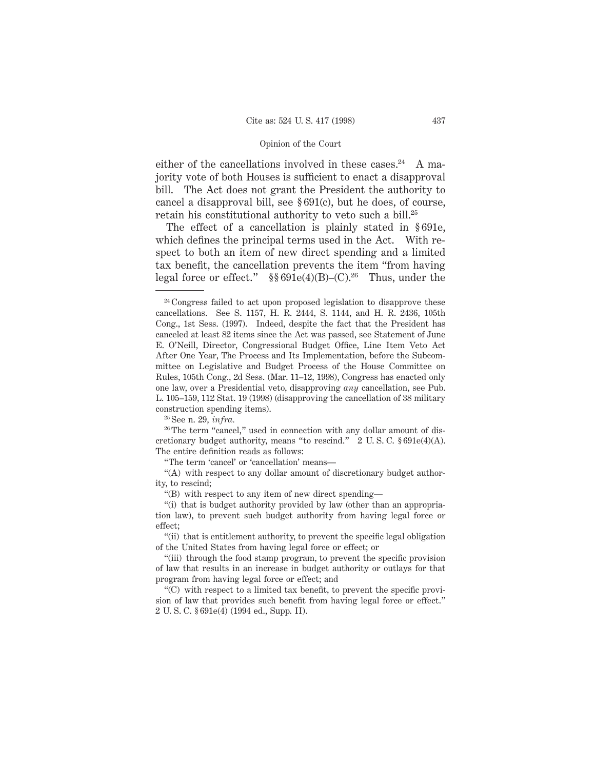either of the cancellations involved in these cases.<sup>24</sup> A majority vote of both Houses is sufficient to enact a disapproval bill. The Act does not grant the President the authority to cancel a disapproval bill, see § 691(c), but he does, of course, retain his constitutional authority to veto such a bill.<sup>25</sup>

The effect of a cancellation is plainly stated in § 691e, which defines the principal terms used in the Act. With respect to both an item of new direct spending and a limited tax benefit, the cancellation prevents the item "from having legal force or effect."  $\S § 691e(4)(B)$ –(C).<sup>26</sup> Thus, under the

<sup>25</sup> See n. 29, *infra.*

<sup>26</sup> The term "cancel," used in connection with any dollar amount of discretionary budget authority, means "to rescind." 2 U. S. C. § 691e(4)(A). The entire definition reads as follows:

"The term 'cancel' or 'cancellation' means—

"(A) with respect to any dollar amount of discretionary budget authority, to rescind;

"(B) with respect to any item of new direct spending—

"(ii) that is entitlement authority, to prevent the specific legal obligation of the United States from having legal force or effect; or

<sup>&</sup>lt;sup>24</sup> Congress failed to act upon proposed legislation to disapprove these cancellations. See S. 1157, H. R. 2444, S. 1144, and H. R. 2436, 105th Cong., 1st Sess. (1997). Indeed, despite the fact that the President has canceled at least 82 items since the Act was passed, see Statement of June E. O'Neill, Director, Congressional Budget Office, Line Item Veto Act After One Year, The Process and Its Implementation, before the Subcommittee on Legislative and Budget Process of the House Committee on Rules, 105th Cong., 2d Sess. (Mar. 11–12, 1998), Congress has enacted only one law, over a Presidential veto, disapproving *any* cancellation, see Pub. L. 105–159, 112 Stat. 19 (1998) (disapproving the cancellation of 38 military construction spending items).

<sup>&</sup>quot;(i) that is budget authority provided by law (other than an appropriation law), to prevent such budget authority from having legal force or effect;

<sup>&</sup>quot;(iii) through the food stamp program, to prevent the specific provision of law that results in an increase in budget authority or outlays for that program from having legal force or effect; and

<sup>&</sup>quot;(C) with respect to a limited tax benefit, to prevent the specific provision of law that provides such benefit from having legal force or effect." 2 U. S. C. § 691e(4) (1994 ed., Supp. II).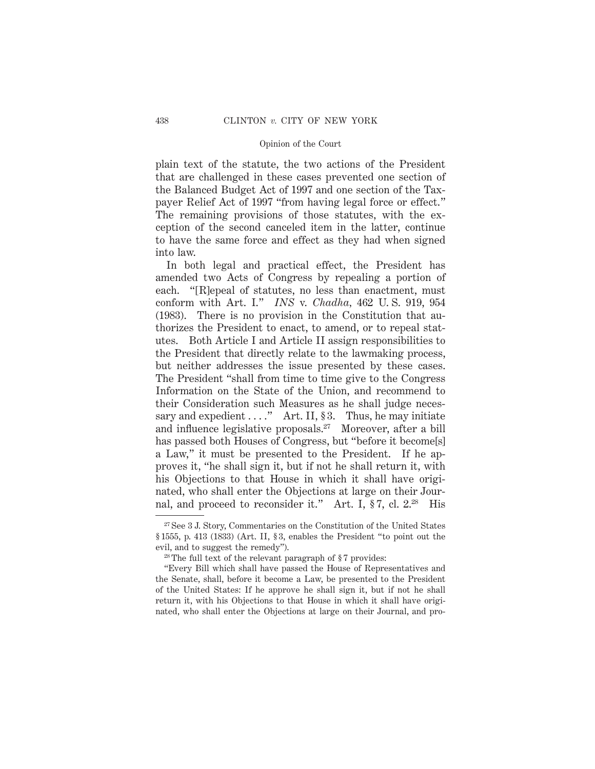plain text of the statute, the two actions of the President that are challenged in these cases prevented one section of the Balanced Budget Act of 1997 and one section of the Taxpayer Relief Act of 1997 "from having legal force or effect." The remaining provisions of those statutes, with the exception of the second canceled item in the latter, continue to have the same force and effect as they had when signed into law.

In both legal and practical effect, the President has amended two Acts of Congress by repealing a portion of each. "[R]epeal of statutes, no less than enactment, must conform with Art. I." *INS* v. *Chadha,* 462 U. S. 919, 954 (1983). There is no provision in the Constitution that authorizes the President to enact, to amend, or to repeal statutes. Both Article I and Article II assign responsibilities to the President that directly relate to the lawmaking process, but neither addresses the issue presented by these cases. The President "shall from time to time give to the Congress Information on the State of the Union, and recommend to their Consideration such Measures as he shall judge necessary and expedient  $\dots$ ." Art. II, § 3. Thus, he may initiate and influence legislative proposals.27 Moreover, after a bill has passed both Houses of Congress, but "before it become[s] a Law," it must be presented to the President. If he approves it, "he shall sign it, but if not he shall return it, with his Objections to that House in which it shall have originated, who shall enter the Objections at large on their Journal, and proceed to reconsider it." Art. I, §7, cl. 2.<sup>28</sup> His

 $27$  See 3 J. Story, Commentaries on the Constitution of the United States § 1555, p. 413 (1833) (Art. II, § 3, enables the President "to point out the evil, and to suggest the remedy").

<sup>28</sup> The full text of the relevant paragraph of § 7 provides:

<sup>&</sup>quot;Every Bill which shall have passed the House of Representatives and the Senate, shall, before it become a Law, be presented to the President of the United States: If he approve he shall sign it, but if not he shall return it, with his Objections to that House in which it shall have originated, who shall enter the Objections at large on their Journal, and pro-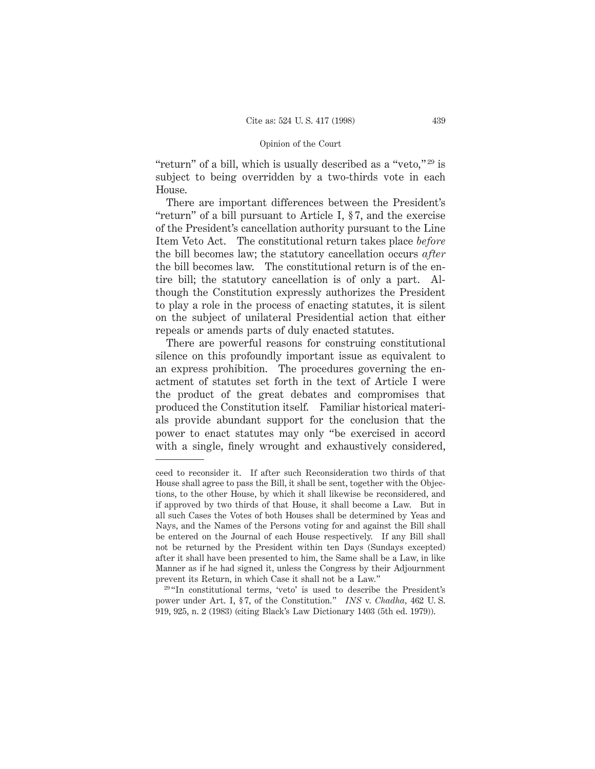"return" of a bill, which is usually described as a "veto,"<sup>29</sup> is subject to being overridden by a two-thirds vote in each House.

There are important differences between the President's "return" of a bill pursuant to Article I, § 7, and the exercise of the President's cancellation authority pursuant to the Line Item Veto Act. The constitutional return takes place *before* the bill becomes law; the statutory cancellation occurs *after* the bill becomes law. The constitutional return is of the entire bill; the statutory cancellation is of only a part. Although the Constitution expressly authorizes the President to play a role in the process of enacting statutes, it is silent on the subject of unilateral Presidential action that either repeals or amends parts of duly enacted statutes.

There are powerful reasons for construing constitutional silence on this profoundly important issue as equivalent to an express prohibition. The procedures governing the enactment of statutes set forth in the text of Article I were the product of the great debates and compromises that produced the Constitution itself. Familiar historical materials provide abundant support for the conclusion that the power to enact statutes may only "be exercised in accord with a single, finely wrought and exhaustively considered,

ceed to reconsider it. If after such Reconsideration two thirds of that House shall agree to pass the Bill, it shall be sent, together with the Objections, to the other House, by which it shall likewise be reconsidered, and if approved by two thirds of that House, it shall become a Law. But in all such Cases the Votes of both Houses shall be determined by Yeas and Nays, and the Names of the Persons voting for and against the Bill shall be entered on the Journal of each House respectively. If any Bill shall not be returned by the President within ten Days (Sundays excepted) after it shall have been presented to him, the Same shall be a Law, in like Manner as if he had signed it, unless the Congress by their Adjournment prevent its Return, in which Case it shall not be a Law."

<sup>29</sup> "In constitutional terms, 'veto' is used to describe the President's power under Art. I, § 7, of the Constitution." *INS* v. *Chadha,* 462 U. S. 919, 925, n. 2 (1983) (citing Black's Law Dictionary 1403 (5th ed. 1979)).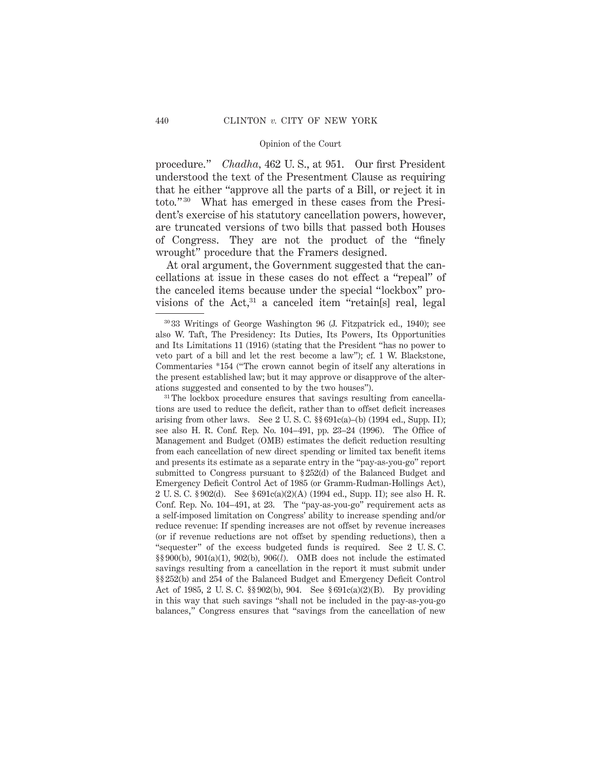procedure." *Chadha,* 462 U. S., at 951. Our first President understood the text of the Presentment Clause as requiring that he either "approve all the parts of a Bill, or reject it in toto." <sup>30</sup> What has emerged in these cases from the President's exercise of his statutory cancellation powers, however, are truncated versions of two bills that passed both Houses of Congress. They are not the product of the "finely wrought" procedure that the Framers designed.

At oral argument, the Government suggested that the cancellations at issue in these cases do not effect a "repeal" of the canceled items because under the special "lockbox" provisions of the  $Act<sup>31</sup>$  a canceled item "retain[s] real, legal

<sup>30</sup> 33 Writings of George Washington 96 (J. Fitzpatrick ed., 1940); see also W. Taft, The Presidency: Its Duties, Its Powers, Its Opportunities and Its Limitations 11 (1916) (stating that the President "has no power to veto part of a bill and let the rest become a law"); cf. 1 W. Blackstone, Commentaries \*154 ("The crown cannot begin of itself any alterations in the present established law; but it may approve or disapprove of the alterations suggested and consented to by the two houses").

<sup>&</sup>lt;sup>31</sup> The lockbox procedure ensures that savings resulting from cancellations are used to reduce the deficit, rather than to offset deficit increases arising from other laws. See 2 U.S.C.  $\S § 691c(a)–(b)$  (1994 ed., Supp. II); see also H. R. Conf. Rep. No. 104–491, pp. 23–24 (1996). The Office of Management and Budget (OMB) estimates the deficit reduction resulting from each cancellation of new direct spending or limited tax benefit items and presents its estimate as a separate entry in the "pay-as-you-go" report submitted to Congress pursuant to § 252(d) of the Balanced Budget and Emergency Deficit Control Act of 1985 (or Gramm-Rudman-Hollings Act), 2 U. S. C. § 902(d). See § 691c(a)(2)(A) (1994 ed., Supp. II); see also H. R. Conf. Rep. No. 104–491, at 23. The "pay-as-you-go" requirement acts as a self-imposed limitation on Congress' ability to increase spending and/or reduce revenue: If spending increases are not offset by revenue increases (or if revenue reductions are not offset by spending reductions), then a "sequester" of the excess budgeted funds is required. See 2 U. S. C. §§ 900(b), 901(a)(1), 902(b), 906(*l*). OMB does not include the estimated savings resulting from a cancellation in the report it must submit under §§ 252(b) and 254 of the Balanced Budget and Emergency Deficit Control Act of 1985, 2 U. S. C. §§ 902(b), 904. See § 691c(a)(2)(B). By providing in this way that such savings "shall not be included in the pay-as-you-go balances," Congress ensures that "savings from the cancellation of new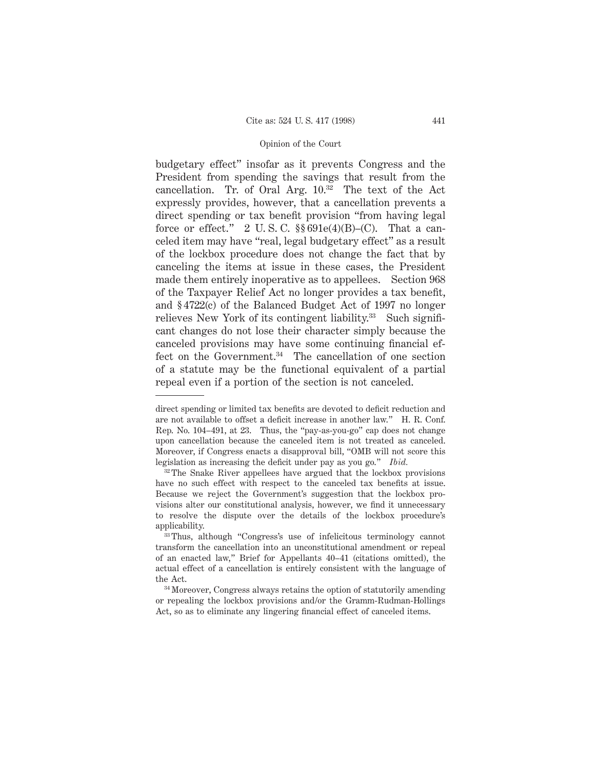budgetary effect" insofar as it prevents Congress and the President from spending the savings that result from the cancellation. Tr. of Oral Arg. 10.32 The text of the Act expressly provides, however, that a cancellation prevents a direct spending or tax benefit provision "from having legal force or effect." 2 U.S.C.  $\S 691e(4)(B)$ –(C). That a canceled item may have "real, legal budgetary effect" as a result of the lockbox procedure does not change the fact that by canceling the items at issue in these cases, the President made them entirely inoperative as to appellees. Section 968 of the Taxpayer Relief Act no longer provides a tax benefit, and § 4722(c) of the Balanced Budget Act of 1997 no longer relieves New York of its contingent liability.<sup>33</sup> Such significant changes do not lose their character simply because the canceled provisions may have some continuing financial effect on the Government.<sup>34</sup> The cancellation of one section of a statute may be the functional equivalent of a partial repeal even if a portion of the section is not canceled.

direct spending or limited tax benefits are devoted to deficit reduction and are not available to offset a deficit increase in another law." H. R. Conf. Rep. No. 104–491, at 23. Thus, the "pay-as-you-go" cap does not change upon cancellation because the canceled item is not treated as canceled. Moreover, if Congress enacts a disapproval bill, "OMB will not score this legislation as increasing the deficit under pay as you go." *Ibid.*

 $32$  The Snake River appellees have argued that the lockbox provisions have no such effect with respect to the canceled tax benefits at issue. Because we reject the Government's suggestion that the lockbox provisions alter our constitutional analysis, however, we find it unnecessary to resolve the dispute over the details of the lockbox procedure's applicability.

<sup>&</sup>lt;sup>33</sup> Thus, although "Congress's use of infelicitous terminology cannot transform the cancellation into an unconstitutional amendment or repeal of an enacted law," Brief for Appellants 40–41 (citations omitted), the actual effect of a cancellation is entirely consistent with the language of the Act.

<sup>&</sup>lt;sup>34</sup> Moreover, Congress always retains the option of statutorily amending or repealing the lockbox provisions and/or the Gramm-Rudman-Hollings Act, so as to eliminate any lingering financial effect of canceled items.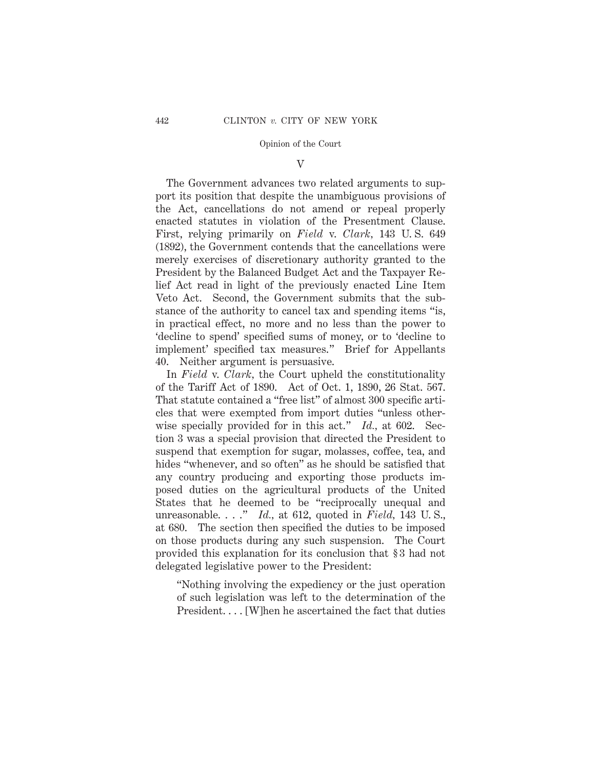### V

The Government advances two related arguments to support its position that despite the unambiguous provisions of the Act, cancellations do not amend or repeal properly enacted statutes in violation of the Presentment Clause. First, relying primarily on *Field* v. *Clark,* 143 U. S. 649 (1892), the Government contends that the cancellations were merely exercises of discretionary authority granted to the President by the Balanced Budget Act and the Taxpayer Relief Act read in light of the previously enacted Line Item Veto Act. Second, the Government submits that the substance of the authority to cancel tax and spending items "is, in practical effect, no more and no less than the power to 'decline to spend' specified sums of money, or to 'decline to implement' specified tax measures." Brief for Appellants 40. Neither argument is persuasive.

In *Field* v. *Clark,* the Court upheld the constitutionality of the Tariff Act of 1890. Act of Oct. 1, 1890, 26 Stat. 567. That statute contained a "free list" of almost 300 specific articles that were exempted from import duties "unless otherwise specially provided for in this act." *Id.,* at 602. Section 3 was a special provision that directed the President to suspend that exemption for sugar, molasses, coffee, tea, and hides "whenever, and so often" as he should be satisfied that any country producing and exporting those products imposed duties on the agricultural products of the United States that he deemed to be "reciprocally unequal and unreasonable. . . ." *Id.,* at 612, quoted in *Field,* 143 U. S., at 680. The section then specified the duties to be imposed on those products during any such suspension. The Court provided this explanation for its conclusion that § 3 had not delegated legislative power to the President:

"Nothing involving the expediency or the just operation of such legislation was left to the determination of the President. . . . [W]hen he ascertained the fact that duties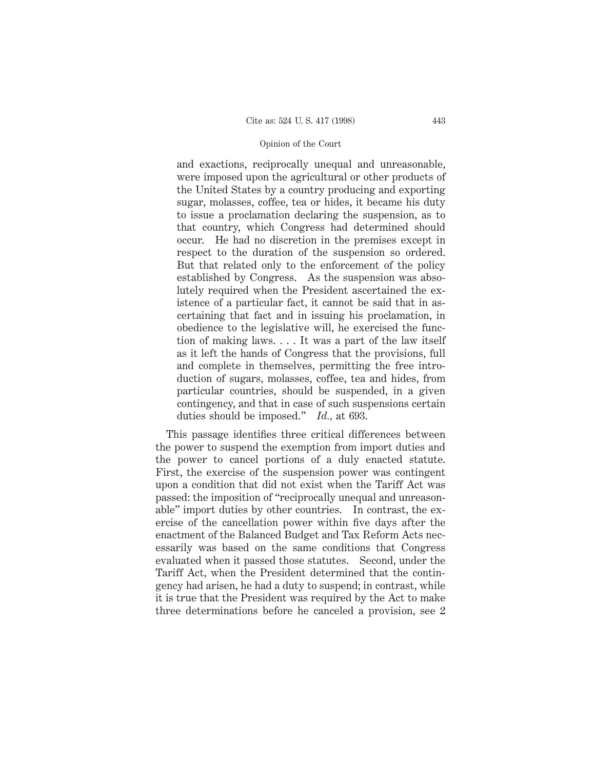and exactions, reciprocally unequal and unreasonable, were imposed upon the agricultural or other products of the United States by a country producing and exporting sugar, molasses, coffee, tea or hides, it became his duty to issue a proclamation declaring the suspension, as to that country, which Congress had determined should occur. He had no discretion in the premises except in respect to the duration of the suspension so ordered. But that related only to the enforcement of the policy established by Congress. As the suspension was absolutely required when the President ascertained the existence of a particular fact, it cannot be said that in ascertaining that fact and in issuing his proclamation, in obedience to the legislative will, he exercised the function of making laws. . . . It was a part of the law itself as it left the hands of Congress that the provisions, full and complete in themselves, permitting the free introduction of sugars, molasses, coffee, tea and hides, from particular countries, should be suspended, in a given contingency, and that in case of such suspensions certain duties should be imposed." *Id.,* at 693.

This passage identifies three critical differences between the power to suspend the exemption from import duties and the power to cancel portions of a duly enacted statute. First, the exercise of the suspension power was contingent upon a condition that did not exist when the Tariff Act was passed: the imposition of "reciprocally unequal and unreasonable" import duties by other countries. In contrast, the exercise of the cancellation power within five days after the enactment of the Balanced Budget and Tax Reform Acts necessarily was based on the same conditions that Congress evaluated when it passed those statutes. Second, under the Tariff Act, when the President determined that the contingency had arisen, he had a duty to suspend; in contrast, while it is true that the President was required by the Act to make three determinations before he canceled a provision, see 2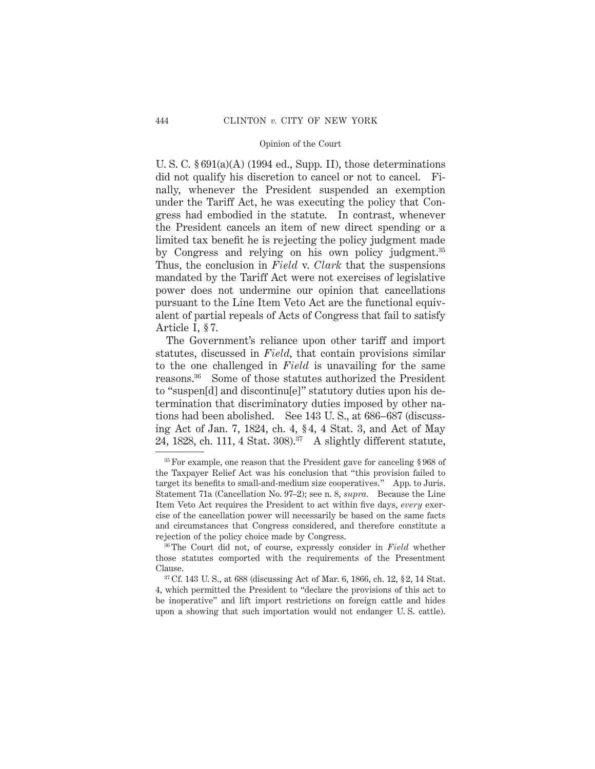U. S. C. § 691(a)(A) (1994 ed., Supp. II), those determinations did not qualify his discretion to cancel or not to cancel. Finally, whenever the President suspended an exemption under the Tariff Act, he was executing the policy that Congress had embodied in the statute. In contrast, whenever the President cancels an item of new direct spending or a limited tax benefit he is rejecting the policy judgment made by Congress and relying on his own policy judgment.<sup>35</sup> Thus, the conclusion in *Field* v. *Clark* that the suspensions mandated by the Tariff Act were not exercises of legislative power does not undermine our opinion that cancellations pursuant to the Line Item Veto Act are the functional equivalent of partial repeals of Acts of Congress that fail to satisfy Article I, § 7.

The Government's reliance upon other tariff and import statutes, discussed in *Field,* that contain provisions similar to the one challenged in *Field* is unavailing for the same reasons.36 Some of those statutes authorized the President to "suspen[d] and discontinu[e]" statutory duties upon his determination that discriminatory duties imposed by other nations had been abolished. See 143 U. S., at 686–687 (discussing Act of Jan. 7, 1824, ch. 4, § 4, 4 Stat. 3, and Act of May 24, 1828, ch. 111, 4 Stat. 308).37 A slightly different statute,

<sup>35</sup> For example, one reason that the President gave for canceling § 968 of the Taxpayer Relief Act was his conclusion that "this provision failed to target its benefits to small-and-medium size cooperatives." App. to Juris. Statement 71a (Cancellation No. 97–2); see n. 8, *supra.* Because the Line Item Veto Act requires the President to act within five days, *every* exercise of the cancellation power will necessarily be based on the same facts and circumstances that Congress considered, and therefore constitute a rejection of the policy choice made by Congress.

<sup>36</sup> The Court did not, of course, expressly consider in *Field* whether those statutes comported with the requirements of the Presentment Clause.

<sup>37</sup> Cf. 143 U. S., at 688 (discussing Act of Mar. 6, 1866, ch. 12, § 2, 14 Stat. 4, which permitted the President to "declare the provisions of this act to be inoperative" and lift import restrictions on foreign cattle and hides upon a showing that such importation would not endanger U. S. cattle).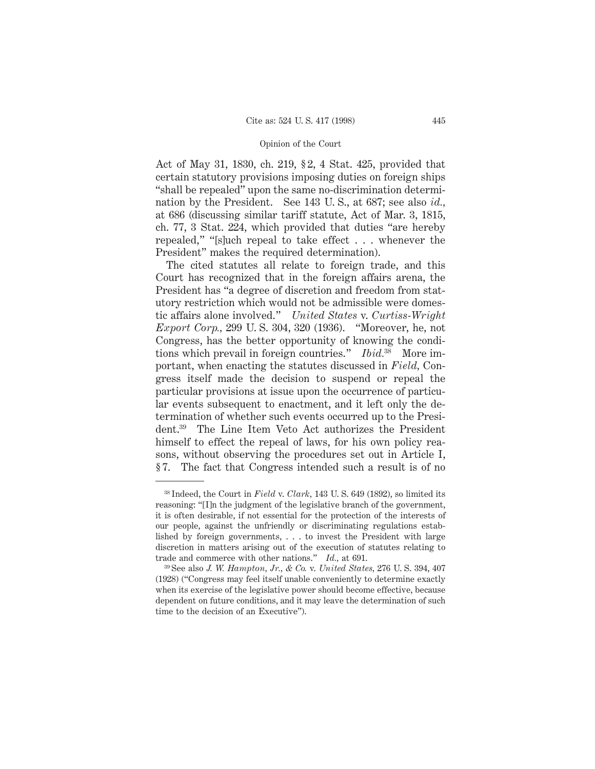Act of May 31, 1830, ch. 219, § 2, 4 Stat. 425, provided that certain statutory provisions imposing duties on foreign ships "shall be repealed" upon the same no-discrimination determination by the President. See 143 U. S., at 687; see also *id.,* at 686 (discussing similar tariff statute, Act of Mar. 3, 1815, ch. 77, 3 Stat. 224, which provided that duties "are hereby repealed," "[s]uch repeal to take effect . . . whenever the President" makes the required determination).

The cited statutes all relate to foreign trade, and this Court has recognized that in the foreign affairs arena, the President has "a degree of discretion and freedom from statutory restriction which would not be admissible were domestic affairs alone involved." *United States* v. *Curtiss-Wright Export Corp.,* 299 U. S. 304, 320 (1936). "Moreover, he, not Congress, has the better opportunity of knowing the conditions which prevail in foreign countries." *Ibid.*<sup>38</sup> More important, when enacting the statutes discussed in *Field,* Congress itself made the decision to suspend or repeal the particular provisions at issue upon the occurrence of particular events subsequent to enactment, and it left only the determination of whether such events occurred up to the President.39 The Line Item Veto Act authorizes the President himself to effect the repeal of laws, for his own policy reasons, without observing the procedures set out in Article I, § 7. The fact that Congress intended such a result is of no

<sup>38</sup> Indeed, the Court in *Field* v. *Clark,* 143 U. S. 649 (1892), so limited its reasoning: "[I]n the judgment of the legislative branch of the government, it is often desirable, if not essential for the protection of the interests of our people, against the unfriendly or discriminating regulations established by foreign governments, . . . to invest the President with large discretion in matters arising out of the execution of statutes relating to trade and commerce with other nations." *Id.,* at 691.

<sup>39</sup> See also *J. W. Hampton, Jr., & Co.* v. *United States,* 276 U. S. 394, 407 (1928) ("Congress may feel itself unable conveniently to determine exactly when its exercise of the legislative power should become effective, because dependent on future conditions, and it may leave the determination of such time to the decision of an Executive").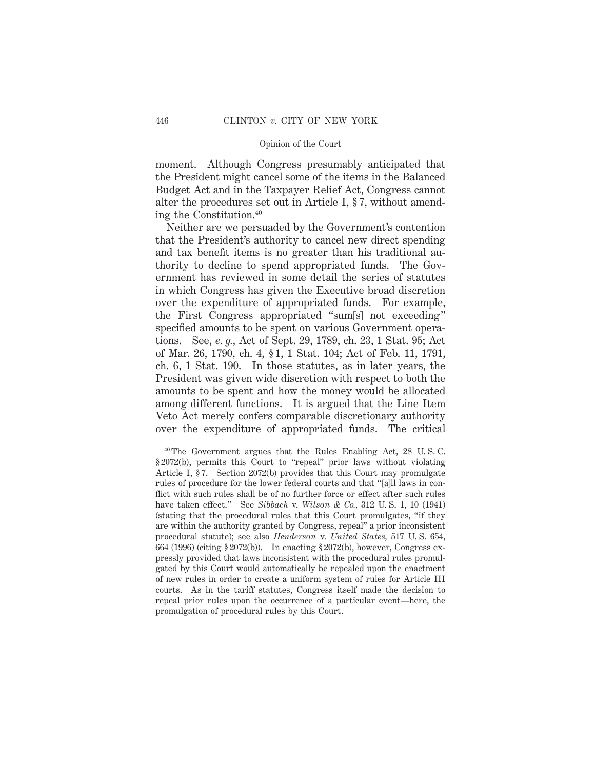moment. Although Congress presumably anticipated that the President might cancel some of the items in the Balanced Budget Act and in the Taxpayer Relief Act, Congress cannot alter the procedures set out in Article I, § 7, without amending the Constitution.40

Neither are we persuaded by the Government's contention that the President's authority to cancel new direct spending and tax benefit items is no greater than his traditional authority to decline to spend appropriated funds. The Government has reviewed in some detail the series of statutes in which Congress has given the Executive broad discretion over the expenditure of appropriated funds. For example, the First Congress appropriated "sum[s] not exceeding" specified amounts to be spent on various Government operations. See, *e. g.,* Act of Sept. 29, 1789, ch. 23, 1 Stat. 95; Act of Mar. 26, 1790, ch. 4, § 1, 1 Stat. 104; Act of Feb. 11, 1791, ch. 6, 1 Stat. 190. In those statutes, as in later years, the President was given wide discretion with respect to both the amounts to be spent and how the money would be allocated among different functions. It is argued that the Line Item Veto Act merely confers comparable discretionary authority over the expenditure of appropriated funds. The critical

<sup>40</sup> The Government argues that the Rules Enabling Act, 28 U. S. C. § 2072(b), permits this Court to "repeal" prior laws without violating Article I, § 7. Section 2072(b) provides that this Court may promulgate rules of procedure for the lower federal courts and that "[a]ll laws in conflict with such rules shall be of no further force or effect after such rules have taken effect." See *Sibbach* v. *Wilson & Co.,* 312 U. S. 1, 10 (1941) (stating that the procedural rules that this Court promulgates, "if they are within the authority granted by Congress, repeal" a prior inconsistent procedural statute); see also *Henderson* v. *United States,* 517 U. S. 654, 664 (1996) (citing § 2072(b)). In enacting § 2072(b), however, Congress expressly provided that laws inconsistent with the procedural rules promulgated by this Court would automatically be repealed upon the enactment of new rules in order to create a uniform system of rules for Article III courts. As in the tariff statutes, Congress itself made the decision to repeal prior rules upon the occurrence of a particular event—here, the promulgation of procedural rules by this Court.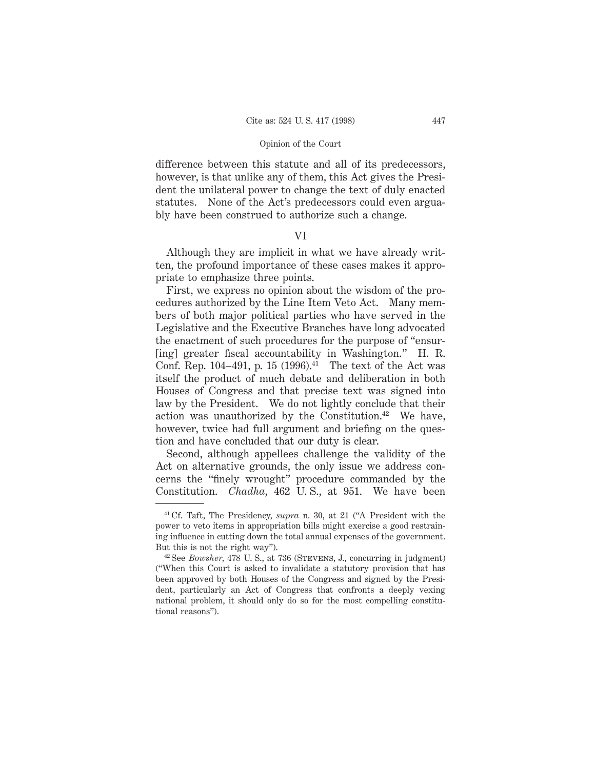difference between this statute and all of its predecessors, however, is that unlike any of them, this Act gives the President the unilateral power to change the text of duly enacted statutes. None of the Act's predecessors could even arguably have been construed to authorize such a change.

### VI

Although they are implicit in what we have already written, the profound importance of these cases makes it appropriate to emphasize three points.

First, we express no opinion about the wisdom of the procedures authorized by the Line Item Veto Act. Many members of both major political parties who have served in the Legislative and the Executive Branches have long advocated the enactment of such procedures for the purpose of "ensur- [ing] greater fiscal accountability in Washington." H. R. Conf. Rep. 104–491, p. 15 (1996).<sup>41</sup> The text of the Act was itself the product of much debate and deliberation in both Houses of Congress and that precise text was signed into law by the President. We do not lightly conclude that their action was unauthorized by the Constitution.42 We have, however, twice had full argument and briefing on the question and have concluded that our duty is clear.

Second, although appellees challenge the validity of the Act on alternative grounds, the only issue we address concerns the "finely wrought" procedure commanded by the Constitution. *Chadha,* 462 U. S., at 951. We have been

<sup>41</sup> Cf. Taft, The Presidency, *supra* n. 30, at 21 ("A President with the power to veto items in appropriation bills might exercise a good restraining influence in cutting down the total annual expenses of the government. But this is not the right way").

<sup>42</sup> See *Bowsher,* 478 U. S., at 736 (Stevens, J., concurring in judgment) ("When this Court is asked to invalidate a statutory provision that has been approved by both Houses of the Congress and signed by the President, particularly an Act of Congress that confronts a deeply vexing national problem, it should only do so for the most compelling constitutional reasons").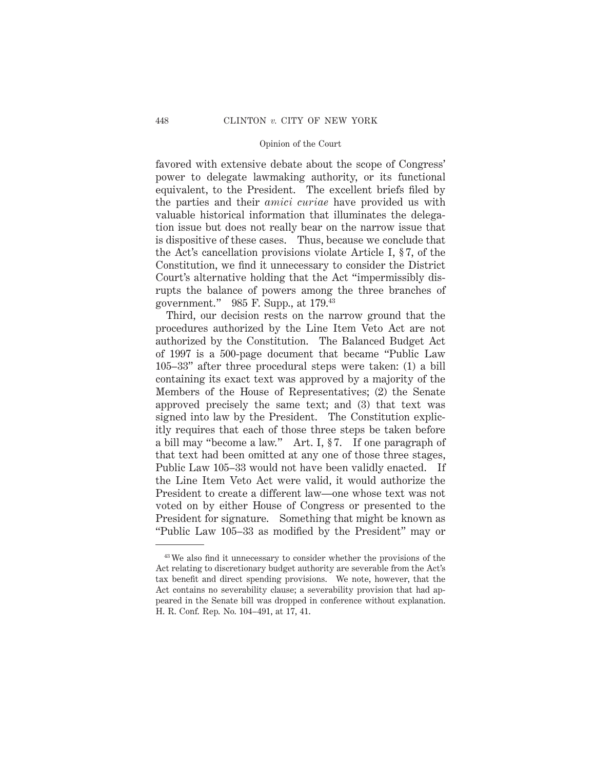favored with extensive debate about the scope of Congress' power to delegate lawmaking authority, or its functional equivalent, to the President. The excellent briefs filed by the parties and their *amici curiae* have provided us with valuable historical information that illuminates the delegation issue but does not really bear on the narrow issue that is dispositive of these cases. Thus, because we conclude that the Act's cancellation provisions violate Article I, § 7, of the Constitution, we find it unnecessary to consider the District Court's alternative holding that the Act "impermissibly disrupts the balance of powers among the three branches of government." 985 F. Supp., at 179.43

Third, our decision rests on the narrow ground that the procedures authorized by the Line Item Veto Act are not authorized by the Constitution. The Balanced Budget Act of 1997 is a 500-page document that became "Public Law 105–33" after three procedural steps were taken: (1) a bill containing its exact text was approved by a majority of the Members of the House of Representatives; (2) the Senate approved precisely the same text; and (3) that text was signed into law by the President. The Constitution explicitly requires that each of those three steps be taken before a bill may "become a law." Art. I, § 7. If one paragraph of that text had been omitted at any one of those three stages, Public Law 105–33 would not have been validly enacted. If the Line Item Veto Act were valid, it would authorize the President to create a different law—one whose text was not voted on by either House of Congress or presented to the President for signature. Something that might be known as "Public Law 105–33 as modified by the President" may or

<sup>43</sup> We also find it unnecessary to consider whether the provisions of the Act relating to discretionary budget authority are severable from the Act's tax benefit and direct spending provisions. We note, however, that the Act contains no severability clause; a severability provision that had appeared in the Senate bill was dropped in conference without explanation. H. R. Conf. Rep. No. 104–491, at 17, 41.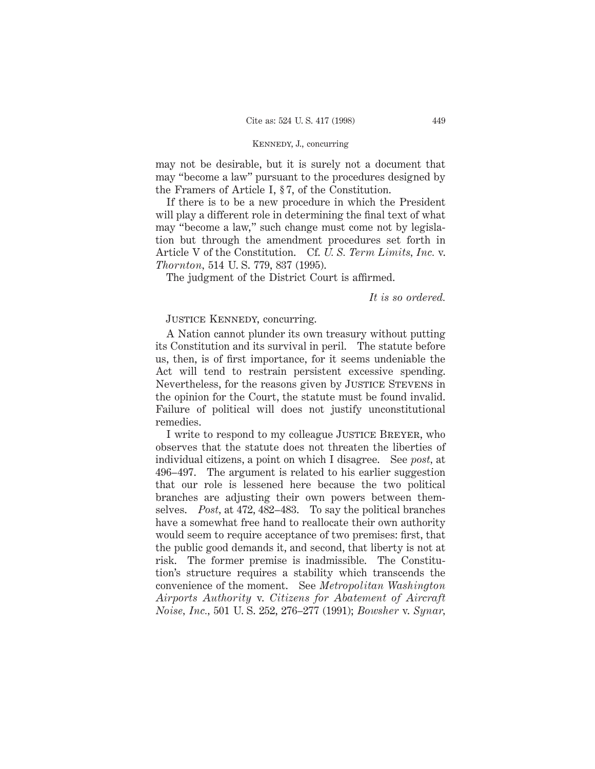may not be desirable, but it is surely not a document that may "become a law" pursuant to the procedures designed by the Framers of Article I, § 7, of the Constitution.

If there is to be a new procedure in which the President will play a different role in determining the final text of what may "become a law," such change must come not by legislation but through the amendment procedures set forth in Article V of the Constitution. Cf. *U. S. Term Limits, Inc.* v. *Thornton,* 514 U. S. 779, 837 (1995).

The judgment of the District Court is affirmed.

*It is so ordered.*

JUSTICE KENNEDY, concurring.

A Nation cannot plunder its own treasury without putting its Constitution and its survival in peril. The statute before us, then, is of first importance, for it seems undeniable the Act will tend to restrain persistent excessive spending. Nevertheless, for the reasons given by JUSTICE STEVENS in the opinion for the Court, the statute must be found invalid. Failure of political will does not justify unconstitutional remedies.

I write to respond to my colleague Justice Breyer, who observes that the statute does not threaten the liberties of individual citizens, a point on which I disagree. See *post,* at 496–497. The argument is related to his earlier suggestion that our role is lessened here because the two political branches are adjusting their own powers between themselves. *Post,* at 472, 482–483. To say the political branches have a somewhat free hand to reallocate their own authority would seem to require acceptance of two premises: first, that the public good demands it, and second, that liberty is not at risk. The former premise is inadmissible. The Constitution's structure requires a stability which transcends the convenience of the moment. See *Metropolitan Washington Airports Authority* v. *Citizens for Abatement of Aircraft Noise, Inc.,* 501 U. S. 252, 276–277 (1991); *Bowsher* v. *Synar,*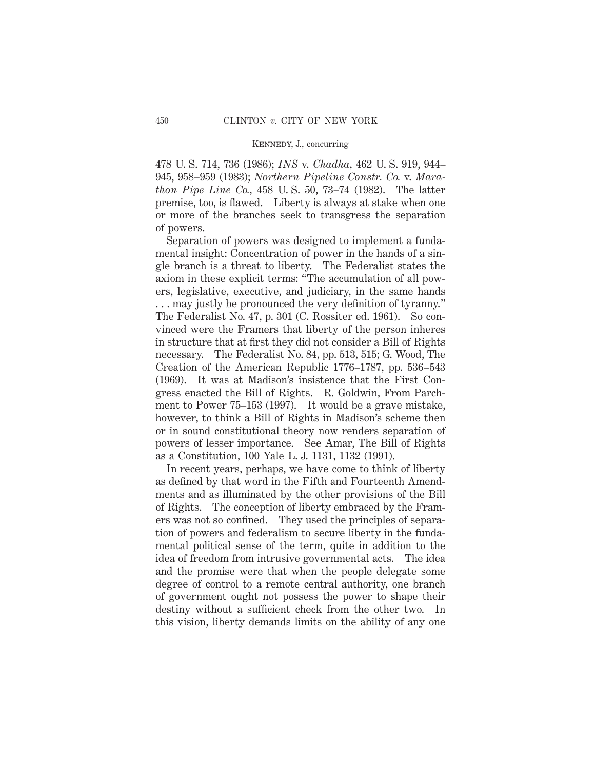478 U. S. 714, 736 (1986); *INS* v. *Chadha,* 462 U. S. 919, 944– 945, 958–959 (1983); *Northern Pipeline Constr. Co.* v. *Marathon Pipe Line Co.,* 458 U. S. 50, 73–74 (1982). The latter premise, too, is flawed. Liberty is always at stake when one or more of the branches seek to transgress the separation of powers.

Separation of powers was designed to implement a fundamental insight: Concentration of power in the hands of a single branch is a threat to liberty. The Federalist states the axiom in these explicit terms: "The accumulation of all powers, legislative, executive, and judiciary, in the same hands . . . may justly be pronounced the very definition of tyranny." The Federalist No. 47, p. 301 (C. Rossiter ed. 1961). So convinced were the Framers that liberty of the person inheres in structure that at first they did not consider a Bill of Rights necessary. The Federalist No. 84, pp. 513, 515; G. Wood, The Creation of the American Republic 1776–1787, pp. 536–543 (1969). It was at Madison's insistence that the First Congress enacted the Bill of Rights. R. Goldwin, From Parchment to Power 75–153 (1997). It would be a grave mistake, however, to think a Bill of Rights in Madison's scheme then or in sound constitutional theory now renders separation of powers of lesser importance. See Amar, The Bill of Rights as a Constitution, 100 Yale L. J. 1131, 1132 (1991).

In recent years, perhaps, we have come to think of liberty as defined by that word in the Fifth and Fourteenth Amendments and as illuminated by the other provisions of the Bill of Rights. The conception of liberty embraced by the Framers was not so confined. They used the principles of separation of powers and federalism to secure liberty in the fundamental political sense of the term, quite in addition to the idea of freedom from intrusive governmental acts. The idea and the promise were that when the people delegate some degree of control to a remote central authority, one branch of government ought not possess the power to shape their destiny without a sufficient check from the other two. In this vision, liberty demands limits on the ability of any one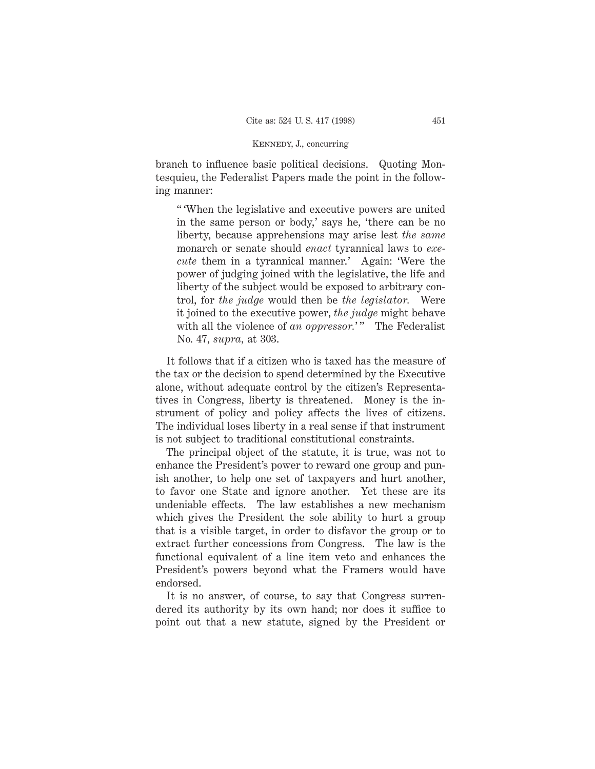branch to influence basic political decisions. Quoting Montesquieu, the Federalist Papers made the point in the following manner:

" 'When the legislative and executive powers are united in the same person or body,' says he, 'there can be no liberty, because apprehensions may arise lest *the same* monarch or senate should *enact* tyrannical laws to *execute* them in a tyrannical manner.' Again: 'Were the power of judging joined with the legislative, the life and liberty of the subject would be exposed to arbitrary control, for *the judge* would then be *the legislator.* Were it joined to the executive power, *the judge* might behave with all the violence of an oppressor.'" The Federalist No. 47, *supra,* at 303.

It follows that if a citizen who is taxed has the measure of the tax or the decision to spend determined by the Executive alone, without adequate control by the citizen's Representatives in Congress, liberty is threatened. Money is the instrument of policy and policy affects the lives of citizens. The individual loses liberty in a real sense if that instrument is not subject to traditional constitutional constraints.

The principal object of the statute, it is true, was not to enhance the President's power to reward one group and punish another, to help one set of taxpayers and hurt another, to favor one State and ignore another. Yet these are its undeniable effects. The law establishes a new mechanism which gives the President the sole ability to hurt a group that is a visible target, in order to disfavor the group or to extract further concessions from Congress. The law is the functional equivalent of a line item veto and enhances the President's powers beyond what the Framers would have endorsed.

It is no answer, of course, to say that Congress surrendered its authority by its own hand; nor does it suffice to point out that a new statute, signed by the President or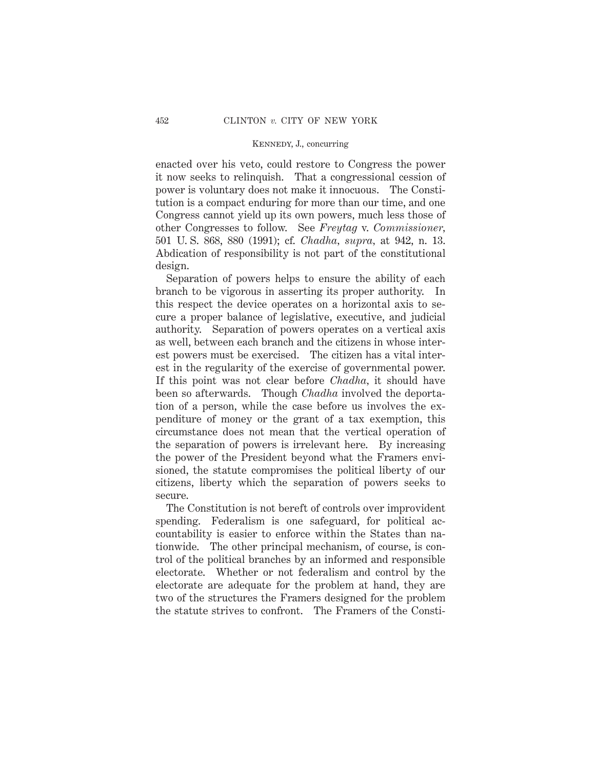enacted over his veto, could restore to Congress the power it now seeks to relinquish. That a congressional cession of power is voluntary does not make it innocuous. The Constitution is a compact enduring for more than our time, and one Congress cannot yield up its own powers, much less those of other Congresses to follow. See *Freytag* v. *Commissioner,* 501 U. S. 868, 880 (1991); cf. *Chadha, supra,* at 942, n. 13. Abdication of responsibility is not part of the constitutional design.

Separation of powers helps to ensure the ability of each branch to be vigorous in asserting its proper authority. In this respect the device operates on a horizontal axis to secure a proper balance of legislative, executive, and judicial authority. Separation of powers operates on a vertical axis as well, between each branch and the citizens in whose interest powers must be exercised. The citizen has a vital interest in the regularity of the exercise of governmental power. If this point was not clear before *Chadha,* it should have been so afterwards. Though *Chadha* involved the deportation of a person, while the case before us involves the expenditure of money or the grant of a tax exemption, this circumstance does not mean that the vertical operation of the separation of powers is irrelevant here. By increasing the power of the President beyond what the Framers envisioned, the statute compromises the political liberty of our citizens, liberty which the separation of powers seeks to secure.

The Constitution is not bereft of controls over improvident spending. Federalism is one safeguard, for political accountability is easier to enforce within the States than nationwide. The other principal mechanism, of course, is control of the political branches by an informed and responsible electorate. Whether or not federalism and control by the electorate are adequate for the problem at hand, they are two of the structures the Framers designed for the problem the statute strives to confront. The Framers of the Consti-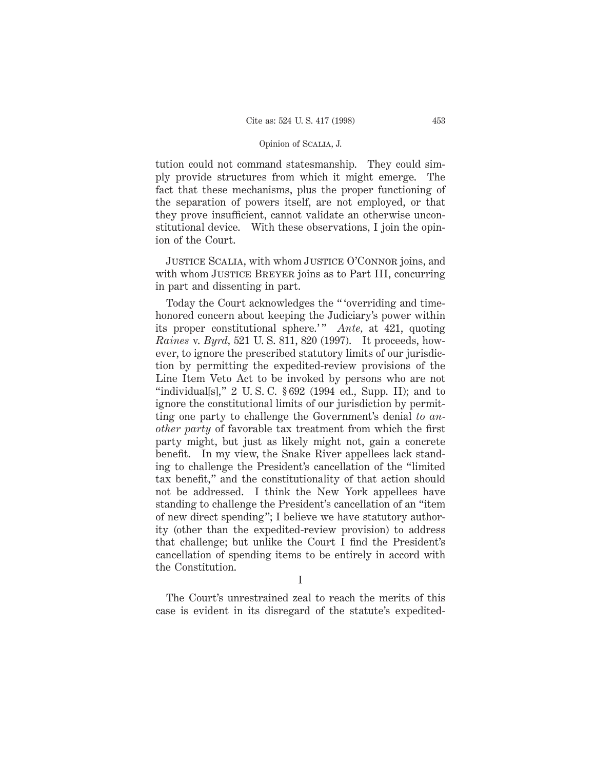tution could not command statesmanship. They could simply provide structures from which it might emerge. The fact that these mechanisms, plus the proper functioning of the separation of powers itself, are not employed, or that they prove insufficient, cannot validate an otherwise unconstitutional device. With these observations, I join the opinion of the Court.

Justice Scalia, with whom Justice O'Connor joins, and with whom JUSTICE BREYER joins as to Part III, concurring in part and dissenting in part.

Today the Court acknowledges the " 'overriding and timehonored concern about keeping the Judiciary's power within its proper constitutional sphere.'" *Ante*, at 421, quoting *Raines* v. *Byrd,* 521 U. S. 811, 820 (1997). It proceeds, however, to ignore the prescribed statutory limits of our jurisdiction by permitting the expedited-review provisions of the Line Item Veto Act to be invoked by persons who are not "individual[s]," 2 U.S.C.  $\S 692$  (1994 ed., Supp. II); and to ignore the constitutional limits of our jurisdiction by permitting one party to challenge the Government's denial *to another party* of favorable tax treatment from which the first party might, but just as likely might not, gain a concrete benefit. In my view, the Snake River appellees lack standing to challenge the President's cancellation of the "limited tax benefit," and the constitutionality of that action should not be addressed. I think the New York appellees have standing to challenge the President's cancellation of an "item of new direct spending"; I believe we have statutory authority (other than the expedited-review provision) to address that challenge; but unlike the Court I find the President's cancellation of spending items to be entirely in accord with the Constitution.

I

The Court's unrestrained zeal to reach the merits of this case is evident in its disregard of the statute's expedited-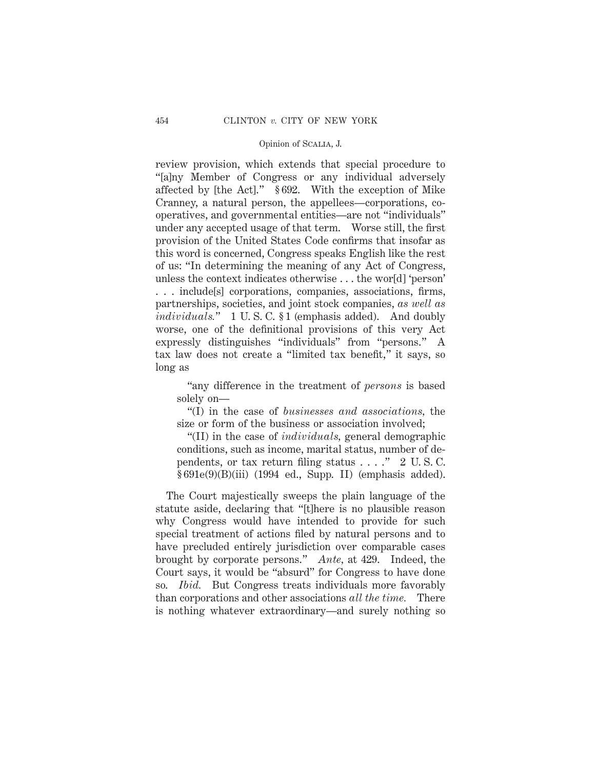review provision, which extends that special procedure to "[a]ny Member of Congress or any individual adversely affected by [the Act]." § 692. With the exception of Mike Cranney, a natural person, the appellees—corporations, cooperatives, and governmental entities—are not "individuals" under any accepted usage of that term. Worse still, the first provision of the United States Code confirms that insofar as this word is concerned, Congress speaks English like the rest of us: "In determining the meaning of any Act of Congress, unless the context indicates otherwise . . . the wor[d] 'person' . . . include[s] corporations, companies, associations, firms, partnerships, societies, and joint stock companies, *as well as individuals.*" 1 U. S. C. § 1 (emphasis added). And doubly worse, one of the definitional provisions of this very Act expressly distinguishes "individuals" from "persons." A tax law does not create a "limited tax benefit," it says, so long as

"any difference in the treatment of *persons* is based solely on—

"(I) in the case of *businesses and associations,* the size or form of the business or association involved;

"(II) in the case of *individuals,* general demographic conditions, such as income, marital status, number of dependents, or tax return filing status . . . ." 2 U. S. C.  $§ 691e(9)(B)(iii)$  (1994 ed., Supp. II) (emphasis added).

The Court majestically sweeps the plain language of the statute aside, declaring that "[t]here is no plausible reason why Congress would have intended to provide for such special treatment of actions filed by natural persons and to have precluded entirely jurisdiction over comparable cases brought by corporate persons." *Ante,* at 429. Indeed, the Court says, it would be "absurd" for Congress to have done so. *Ibid.* But Congress treats individuals more favorably than corporations and other associations *all the time.* There is nothing whatever extraordinary—and surely nothing so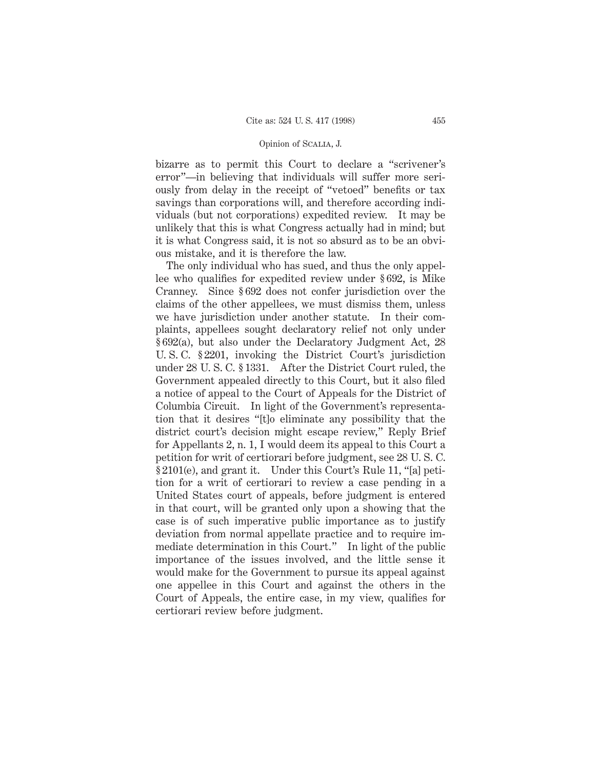bizarre as to permit this Court to declare a "scrivener's error"—in believing that individuals will suffer more seriously from delay in the receipt of "vetoed" benefits or tax savings than corporations will, and therefore according individuals (but not corporations) expedited review. It may be unlikely that this is what Congress actually had in mind; but it is what Congress said, it is not so absurd as to be an obvious mistake, and it is therefore the law.

The only individual who has sued, and thus the only appellee who qualifies for expedited review under § 692, is Mike Cranney. Since § 692 does not confer jurisdiction over the claims of the other appellees, we must dismiss them, unless we have jurisdiction under another statute. In their complaints, appellees sought declaratory relief not only under § 692(a), but also under the Declaratory Judgment Act, 28 U. S. C. § 2201, invoking the District Court's jurisdiction under 28 U. S. C. § 1331. After the District Court ruled, the Government appealed directly to this Court, but it also filed a notice of appeal to the Court of Appeals for the District of Columbia Circuit. In light of the Government's representation that it desires "[t]o eliminate any possibility that the district court's decision might escape review," Reply Brief for Appellants 2, n. 1, I would deem its appeal to this Court a petition for writ of certiorari before judgment, see 28 U. S. C. § 2101(e), and grant it. Under this Court's Rule 11, "[a] petition for a writ of certiorari to review a case pending in a United States court of appeals, before judgment is entered in that court, will be granted only upon a showing that the case is of such imperative public importance as to justify deviation from normal appellate practice and to require immediate determination in this Court." In light of the public importance of the issues involved, and the little sense it would make for the Government to pursue its appeal against one appellee in this Court and against the others in the Court of Appeals, the entire case, in my view, qualifies for certiorari review before judgment.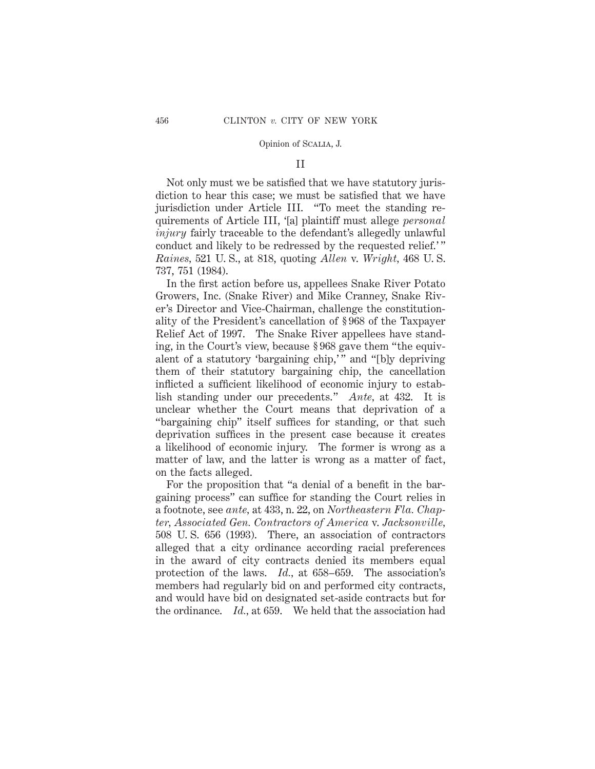#### II

Not only must we be satisfied that we have statutory jurisdiction to hear this case; we must be satisfied that we have jurisdiction under Article III. "To meet the standing requirements of Article III, '[a] plaintiff must allege *personal injury* fairly traceable to the defendant's allegedly unlawful conduct and likely to be redressed by the requested relief.'" *Raines,* 521 U. S., at 818, quoting *Allen* v. *Wright,* 468 U. S. 737, 751 (1984).

In the first action before us, appellees Snake River Potato Growers, Inc. (Snake River) and Mike Cranney, Snake River's Director and Vice-Chairman, challenge the constitutionality of the President's cancellation of § 968 of the Taxpayer Relief Act of 1997. The Snake River appellees have standing, in the Court's view, because § 968 gave them "the equivalent of a statutory 'bargaining chip,'" and "[b]y depriving them of their statutory bargaining chip, the cancellation inflicted a sufficient likelihood of economic injury to establish standing under our precedents." *Ante,* at 432. It is unclear whether the Court means that deprivation of a "bargaining chip" itself suffices for standing, or that such deprivation suffices in the present case because it creates a likelihood of economic injury. The former is wrong as a matter of law, and the latter is wrong as a matter of fact, on the facts alleged.

For the proposition that "a denial of a benefit in the bargaining process" can suffice for standing the Court relies in a footnote, see *ante,* at 433, n. 22, on *Northeastern Fla. Chapter, Associated Gen. Contractors of America* v. *Jacksonville,* 508 U. S. 656 (1993). There, an association of contractors alleged that a city ordinance according racial preferences in the award of city contracts denied its members equal protection of the laws. *Id.,* at 658–659. The association's members had regularly bid on and performed city contracts, and would have bid on designated set-aside contracts but for the ordinance. *Id.,* at 659. We held that the association had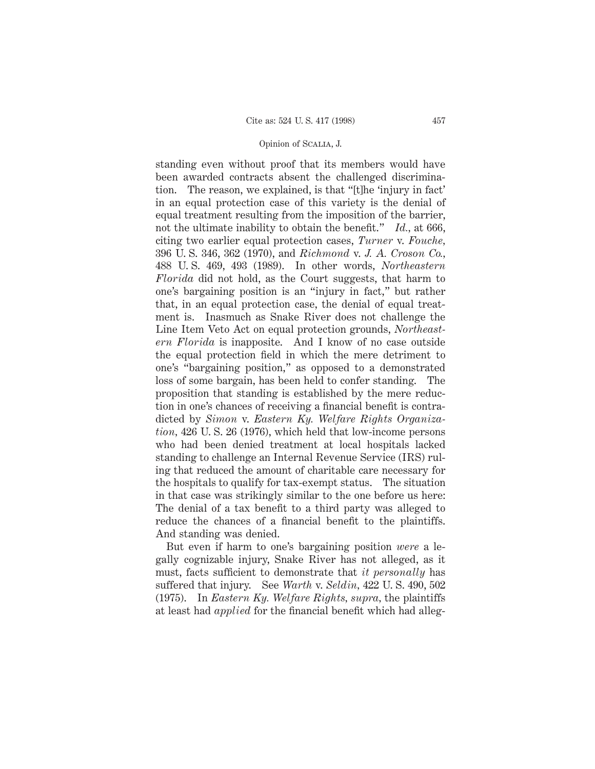standing even without proof that its members would have been awarded contracts absent the challenged discrimination. The reason, we explained, is that "[t]he 'injury in fact' in an equal protection case of this variety is the denial of equal treatment resulting from the imposition of the barrier, not the ultimate inability to obtain the benefit." *Id.,* at 666, citing two earlier equal protection cases, *Turner* v. *Fouche,* 396 U. S. 346, 362 (1970), and *Richmond* v. *J. A. Croson Co.,* 488 U. S. 469, 493 (1989). In other words, *Northeastern Florida* did not hold, as the Court suggests, that harm to one's bargaining position is an "injury in fact," but rather that, in an equal protection case, the denial of equal treatment is. Inasmuch as Snake River does not challenge the Line Item Veto Act on equal protection grounds, *Northeastern Florida* is inapposite. And I know of no case outside the equal protection field in which the mere detriment to one's "bargaining position," as opposed to a demonstrated loss of some bargain, has been held to confer standing. The proposition that standing is established by the mere reduction in one's chances of receiving a financial benefit is contradicted by *Simon* v. *Eastern Ky. Welfare Rights Organization,* 426 U. S. 26 (1976), which held that low-income persons who had been denied treatment at local hospitals lacked standing to challenge an Internal Revenue Service (IRS) ruling that reduced the amount of charitable care necessary for the hospitals to qualify for tax-exempt status. The situation in that case was strikingly similar to the one before us here: The denial of a tax benefit to a third party was alleged to reduce the chances of a financial benefit to the plaintiffs. And standing was denied.

But even if harm to one's bargaining position *were* a legally cognizable injury, Snake River has not alleged, as it must, facts sufficient to demonstrate that *it personally* has suffered that injury. See *Warth* v. *Seldin,* 422 U. S. 490, 502 (1975). In *Eastern Ky. Welfare Rights, supra,* the plaintiffs at least had *applied* for the financial benefit which had alleg-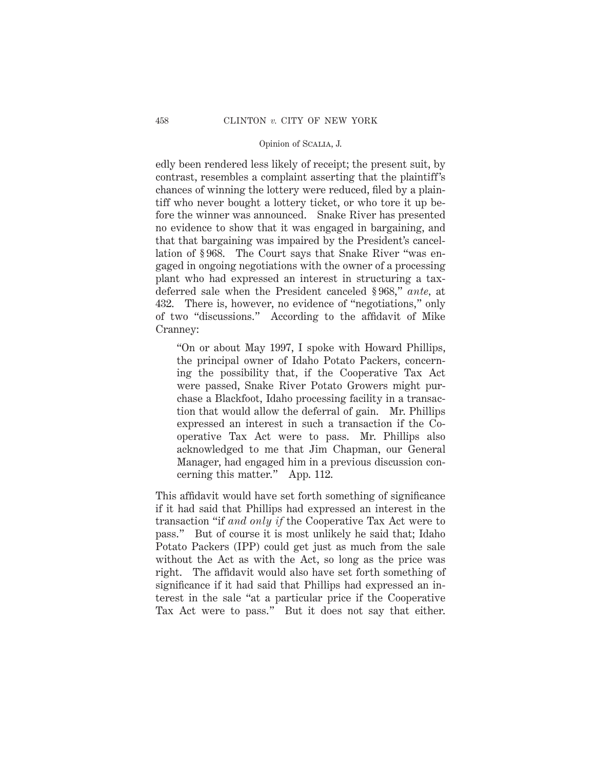edly been rendered less likely of receipt; the present suit, by contrast, resembles a complaint asserting that the plaintiff's chances of winning the lottery were reduced, filed by a plaintiff who never bought a lottery ticket, or who tore it up before the winner was announced. Snake River has presented no evidence to show that it was engaged in bargaining, and that that bargaining was impaired by the President's cancellation of § 968. The Court says that Snake River "was engaged in ongoing negotiations with the owner of a processing plant who had expressed an interest in structuring a taxdeferred sale when the President canceled § 968," *ante,* at 432. There is, however, no evidence of "negotiations," only of two "discussions." According to the affidavit of Mike Cranney:

"On or about May 1997, I spoke with Howard Phillips, the principal owner of Idaho Potato Packers, concerning the possibility that, if the Cooperative Tax Act were passed, Snake River Potato Growers might purchase a Blackfoot, Idaho processing facility in a transaction that would allow the deferral of gain. Mr. Phillips expressed an interest in such a transaction if the Cooperative Tax Act were to pass. Mr. Phillips also acknowledged to me that Jim Chapman, our General Manager, had engaged him in a previous discussion concerning this matter." App. 112.

This affidavit would have set forth something of significance if it had said that Phillips had expressed an interest in the transaction "if *and only if* the Cooperative Tax Act were to pass." But of course it is most unlikely he said that; Idaho Potato Packers (IPP) could get just as much from the sale without the Act as with the Act, so long as the price was right. The affidavit would also have set forth something of significance if it had said that Phillips had expressed an interest in the sale "at a particular price if the Cooperative Tax Act were to pass." But it does not say that either.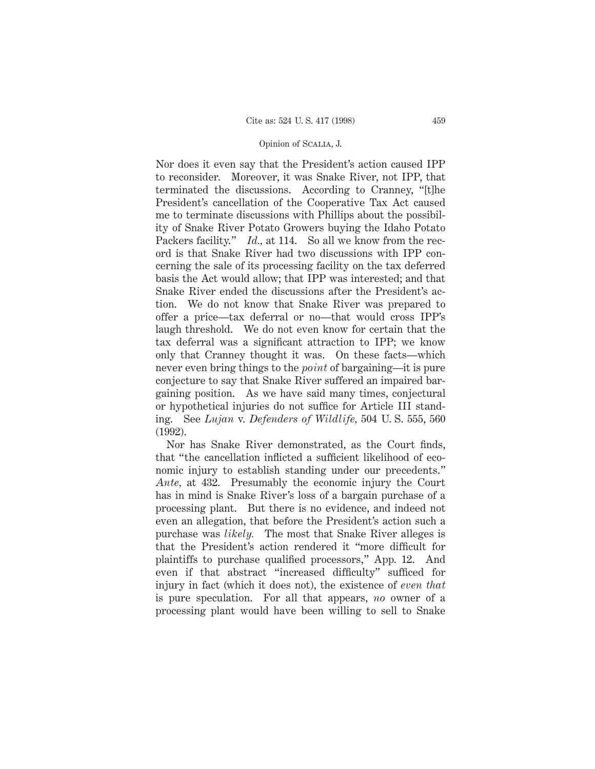Nor does it even say that the President's action caused IPP to reconsider. Moreover, it was Snake River, not IPP, that terminated the discussions. According to Cranney, "[t]he President's cancellation of the Cooperative Tax Act caused me to terminate discussions with Phillips about the possibility of Snake River Potato Growers buying the Idaho Potato Packers facility." *Id.*, at 114. So all we know from the record is that Snake River had two discussions with IPP concerning the sale of its processing facility on the tax deferred basis the Act would allow; that IPP was interested; and that Snake River ended the discussions after the President's action. We do not know that Snake River was prepared to offer a price—tax deferral or no—that would cross IPP's laugh threshold. We do not even know for certain that the tax deferral was a significant attraction to IPP; we know only that Cranney thought it was. On these facts—which never even bring things to the *point* of bargaining—it is pure conjecture to say that Snake River suffered an impaired bargaining position. As we have said many times, conjectural or hypothetical injuries do not suffice for Article III standing. See *Lujan* v. *Defenders of Wildlife,* 504 U. S. 555, 560 (1992).

Nor has Snake River demonstrated, as the Court finds, that "the cancellation inflicted a sufficient likelihood of economic injury to establish standing under our precedents." *Ante,* at 432. Presumably the economic injury the Court has in mind is Snake River's loss of a bargain purchase of a processing plant. But there is no evidence, and indeed not even an allegation, that before the President's action such a purchase was *likely.* The most that Snake River alleges is that the President's action rendered it "more difficult for plaintiffs to purchase qualified processors," App. 12. And even if that abstract "increased difficulty" sufficed for injury in fact (which it does not), the existence of *even that* is pure speculation. For all that appears, *no* owner of a processing plant would have been willing to sell to Snake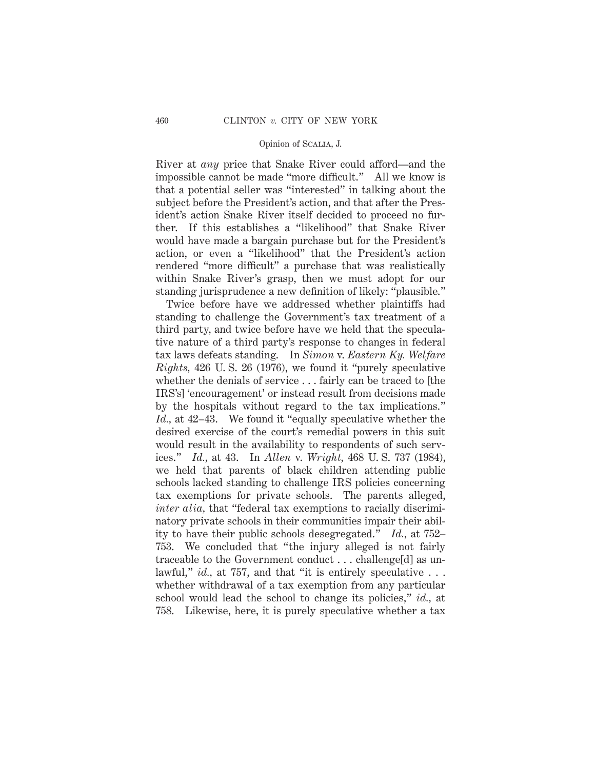River at *any* price that Snake River could afford—and the impossible cannot be made "more difficult." All we know is that a potential seller was "interested" in talking about the subject before the President's action, and that after the President's action Snake River itself decided to proceed no further. If this establishes a "likelihood" that Snake River would have made a bargain purchase but for the President's action, or even a "likelihood" that the President's action rendered "more difficult" a purchase that was realistically within Snake River's grasp, then we must adopt for our standing jurisprudence a new definition of likely: "plausible."

Twice before have we addressed whether plaintiffs had standing to challenge the Government's tax treatment of a third party, and twice before have we held that the speculative nature of a third party's response to changes in federal tax laws defeats standing. In *Simon* v. *Eastern Ky. Welfare Rights,* 426 U. S. 26 (1976), we found it "purely speculative whether the denials of service . . . fairly can be traced to [the IRS's] 'encouragement' or instead result from decisions made by the hospitals without regard to the tax implications." *Id.,* at 42–43. We found it "equally speculative whether the desired exercise of the court's remedial powers in this suit would result in the availability to respondents of such services." *Id.,* at 43. In *Allen* v. *Wright,* 468 U. S. 737 (1984), we held that parents of black children attending public schools lacked standing to challenge IRS policies concerning tax exemptions for private schools. The parents alleged, *inter alia,* that "federal tax exemptions to racially discriminatory private schools in their communities impair their ability to have their public schools desegregated." *Id.,* at 752– 753. We concluded that "the injury alleged is not fairly traceable to the Government conduct . . . challenge[d] as unlawful," *id.*, at 757, and that "it is entirely speculative... whether withdrawal of a tax exemption from any particular school would lead the school to change its policies," *id.,* at 758. Likewise, here, it is purely speculative whether a tax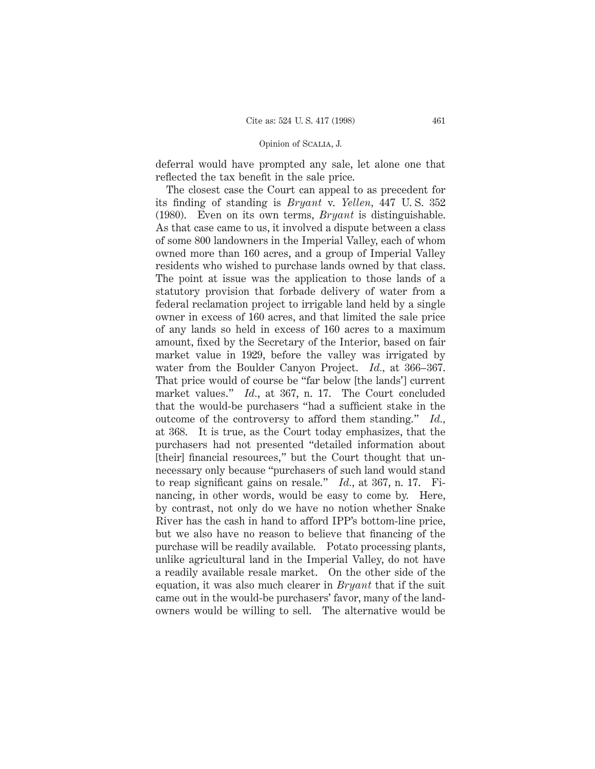deferral would have prompted any sale, let alone one that reflected the tax benefit in the sale price.

The closest case the Court can appeal to as precedent for its finding of standing is *Bryant* v. *Yellen,* 447 U. S. 352 (1980). Even on its own terms, *Bryant* is distinguishable. As that case came to us, it involved a dispute between a class of some 800 landowners in the Imperial Valley, each of whom owned more than 160 acres, and a group of Imperial Valley residents who wished to purchase lands owned by that class. The point at issue was the application to those lands of a statutory provision that forbade delivery of water from a federal reclamation project to irrigable land held by a single owner in excess of 160 acres, and that limited the sale price of any lands so held in excess of 160 acres to a maximum amount, fixed by the Secretary of the Interior, based on fair market value in 1929, before the valley was irrigated by water from the Boulder Canyon Project. *Id.,* at 366–367. That price would of course be "far below [the lands'] current market values." *Id.*, at 367, n. 17. The Court concluded that the would-be purchasers "had a sufficient stake in the outcome of the controversy to afford them standing." *Id.,* at 368. It is true, as the Court today emphasizes, that the purchasers had not presented "detailed information about [their] financial resources," but the Court thought that unnecessary only because "purchasers of such land would stand to reap significant gains on resale." *Id.*, at 367, n. 17. Financing, in other words, would be easy to come by. Here, by contrast, not only do we have no notion whether Snake River has the cash in hand to afford IPP's bottom-line price, but we also have no reason to believe that financing of the purchase will be readily available. Potato processing plants, unlike agricultural land in the Imperial Valley, do not have a readily available resale market. On the other side of the equation, it was also much clearer in *Bryant* that if the suit came out in the would-be purchasers' favor, many of the landowners would be willing to sell. The alternative would be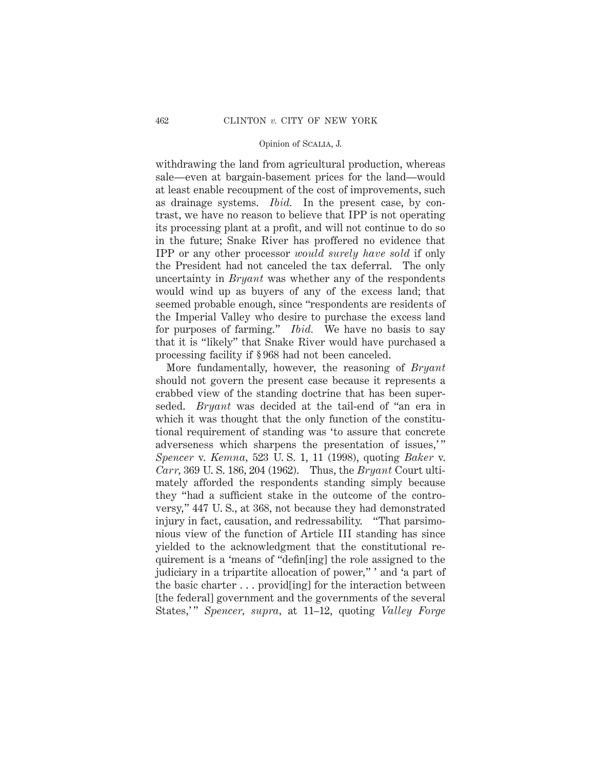withdrawing the land from agricultural production, whereas sale—even at bargain-basement prices for the land—would at least enable recoupment of the cost of improvements, such as drainage systems. *Ibid.* In the present case, by contrast, we have no reason to believe that IPP is not operating its processing plant at a profit, and will not continue to do so in the future; Snake River has proffered no evidence that IPP or any other processor *would surely have sold* if only the President had not canceled the tax deferral. The only uncertainty in *Bryant* was whether any of the respondents would wind up as buyers of any of the excess land; that seemed probable enough, since "respondents are residents of the Imperial Valley who desire to purchase the excess land for purposes of farming." *Ibid.* We have no basis to say that it is "likely" that Snake River would have purchased a processing facility if § 968 had not been canceled.

More fundamentally, however, the reasoning of *Bryant* should not govern the present case because it represents a crabbed view of the standing doctrine that has been superseded. *Bryant* was decided at the tail-end of "an era in which it was thought that the only function of the constitutional requirement of standing was 'to assure that concrete adverseness which sharpens the presentation of issues,'" *Spencer* v. *Kemna,* 523 U. S. 1, 11 (1998), quoting *Baker* v. *Carr,* 369 U. S. 186, 204 (1962). Thus, the *Bryant* Court ultimately afforded the respondents standing simply because they "had a sufficient stake in the outcome of the controversy," 447 U. S., at 368, not because they had demonstrated injury in fact, causation, and redressability. "That parsimonious view of the function of Article III standing has since yielded to the acknowledgment that the constitutional requirement is a 'means of "defin[ing] the role assigned to the judiciary in a tripartite allocation of power," ' and 'a part of the basic charter... provid[ing] for the interaction between [the federal] government and the governments of the several States,'" *Spencer, supra,* at 11–12, quoting *Valley Forge*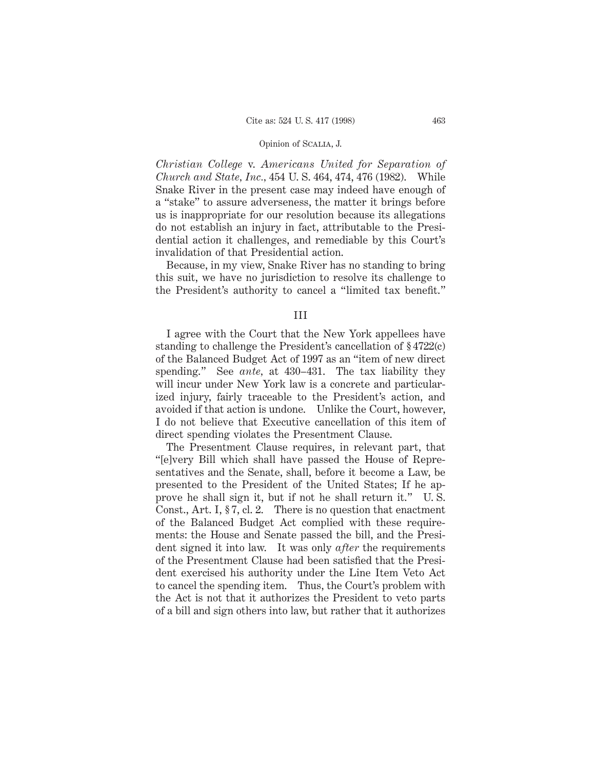*Christian College* v. *Americans United for Separation of Church and State, Inc.,* 454 U. S. 464, 474, 476 (1982). While Snake River in the present case may indeed have enough of a "stake" to assure adverseness, the matter it brings before us is inappropriate for our resolution because its allegations do not establish an injury in fact, attributable to the Presidential action it challenges, and remediable by this Court's invalidation of that Presidential action.

Because, in my view, Snake River has no standing to bring this suit, we have no jurisdiction to resolve its challenge to the President's authority to cancel a "limited tax benefit."

# III

I agree with the Court that the New York appellees have standing to challenge the President's cancellation of § 4722(c) of the Balanced Budget Act of 1997 as an "item of new direct spending." See *ante,* at 430–431. The tax liability they will incur under New York law is a concrete and particularized injury, fairly traceable to the President's action, and avoided if that action is undone. Unlike the Court, however, I do not believe that Executive cancellation of this item of direct spending violates the Presentment Clause.

The Presentment Clause requires, in relevant part, that "[e]very Bill which shall have passed the House of Representatives and the Senate, shall, before it become a Law, be presented to the President of the United States; If he approve he shall sign it, but if not he shall return it." U. S. Const., Art. I, § 7, cl. 2. There is no question that enactment of the Balanced Budget Act complied with these requirements: the House and Senate passed the bill, and the President signed it into law. It was only *after* the requirements of the Presentment Clause had been satisfied that the President exercised his authority under the Line Item Veto Act to cancel the spending item. Thus, the Court's problem with the Act is not that it authorizes the President to veto parts of a bill and sign others into law, but rather that it authorizes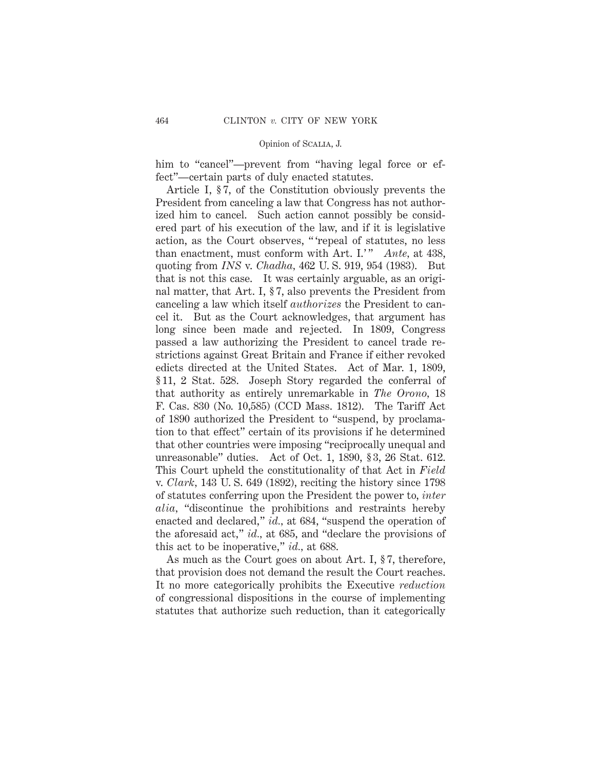him to "cancel"—prevent from "having legal force or effect"—certain parts of duly enacted statutes.

Article I, § 7, of the Constitution obviously prevents the President from canceling a law that Congress has not authorized him to cancel. Such action cannot possibly be considered part of his execution of the law, and if it is legislative action, as the Court observes, " 'repeal of statutes, no less than enactment, must conform with Art. I.'" *Ante*, at 438, quoting from *INS* v. *Chadha,* 462 U. S. 919, 954 (1983). But that is not this case. It was certainly arguable, as an original matter, that Art. I, § 7, also prevents the President from canceling a law which itself *authorizes* the President to cancel it. But as the Court acknowledges, that argument has long since been made and rejected. In 1809, Congress passed a law authorizing the President to cancel trade restrictions against Great Britain and France if either revoked edicts directed at the United States. Act of Mar. 1, 1809, § 11, 2 Stat. 528. Joseph Story regarded the conferral of that authority as entirely unremarkable in *The Orono,* 18 F. Cas. 830 (No. 10,585) (CCD Mass. 1812). The Tariff Act of 1890 authorized the President to "suspend, by proclamation to that effect" certain of its provisions if he determined that other countries were imposing "reciprocally unequal and unreasonable" duties. Act of Oct. 1, 1890, § 3, 26 Stat. 612. This Court upheld the constitutionality of that Act in *Field* v. *Clark,* 143 U. S. 649 (1892), reciting the history since 1798 of statutes conferring upon the President the power to, *inter alia,* "discontinue the prohibitions and restraints hereby enacted and declared," *id.,* at 684, "suspend the operation of the aforesaid act," *id.,* at 685, and "declare the provisions of this act to be inoperative," *id.,* at 688.

As much as the Court goes on about Art. I, § 7, therefore, that provision does not demand the result the Court reaches. It no more categorically prohibits the Executive *reduction* of congressional dispositions in the course of implementing statutes that authorize such reduction, than it categorically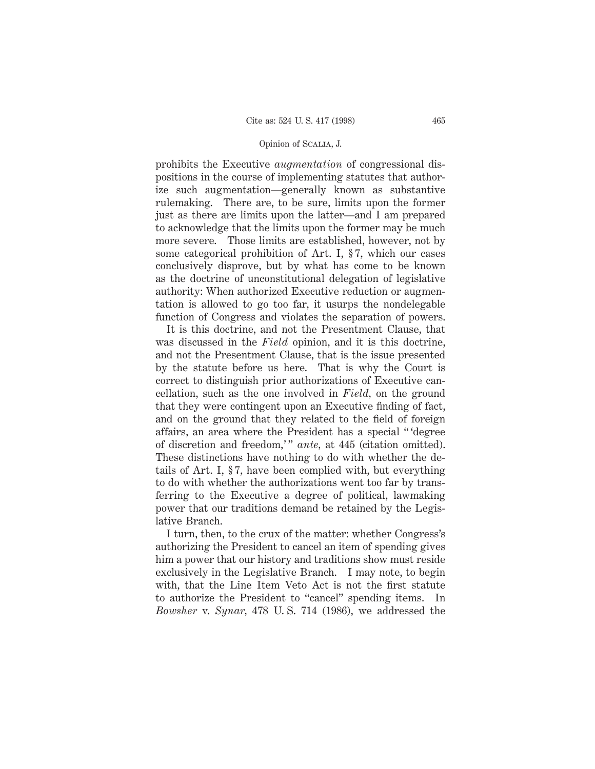prohibits the Executive *augmentation* of congressional dispositions in the course of implementing statutes that authorize such augmentation—generally known as substantive rulemaking. There are, to be sure, limits upon the former just as there are limits upon the latter—and I am prepared to acknowledge that the limits upon the former may be much more severe. Those limits are established, however, not by some categorical prohibition of Art. I, § 7, which our cases conclusively disprove, but by what has come to be known as the doctrine of unconstitutional delegation of legislative authority: When authorized Executive reduction or augmentation is allowed to go too far, it usurps the nondelegable function of Congress and violates the separation of powers.

It is this doctrine, and not the Presentment Clause, that was discussed in the *Field* opinion, and it is this doctrine, and not the Presentment Clause, that is the issue presented by the statute before us here. That is why the Court is correct to distinguish prior authorizations of Executive cancellation, such as the one involved in *Field,* on the ground that they were contingent upon an Executive finding of fact, and on the ground that they related to the field of foreign affairs, an area where the President has a special " 'degree of discretion and freedom,'" ante, at 445 (citation omitted). These distinctions have nothing to do with whether the details of Art. I, § 7, have been complied with, but everything to do with whether the authorizations went too far by transferring to the Executive a degree of political, lawmaking power that our traditions demand be retained by the Legislative Branch.

I turn, then, to the crux of the matter: whether Congress's authorizing the President to cancel an item of spending gives him a power that our history and traditions show must reside exclusively in the Legislative Branch. I may note, to begin with, that the Line Item Veto Act is not the first statute to authorize the President to "cancel" spending items. In *Bowsher* v. *Synar,* 478 U. S. 714 (1986), we addressed the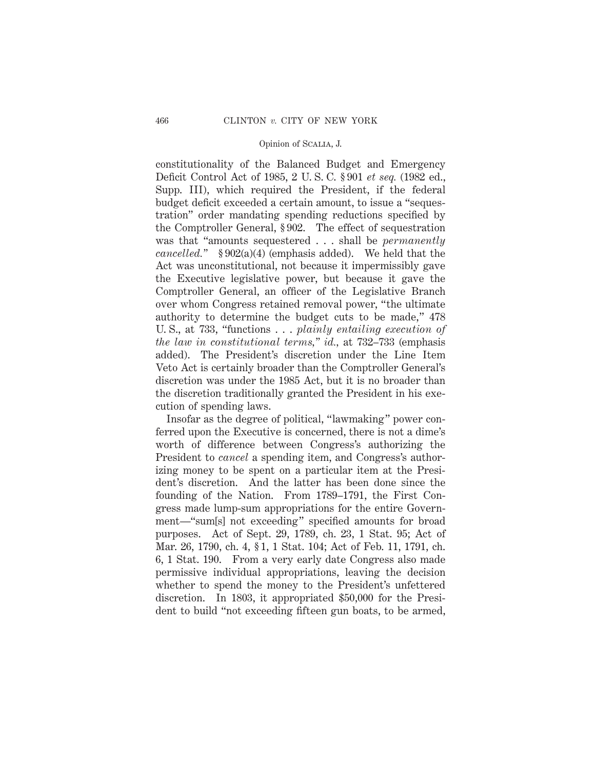constitutionality of the Balanced Budget and Emergency Deficit Control Act of 1985, 2 U. S. C. § 901 *et seq.* (1982 ed., Supp. III), which required the President, if the federal budget deficit exceeded a certain amount, to issue a "sequestration" order mandating spending reductions specified by the Comptroller General, § 902. The effect of sequestration was that "amounts sequestered . . . shall be *permanently cancelled."* § 902(a)(4) (emphasis added). We held that the Act was unconstitutional, not because it impermissibly gave the Executive legislative power, but because it gave the Comptroller General, an officer of the Legislative Branch over whom Congress retained removal power, "the ultimate authority to determine the budget cuts to be made," 478 U. S., at 733, "functions... *plainly entailing execution of the law in constitutional terms," id.,* at 732–733 (emphasis added). The President's discretion under the Line Item Veto Act is certainly broader than the Comptroller General's discretion was under the 1985 Act, but it is no broader than the discretion traditionally granted the President in his execution of spending laws.

Insofar as the degree of political, "lawmaking" power conferred upon the Executive is concerned, there is not a dime's worth of difference between Congress's authorizing the President to *cancel* a spending item, and Congress's authorizing money to be spent on a particular item at the President's discretion. And the latter has been done since the founding of the Nation. From 1789–1791, the First Congress made lump-sum appropriations for the entire Government—"sum[s] not exceeding" specified amounts for broad purposes. Act of Sept. 29, 1789, ch. 23, 1 Stat. 95; Act of Mar. 26, 1790, ch. 4, § 1, 1 Stat. 104; Act of Feb. 11, 1791, ch. 6, 1 Stat. 190. From a very early date Congress also made permissive individual appropriations, leaving the decision whether to spend the money to the President's unfettered discretion. In 1803, it appropriated \$50,000 for the President to build "not exceeding fifteen gun boats, to be armed,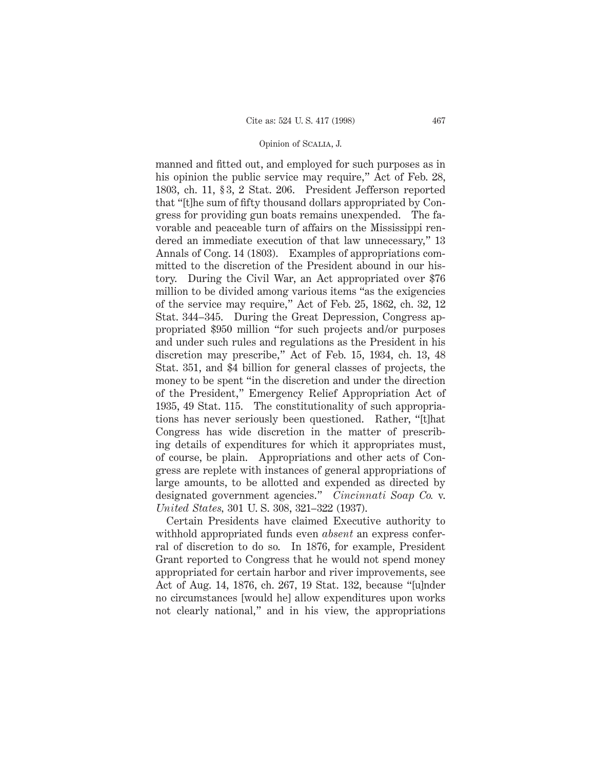manned and fitted out, and employed for such purposes as in his opinion the public service may require," Act of Feb. 28, 1803, ch. 11, § 3, 2 Stat. 206. President Jefferson reported that "[t]he sum of fifty thousand dollars appropriated by Congress for providing gun boats remains unexpended. The favorable and peaceable turn of affairs on the Mississippi rendered an immediate execution of that law unnecessary," 13 Annals of Cong. 14 (1803). Examples of appropriations committed to the discretion of the President abound in our history. During the Civil War, an Act appropriated over \$76 million to be divided among various items "as the exigencies of the service may require," Act of Feb. 25, 1862, ch. 32, 12 Stat. 344–345. During the Great Depression, Congress appropriated \$950 million "for such projects and/or purposes and under such rules and regulations as the President in his discretion may prescribe," Act of Feb. 15, 1934, ch. 13, 48 Stat. 351, and \$4 billion for general classes of projects, the money to be spent "in the discretion and under the direction of the President," Emergency Relief Appropriation Act of 1935, 49 Stat. 115. The constitutionality of such appropriations has never seriously been questioned. Rather, "[t]hat Congress has wide discretion in the matter of prescribing details of expenditures for which it appropriates must, of course, be plain. Appropriations and other acts of Congress are replete with instances of general appropriations of large amounts, to be allotted and expended as directed by designated government agencies." *Cincinnati Soap Co.* v. *United States,* 301 U. S. 308, 321–322 (1937).

Certain Presidents have claimed Executive authority to withhold appropriated funds even *absent* an express conferral of discretion to do so. In 1876, for example, President Grant reported to Congress that he would not spend money appropriated for certain harbor and river improvements, see Act of Aug. 14, 1876, ch. 267, 19 Stat. 132, because "[u]nder no circumstances [would he] allow expenditures upon works not clearly national," and in his view, the appropriations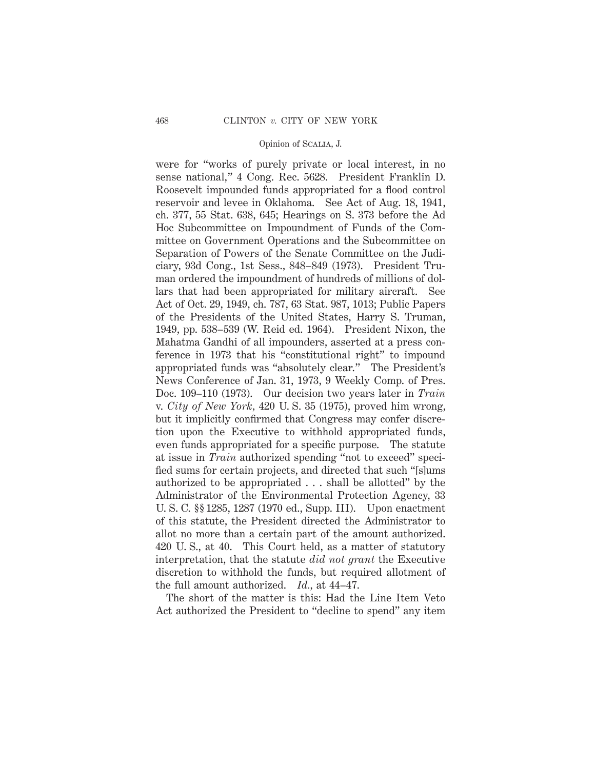were for "works of purely private or local interest, in no sense national," 4 Cong. Rec. 5628. President Franklin D. Roosevelt impounded funds appropriated for a flood control reservoir and levee in Oklahoma. See Act of Aug. 18, 1941, ch. 377, 55 Stat. 638, 645; Hearings on S. 373 before the Ad Hoc Subcommittee on Impoundment of Funds of the Committee on Government Operations and the Subcommittee on Separation of Powers of the Senate Committee on the Judiciary, 93d Cong., 1st Sess., 848–849 (1973). President Truman ordered the impoundment of hundreds of millions of dollars that had been appropriated for military aircraft. See Act of Oct. 29, 1949, ch. 787, 63 Stat. 987, 1013; Public Papers of the Presidents of the United States, Harry S. Truman, 1949, pp. 538–539 (W. Reid ed. 1964). President Nixon, the Mahatma Gandhi of all impounders, asserted at a press conference in 1973 that his "constitutional right" to impound appropriated funds was "absolutely clear." The President's News Conference of Jan. 31, 1973, 9 Weekly Comp. of Pres. Doc. 109–110 (1973). Our decision two years later in *Train* v. *City of New York,* 420 U. S. 35 (1975), proved him wrong, but it implicitly confirmed that Congress may confer discretion upon the Executive to withhold appropriated funds, even funds appropriated for a specific purpose. The statute at issue in *Train* authorized spending "not to exceed" specified sums for certain projects, and directed that such "[s]ums authorized to be appropriated . . . shall be allotted" by the Administrator of the Environmental Protection Agency, 33 U. S. C. §§ 1285, 1287 (1970 ed., Supp. III). Upon enactment of this statute, the President directed the Administrator to allot no more than a certain part of the amount authorized. 420 U. S., at 40. This Court held, as a matter of statutory interpretation, that the statute *did not grant* the Executive discretion to withhold the funds, but required allotment of the full amount authorized. *Id.,* at 44–47.

The short of the matter is this: Had the Line Item Veto Act authorized the President to "decline to spend" any item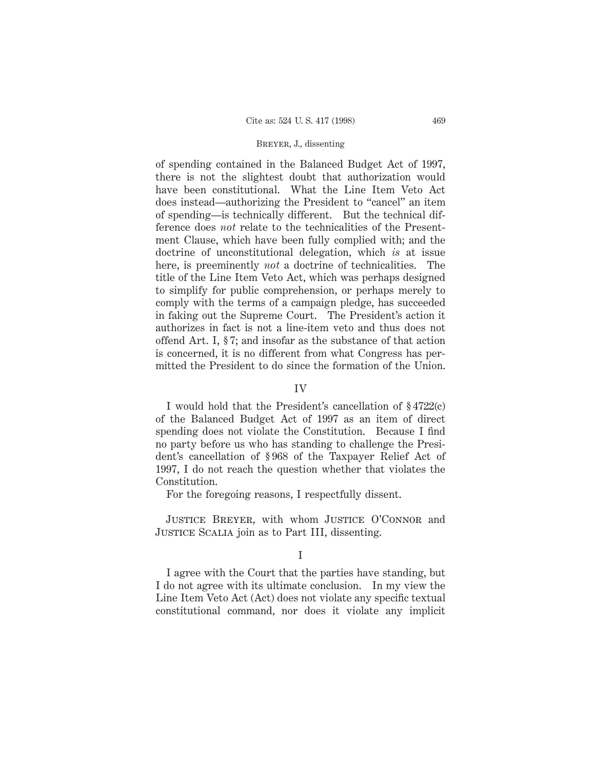of spending contained in the Balanced Budget Act of 1997, there is not the slightest doubt that authorization would have been constitutional. What the Line Item Veto Act does instead—authorizing the President to "cancel" an item of spending—is technically different. But the technical difference does *not* relate to the technicalities of the Presentment Clause, which have been fully complied with; and the doctrine of unconstitutional delegation, which *is* at issue here, is preeminently *not* a doctrine of technicalities. The title of the Line Item Veto Act, which was perhaps designed to simplify for public comprehension, or perhaps merely to comply with the terms of a campaign pledge, has succeeded in faking out the Supreme Court. The President's action it authorizes in fact is not a line-item veto and thus does not offend Art. I, § 7; and insofar as the substance of that action is concerned, it is no different from what Congress has permitted the President to do since the formation of the Union.

#### IV

I would hold that the President's cancellation of § 4722(c) of the Balanced Budget Act of 1997 as an item of direct spending does not violate the Constitution. Because I find no party before us who has standing to challenge the President's cancellation of § 968 of the Taxpayer Relief Act of 1997, I do not reach the question whether that violates the Constitution.

For the foregoing reasons, I respectfully dissent.

Justice Breyer, with whom Justice O'Connor and Justice Scalia join as to Part III, dissenting.

## I

I agree with the Court that the parties have standing, but I do not agree with its ultimate conclusion. In my view the Line Item Veto Act (Act) does not violate any specific textual constitutional command, nor does it violate any implicit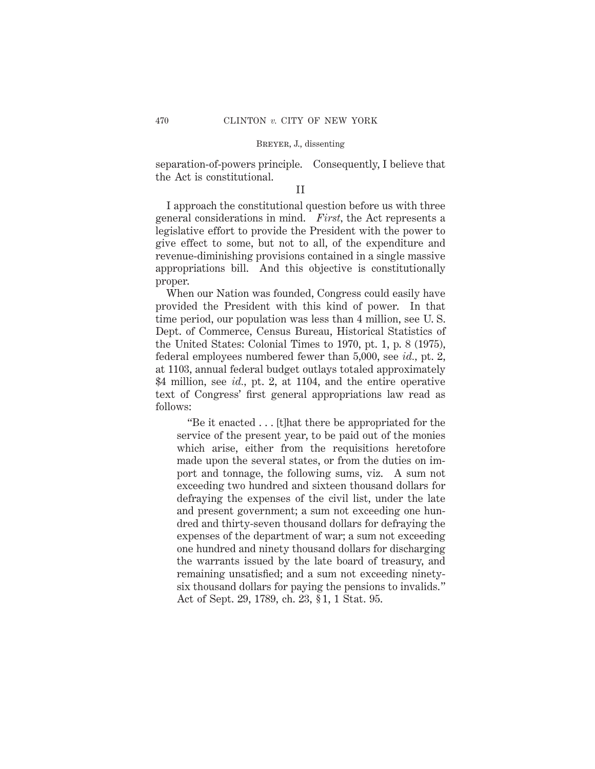separation-of-powers principle. Consequently, I believe that the Act is constitutional.

#### II

I approach the constitutional question before us with three general considerations in mind. *First,* the Act represents a legislative effort to provide the President with the power to give effect to some, but not to all, of the expenditure and revenue-diminishing provisions contained in a single massive appropriations bill. And this objective is constitutionally proper.

When our Nation was founded, Congress could easily have provided the President with this kind of power. In that time period, our population was less than 4 million, see U. S. Dept. of Commerce, Census Bureau, Historical Statistics of the United States: Colonial Times to 1970, pt. 1, p. 8 (1975), federal employees numbered fewer than 5,000, see *id.,* pt. 2, at 1103, annual federal budget outlays totaled approximately \$4 million, see *id.,* pt. 2, at 1104, and the entire operative text of Congress' first general appropriations law read as follows:

"Be it enacted . . . [t]hat there be appropriated for the service of the present year, to be paid out of the monies which arise, either from the requisitions heretofore made upon the several states, or from the duties on import and tonnage, the following sums, viz. A sum not exceeding two hundred and sixteen thousand dollars for defraying the expenses of the civil list, under the late and present government; a sum not exceeding one hundred and thirty-seven thousand dollars for defraying the expenses of the department of war; a sum not exceeding one hundred and ninety thousand dollars for discharging the warrants issued by the late board of treasury, and remaining unsatisfied; and a sum not exceeding ninetysix thousand dollars for paying the pensions to invalids." Act of Sept. 29, 1789, ch. 23, § 1, 1 Stat. 95.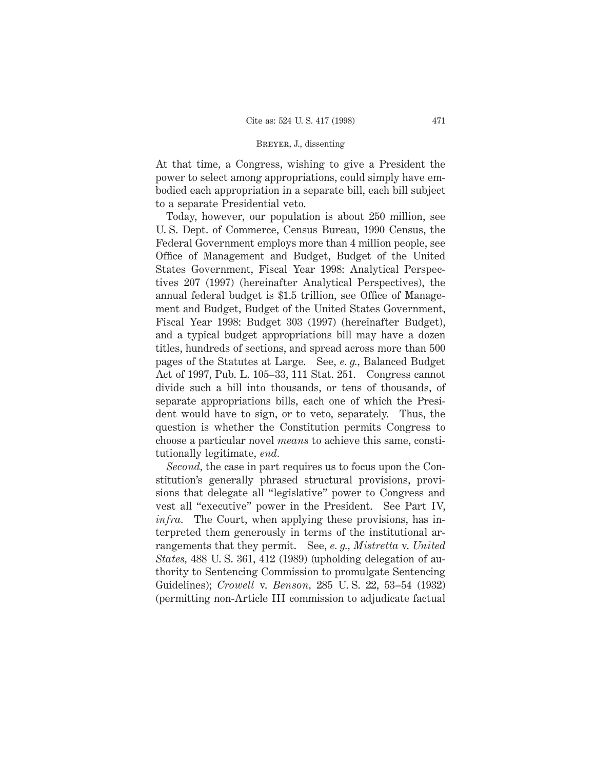At that time, a Congress, wishing to give a President the power to select among appropriations, could simply have embodied each appropriation in a separate bill, each bill subject to a separate Presidential veto.

Today, however, our population is about 250 million, see U. S. Dept. of Commerce, Census Bureau, 1990 Census, the Federal Government employs more than 4 million people, see Office of Management and Budget, Budget of the United States Government, Fiscal Year 1998: Analytical Perspectives 207 (1997) (hereinafter Analytical Perspectives), the annual federal budget is \$1.5 trillion, see Office of Management and Budget, Budget of the United States Government, Fiscal Year 1998: Budget 303 (1997) (hereinafter Budget), and a typical budget appropriations bill may have a dozen titles, hundreds of sections, and spread across more than 500 pages of the Statutes at Large. See, *e. g.,* Balanced Budget Act of 1997, Pub. L. 105–33, 111 Stat. 251. Congress cannot divide such a bill into thousands, or tens of thousands, of separate appropriations bills, each one of which the President would have to sign, or to veto, separately. Thus, the question is whether the Constitution permits Congress to choose a particular novel *means* to achieve this same, constitutionally legitimate, *end.*

*Second,* the case in part requires us to focus upon the Constitution's generally phrased structural provisions, provisions that delegate all "legislative" power to Congress and vest all "executive" power in the President. See Part IV, *infra.* The Court, when applying these provisions, has interpreted them generously in terms of the institutional arrangements that they permit. See, *e. g., Mistretta* v. *United States,* 488 U. S. 361, 412 (1989) (upholding delegation of authority to Sentencing Commission to promulgate Sentencing Guidelines); *Crowell* v. *Benson,* 285 U. S. 22, 53–54 (1932) (permitting non-Article III commission to adjudicate factual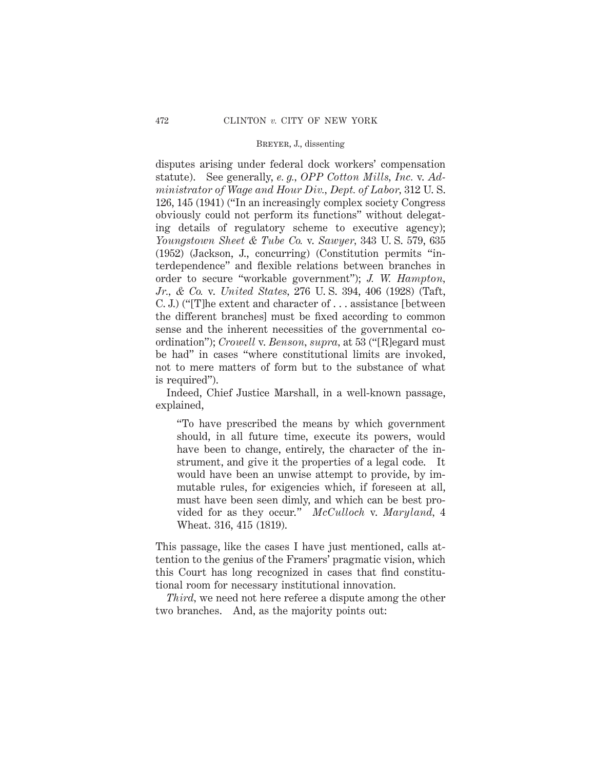disputes arising under federal dock workers' compensation statute). See generally, *e. g., OPP Cotton Mills, Inc.* v. *Administrator of Wage and Hour Div., Dept. of Labor,* 312 U. S. 126, 145 (1941) ("In an increasingly complex society Congress obviously could not perform its functions" without delegating details of regulatory scheme to executive agency); *Youngstown Sheet & Tube Co.* v. *Sawyer,* 343 U. S. 579, 635 (1952) (Jackson, J., concurring) (Constitution permits "interdependence" and flexible relations between branches in order to secure "workable government"); *J. W. Hampton, Jr., & Co.* v. *United States,* 276 U. S. 394, 406 (1928) (Taft, C. J.) ("[T]he extent and character of . . . assistance [between the different branches] must be fixed according to common sense and the inherent necessities of the governmental coordination"); *Crowell* v. *Benson, supra,* at 53 ("[R]egard must be had" in cases "where constitutional limits are invoked, not to mere matters of form but to the substance of what is required").

Indeed, Chief Justice Marshall, in a well-known passage, explained,

"To have prescribed the means by which government should, in all future time, execute its powers, would have been to change, entirely, the character of the instrument, and give it the properties of a legal code. It would have been an unwise attempt to provide, by immutable rules, for exigencies which, if foreseen at all, must have been seen dimly, and which can be best provided for as they occur." *McCulloch* v. *Maryland,* 4 Wheat. 316, 415 (1819).

This passage, like the cases I have just mentioned, calls attention to the genius of the Framers' pragmatic vision, which this Court has long recognized in cases that find constitutional room for necessary institutional innovation.

*Third,* we need not here referee a dispute among the other two branches. And, as the majority points out: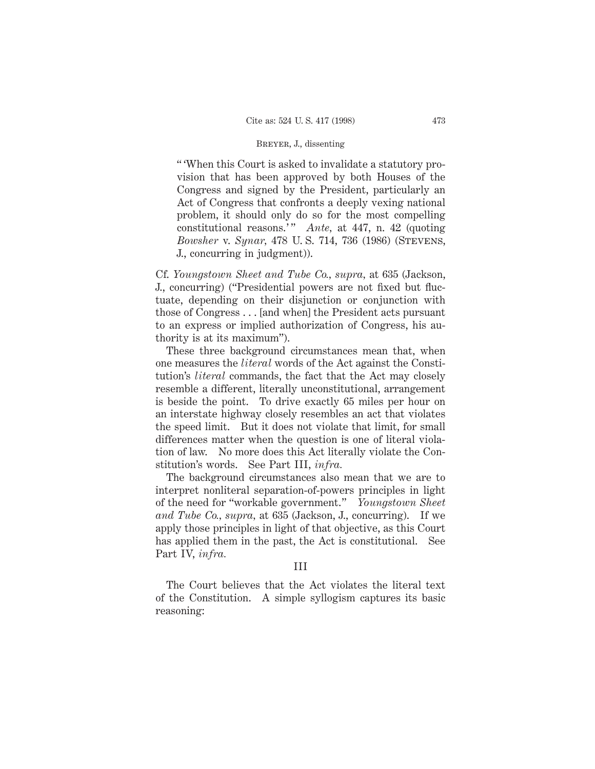" 'When this Court is asked to invalidate a statutory provision that has been approved by both Houses of the Congress and signed by the President, particularly an Act of Congress that confronts a deeply vexing national problem, it should only do so for the most compelling constitutional reasons.'" *Ante*, at 447, n. 42 (quoting *Bowsher* v. *Synar,* 478 U. S. 714, 736 (1986) (Stevens, J., concurring in judgment)).

Cf. *Youngstown Sheet and Tube Co., supra,* at 635 (Jackson, J., concurring) ("Presidential powers are not fixed but fluctuate, depending on their disjunction or conjunction with those of Congress . . . [and when] the President acts pursuant to an express or implied authorization of Congress, his authority is at its maximum").

These three background circumstances mean that, when one measures the *literal* words of the Act against the Constitution's *literal* commands, the fact that the Act may closely resemble a different, literally unconstitutional, arrangement is beside the point. To drive exactly 65 miles per hour on an interstate highway closely resembles an act that violates the speed limit. But it does not violate that limit, for small differences matter when the question is one of literal violation of law. No more does this Act literally violate the Constitution's words. See Part III, *infra.*

The background circumstances also mean that we are to interpret nonliteral separation-of-powers principles in light of the need for "workable government." *Youngstown Sheet and Tube Co., supra,* at 635 (Jackson, J., concurring). If we apply those principles in light of that objective, as this Court has applied them in the past, the Act is constitutional. See Part IV, *infra.*

## III

The Court believes that the Act violates the literal text of the Constitution. A simple syllogism captures its basic reasoning: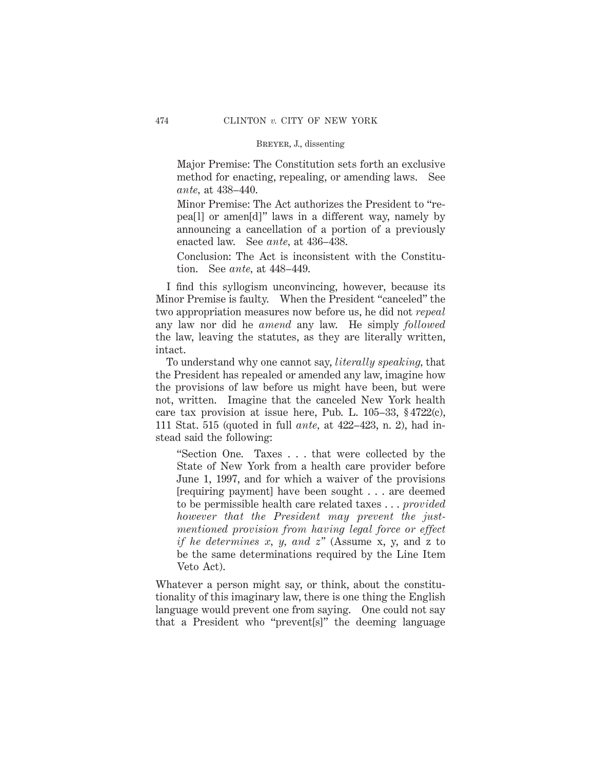Major Premise: The Constitution sets forth an exclusive method for enacting, repealing, or amending laws. See *ante,* at 438–440.

Minor Premise: The Act authorizes the President to "repea[l] or amen[d]" laws in a different way, namely by announcing a cancellation of a portion of a previously enacted law. See *ante,* at 436–438.

Conclusion: The Act is inconsistent with the Constitution. See *ante,* at 448–449.

I find this syllogism unconvincing, however, because its Minor Premise is faulty. When the President "canceled" the two appropriation measures now before us, he did not *repeal* any law nor did he *amend* any law. He simply *followed* the law, leaving the statutes, as they are literally written, intact.

To understand why one cannot say, *literally speaking,* that the President has repealed or amended any law, imagine how the provisions of law before us might have been, but were not, written. Imagine that the canceled New York health care tax provision at issue here, Pub. L. 105–33, § 4722(c), 111 Stat. 515 (quoted in full *ante,* at 422–423, n. 2), had instead said the following:

"Section One. Taxes... that were collected by the State of New York from a health care provider before June 1, 1997, and for which a waiver of the provisions [requiring payment] have been sought . . . are deemed to be permissible health care related taxes . . . *provided however that the President may prevent the justmentioned provision from having legal force or effect if he determines x, y, and z"* (Assume x, y, and z to be the same determinations required by the Line Item Veto Act).

Whatever a person might say, or think, about the constitutionality of this imaginary law, there is one thing the English language would prevent one from saying. One could not say that a President who "prevent[s]" the deeming language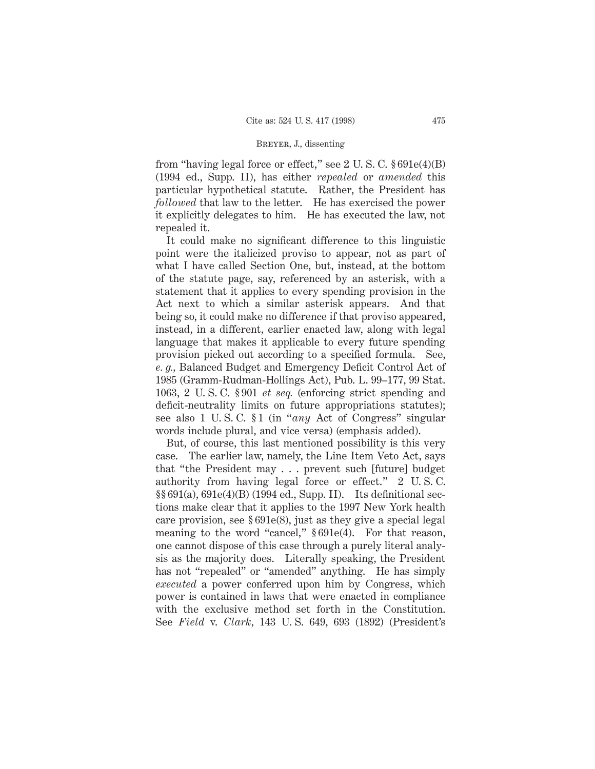from "having legal force or effect," see 2 U. S. C. § 691e(4)(B) (1994 ed., Supp. II), has either *repealed* or *amended* this particular hypothetical statute. Rather, the President has *followed* that law to the letter. He has exercised the power it explicitly delegates to him. He has executed the law, not repealed it.

It could make no significant difference to this linguistic point were the italicized proviso to appear, not as part of what I have called Section One, but, instead, at the bottom of the statute page, say, referenced by an asterisk, with a statement that it applies to every spending provision in the Act next to which a similar asterisk appears. And that being so, it could make no difference if that proviso appeared, instead, in a different, earlier enacted law, along with legal language that makes it applicable to every future spending provision picked out according to a specified formula. See, *e. g.,* Balanced Budget and Emergency Deficit Control Act of 1985 (Gramm-Rudman-Hollings Act), Pub. L. 99–177, 99 Stat. 1063, 2 U. S. C. § 901 *et seq.* (enforcing strict spending and deficit-neutrality limits on future appropriations statutes); see also 1 U. S. C. § 1 (in "*any* Act of Congress" singular words include plural, and vice versa) (emphasis added).

But, of course, this last mentioned possibility is this very case. The earlier law, namely, the Line Item Veto Act, says that "the President may . . . prevent such [future] budget authority from having legal force or effect." 2 U. S. C. §§ 691(a), 691e(4)(B) (1994 ed., Supp. II). Its definitional sections make clear that it applies to the 1997 New York health care provision, see § 691e(8), just as they give a special legal meaning to the word "cancel,"  $§ 691e(4)$ . For that reason, one cannot dispose of this case through a purely literal analysis as the majority does. Literally speaking, the President has not "repealed" or "amended" anything. He has simply *executed* a power conferred upon him by Congress, which power is contained in laws that were enacted in compliance with the exclusive method set forth in the Constitution. See *Field* v. *Clark,* 143 U. S. 649, 693 (1892) (President's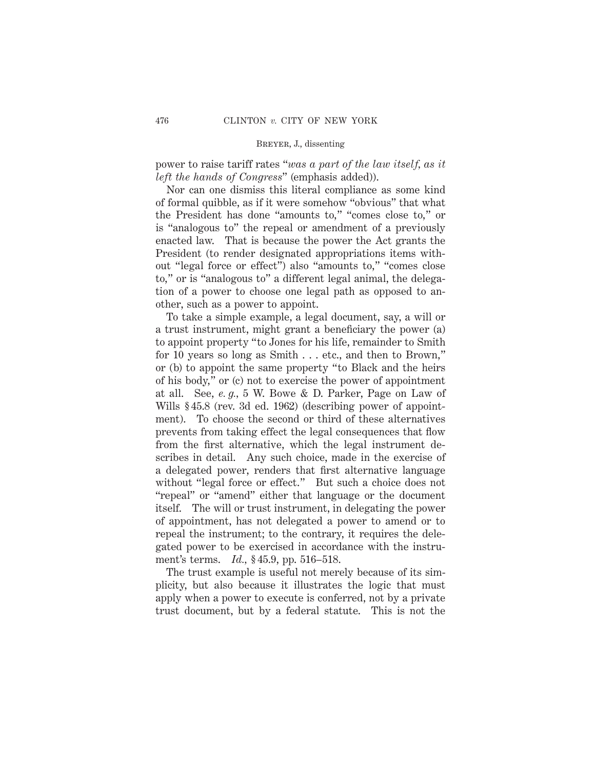power to raise tariff rates "*was a part of the law itself, as it left the hands of Congress*" (emphasis added)).

Nor can one dismiss this literal compliance as some kind of formal quibble, as if it were somehow "obvious" that what the President has done "amounts to," "comes close to," or is "analogous to" the repeal or amendment of a previously enacted law. That is because the power the Act grants the President (to render designated appropriations items without "legal force or effect") also "amounts to," "comes close to," or is "analogous to" a different legal animal, the delegation of a power to choose one legal path as opposed to another, such as a power to appoint.

To take a simple example, a legal document, say, a will or a trust instrument, might grant a beneficiary the power (a) to appoint property "to Jones for his life, remainder to Smith for 10 years so long as Smith . . . etc., and then to Brown," or (b) to appoint the same property "to Black and the heirs of his body," or (c) not to exercise the power of appointment at all. See, *e. g.,* 5 W. Bowe & D. Parker, Page on Law of Wills § 45.8 (rev. 3d ed. 1962) (describing power of appointment). To choose the second or third of these alternatives prevents from taking effect the legal consequences that flow from the first alternative, which the legal instrument describes in detail. Any such choice, made in the exercise of a delegated power, renders that first alternative language without "legal force or effect." But such a choice does not "repeal" or "amend" either that language or the document itself. The will or trust instrument, in delegating the power of appointment, has not delegated a power to amend or to repeal the instrument; to the contrary, it requires the delegated power to be exercised in accordance with the instrument's terms. *Id.,* § 45.9, pp. 516–518.

The trust example is useful not merely because of its simplicity, but also because it illustrates the logic that must apply when a power to execute is conferred, not by a private trust document, but by a federal statute. This is not the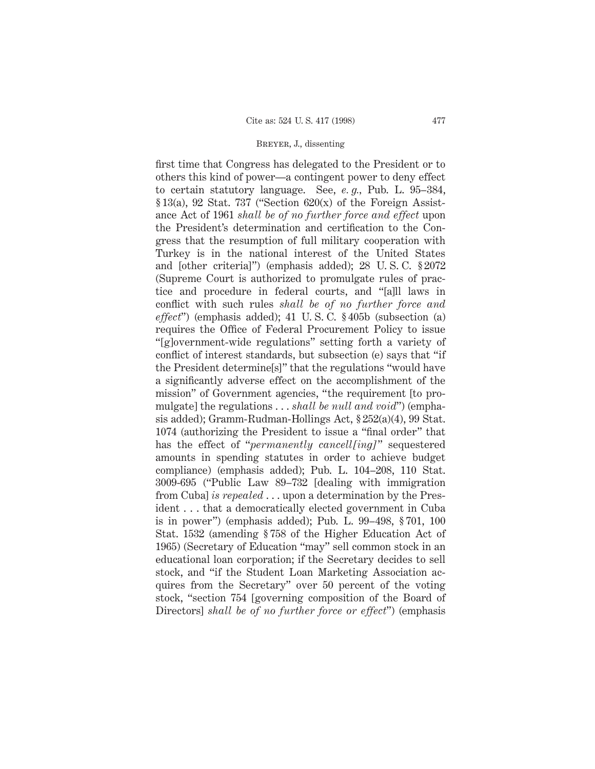first time that Congress has delegated to the President or to others this kind of power—a contingent power to deny effect to certain statutory language. See, *e. g.,* Pub. L. 95–384, § 13(a), 92 Stat. 737 ("Section 620(x) of the Foreign Assistance Act of 1961 *shall be of no further force and effect* upon the President's determination and certification to the Congress that the resumption of full military cooperation with Turkey is in the national interest of the United States and [other criteria]") (emphasis added); 28 U. S. C. § 2072 (Supreme Court is authorized to promulgate rules of practice and procedure in federal courts, and "[a]ll laws in conflict with such rules *shall be of no further force and effect*") (emphasis added); 41 U. S. C. § 405b (subsection (a) requires the Office of Federal Procurement Policy to issue "[g]overnment-wide regulations" setting forth a variety of conflict of interest standards, but subsection (e) says that "if the President determine[s]" that the regulations "would have a significantly adverse effect on the accomplishment of the mission" of Government agencies, "the requirement [to promulgate] the regulations . . . *shall be null and void*") (emphasis added); Gramm-Rudman-Hollings Act, § 252(a)(4), 99 Stat. 1074 (authorizing the President to issue a "final order" that has the effect of "*permanently cancell[ing]*" sequestered amounts in spending statutes in order to achieve budget compliance) (emphasis added); Pub. L. 104–208, 110 Stat. 3009-695 ("Public Law 89–732 [dealing with immigration from Cuba] *is repealed* . . . upon a determination by the President . . . that a democratically elected government in Cuba is in power") (emphasis added); Pub. L. 99–498, § 701, 100 Stat. 1532 (amending § 758 of the Higher Education Act of 1965) (Secretary of Education "may" sell common stock in an educational loan corporation; if the Secretary decides to sell stock, and "if the Student Loan Marketing Association acquires from the Secretary" over 50 percent of the voting stock, "section 754 [governing composition of the Board of Directors] *shall be of no further force or effect*") (emphasis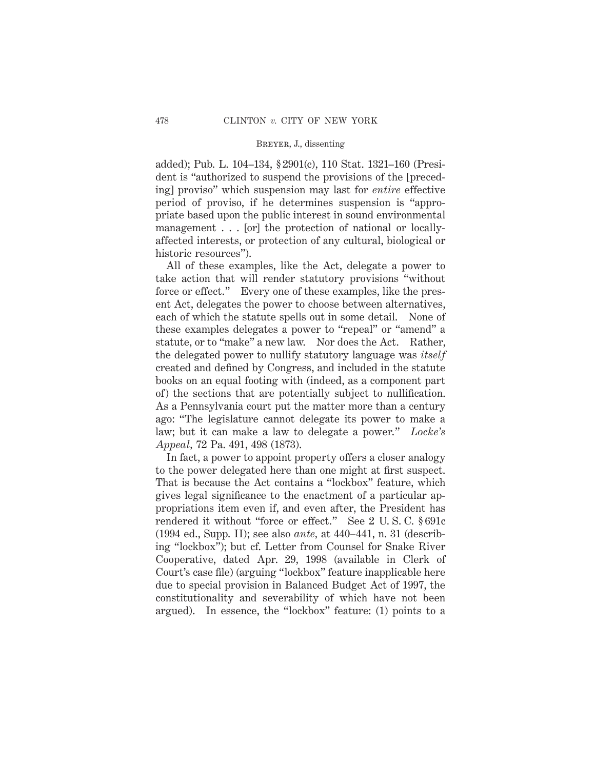added); Pub. L. 104–134, § 2901(c), 110 Stat. 1321–160 (President is "authorized to suspend the provisions of the [preceding] proviso" which suspension may last for *entire* effective period of proviso, if he determines suspension is "appropriate based upon the public interest in sound environmental management . . . [or] the protection of national or locallyaffected interests, or protection of any cultural, biological or historic resources".

All of these examples, like the Act, delegate a power to take action that will render statutory provisions "without force or effect." Every one of these examples, like the present Act, delegates the power to choose between alternatives, each of which the statute spells out in some detail. None of these examples delegates a power to "repeal" or "amend" a statute, or to "make" a new law. Nor does the Act. Rather, the delegated power to nullify statutory language was *itself* created and defined by Congress, and included in the statute books on an equal footing with (indeed, as a component part of) the sections that are potentially subject to nullification. As a Pennsylvania court put the matter more than a century ago: "The legislature cannot delegate its power to make a law; but it can make a law to delegate a power." *Locke's Appeal,* 72 Pa. 491, 498 (1873).

In fact, a power to appoint property offers a closer analogy to the power delegated here than one might at first suspect. That is because the Act contains a "lockbox" feature, which gives legal significance to the enactment of a particular appropriations item even if, and even after, the President has rendered it without "force or effect." See 2 U. S. C. § 691c (1994 ed., Supp. II); see also *ante,* at 440–441, n. 31 (describing "lockbox"); but cf. Letter from Counsel for Snake River Cooperative, dated Apr. 29, 1998 (available in Clerk of Court's case file) (arguing "lockbox" feature inapplicable here due to special provision in Balanced Budget Act of 1997, the constitutionality and severability of which have not been argued). In essence, the "lockbox" feature: (1) points to a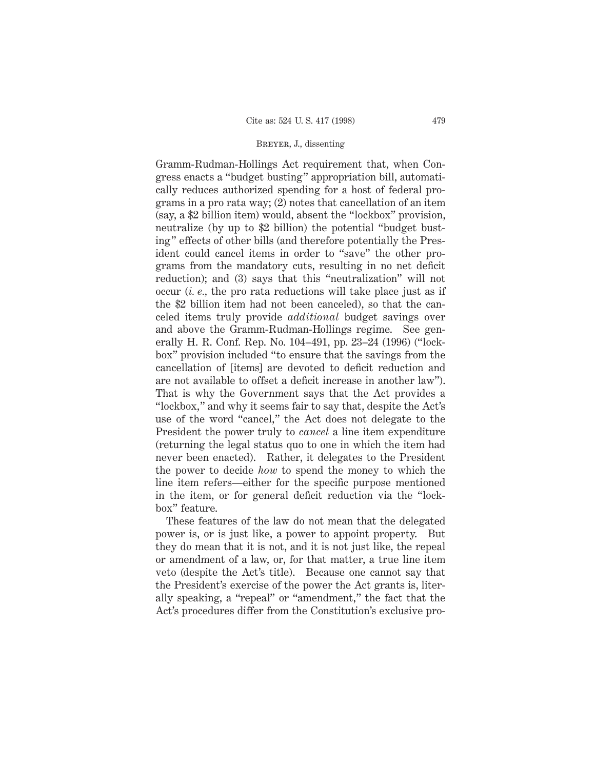Gramm-Rudman-Hollings Act requirement that, when Congress enacts a "budget busting" appropriation bill, automatically reduces authorized spending for a host of federal programs in a pro rata way; (2) notes that cancellation of an item (say, a \$2 billion item) would, absent the "lockbox" provision, neutralize (by up to \$2 billion) the potential "budget busting" effects of other bills (and therefore potentially the President could cancel items in order to "save" the other programs from the mandatory cuts, resulting in no net deficit reduction); and (3) says that this "neutralization" will not occur (*i. e.,* the pro rata reductions will take place just as if the \$2 billion item had not been canceled), so that the canceled items truly provide *additional* budget savings over and above the Gramm-Rudman-Hollings regime. See generally H. R. Conf. Rep. No. 104–491, pp. 23–24 (1996) ("lockbox" provision included "to ensure that the savings from the cancellation of [items] are devoted to deficit reduction and are not available to offset a deficit increase in another law"). That is why the Government says that the Act provides a "lockbox," and why it seems fair to say that, despite the Act's use of the word "cancel," the Act does not delegate to the President the power truly to *cancel* a line item expenditure (returning the legal status quo to one in which the item had never been enacted). Rather, it delegates to the President the power to decide *how* to spend the money to which the line item refers—either for the specific purpose mentioned in the item, or for general deficit reduction via the "lockbox" feature.

These features of the law do not mean that the delegated power is, or is just like, a power to appoint property. But they do mean that it is not, and it is not just like, the repeal or amendment of a law, or, for that matter, a true line item veto (despite the Act's title). Because one cannot say that the President's exercise of the power the Act grants is, literally speaking, a "repeal" or "amendment," the fact that the Act's procedures differ from the Constitution's exclusive pro-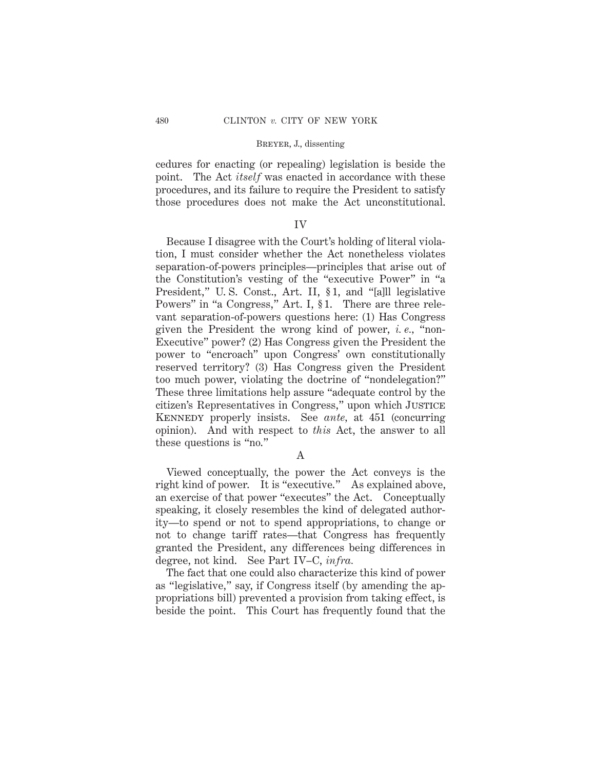cedures for enacting (or repealing) legislation is beside the point. The Act *itself* was enacted in accordance with these procedures, and its failure to require the President to satisfy those procedures does not make the Act unconstitutional.

## IV

Because I disagree with the Court's holding of literal violation, I must consider whether the Act nonetheless violates separation-of-powers principles—principles that arise out of the Constitution's vesting of the "executive Power" in "a President," U. S. Const., Art. II, § 1, and "[a]ll legislative Powers" in "a Congress," Art. I, § 1. There are three relevant separation-of-powers questions here: (1) Has Congress given the President the wrong kind of power, *i. e.,* "non-Executive" power? (2) Has Congress given the President the power to "encroach" upon Congress' own constitutionally reserved territory? (3) Has Congress given the President too much power, violating the doctrine of "nondelegation?" These three limitations help assure "adequate control by the citizen's Representatives in Congress," upon which Justice Kennedy properly insists. See *ante,* at 451 (concurring opinion). And with respect to *this* Act, the answer to all these questions is "no."

A

Viewed conceptually, the power the Act conveys is the right kind of power. It is "executive." As explained above, an exercise of that power "executes" the Act. Conceptually speaking, it closely resembles the kind of delegated authority—to spend or not to spend appropriations, to change or not to change tariff rates—that Congress has frequently granted the President, any differences being differences in degree, not kind. See Part IV–C, *infra.*

The fact that one could also characterize this kind of power as "legislative," say, if Congress itself (by amending the appropriations bill) prevented a provision from taking effect, is beside the point. This Court has frequently found that the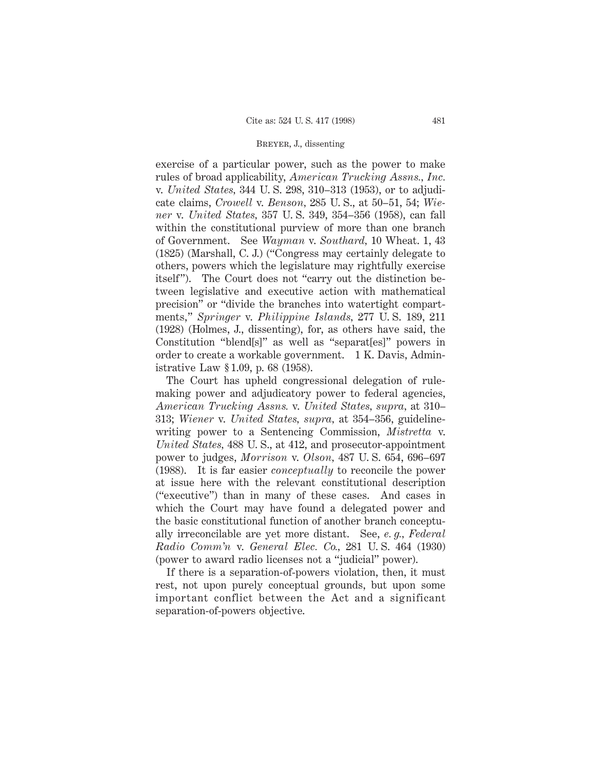exercise of a particular power, such as the power to make rules of broad applicability, *American Trucking Assns., Inc.* v. *United States,* 344 U. S. 298, 310–313 (1953), or to adjudicate claims, *Crowell* v. *Benson,* 285 U. S., at 50–51, 54; *Wiener* v. *United States,* 357 U. S. 349, 354–356 (1958), can fall within the constitutional purview of more than one branch of Government. See *Wayman* v. *Southard,* 10 Wheat. 1, 43 (1825) (Marshall, C. J.) ("Congress may certainly delegate to others, powers which the legislature may rightfully exercise itself"). The Court does not "carry out the distinction between legislative and executive action with mathematical precision" or "divide the branches into watertight compartments," *Springer* v. *Philippine Islands,* 277 U. S. 189, 211 (1928) (Holmes, J., dissenting), for, as others have said, the Constitution "blend[s]" as well as "separat[es]" powers in order to create a workable government. 1 K. Davis, Administrative Law § 1.09, p. 68 (1958).

The Court has upheld congressional delegation of rulemaking power and adjudicatory power to federal agencies, *American Trucking Assns.* v. *United States, supra,* at 310– 313; *Wiener* v. *United States, supra,* at 354–356, guidelinewriting power to a Sentencing Commission, *Mistretta* v. *United States,* 488 U. S., at 412, and prosecutor-appointment power to judges, *Morrison* v. *Olson,* 487 U. S. 654, 696–697 (1988). It is far easier *conceptually* to reconcile the power at issue here with the relevant constitutional description ("executive") than in many of these cases. And cases in which the Court may have found a delegated power and the basic constitutional function of another branch conceptually irreconcilable are yet more distant. See, *e. g., Federal Radio Comm'n* v. *General Elec. Co.,* 281 U. S. 464 (1930) (power to award radio licenses not a "judicial" power).

If there is a separation-of-powers violation, then, it must rest, not upon purely conceptual grounds, but upon some important conflict between the Act and a significant separation-of-powers objective.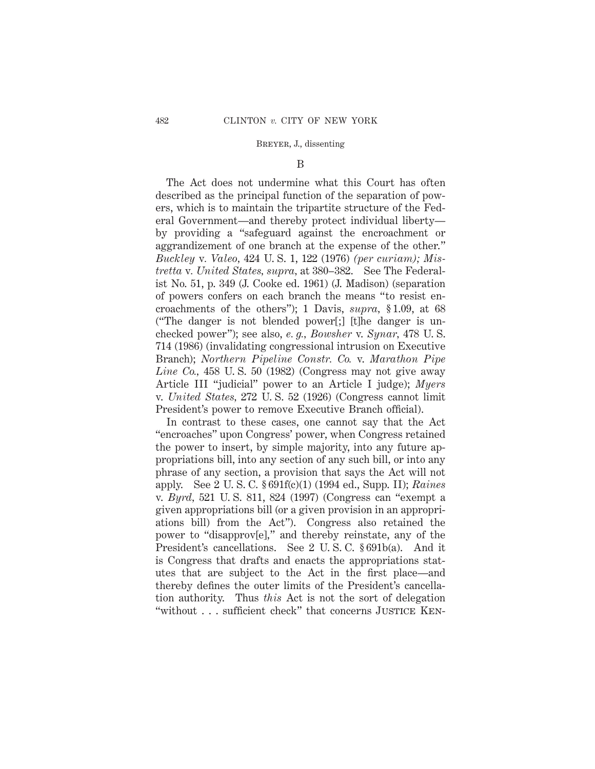#### B

The Act does not undermine what this Court has often described as the principal function of the separation of powers, which is to maintain the tripartite structure of the Federal Government—and thereby protect individual liberty by providing a "safeguard against the encroachment or aggrandizement of one branch at the expense of the other." *Buckley* v*. Valeo,* 424 U. S. 1, 122 (1976) *(per curiam); Mistretta* v*. United States, supra,* at 380–382. See The Federalist No. 51, p. 349 (J. Cooke ed. 1961) (J. Madison) (separation of powers confers on each branch the means "to resist encroachments of the others"); 1 Davis, *supra,* § 1.09, at 68 ("The danger is not blended power[;] [t]he danger is unchecked power"); see also, *e. g., Bowsher* v. *Synar,* 478 U. S. 714 (1986) (invalidating congressional intrusion on Executive Branch); *Northern Pipeline Constr. Co.* v. *Marathon Pipe Line Co.,* 458 U. S. 50 (1982) (Congress may not give away Article III "judicial" power to an Article I judge); *Myers* v. *United States,* 272 U. S. 52 (1926) (Congress cannot limit President's power to remove Executive Branch official).

In contrast to these cases, one cannot say that the Act "encroaches" upon Congress' power, when Congress retained the power to insert, by simple majority, into any future appropriations bill, into any section of any such bill, or into any phrase of any section, a provision that says the Act will not apply. See 2 U. S. C. § 691f(c)(1) (1994 ed., Supp. II); *Raines* v. *Byrd,* 521 U. S. 811, 824 (1997) (Congress can "exempt a given appropriations bill (or a given provision in an appropriations bill) from the Act"). Congress also retained the power to "disapprov[e]," and thereby reinstate, any of the President's cancellations. See 2 U. S. C. § 691b(a). And it is Congress that drafts and enacts the appropriations statutes that are subject to the Act in the first place—and thereby defines the outer limits of the President's cancellation authority. Thus *this* Act is not the sort of delegation "without . . . sufficient check" that concerns JUSTICE KEN-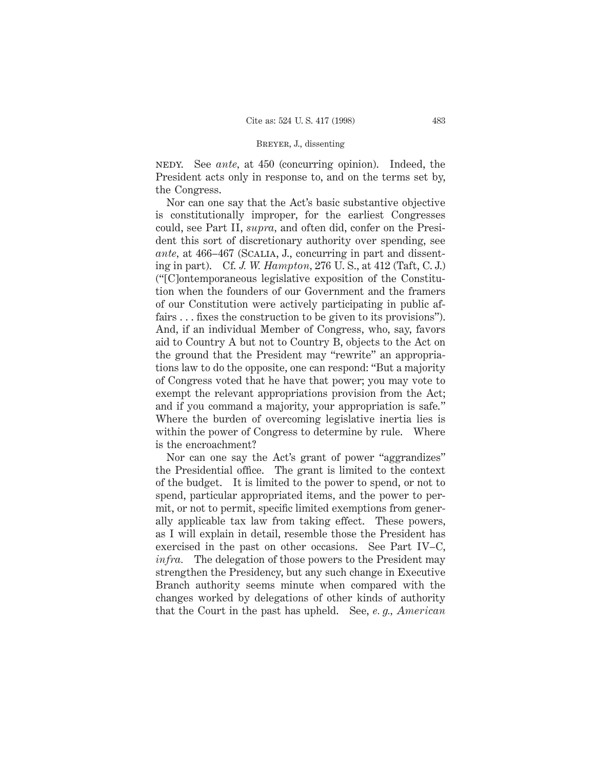nedy. See *ante,* at 450 (concurring opinion). Indeed, the President acts only in response to, and on the terms set by, the Congress.

Nor can one say that the Act's basic substantive objective is constitutionally improper, for the earliest Congresses could, see Part II, *supra,* and often did, confer on the President this sort of discretionary authority over spending, see *ante,* at 466–467 (Scalia, J., concurring in part and dissenting in part). Cf. *J. W. Hampton,* 276 U. S., at 412 (Taft, C. J.) ("[C]ontemporaneous legislative exposition of the Constitution when the founders of our Government and the framers of our Constitution were actively participating in public affairs... fixes the construction to be given to its provisions"). And, if an individual Member of Congress, who, say, favors aid to Country A but not to Country B, objects to the Act on the ground that the President may "rewrite" an appropriations law to do the opposite, one can respond: "But a majority of Congress voted that he have that power; you may vote to exempt the relevant appropriations provision from the Act; and if you command a majority, your appropriation is safe." Where the burden of overcoming legislative inertia lies is within the power of Congress to determine by rule. Where is the encroachment?

Nor can one say the Act's grant of power "aggrandizes" the Presidential office. The grant is limited to the context of the budget. It is limited to the power to spend, or not to spend, particular appropriated items, and the power to permit, or not to permit, specific limited exemptions from generally applicable tax law from taking effect. These powers, as I will explain in detail, resemble those the President has exercised in the past on other occasions. See Part IV–C, *infra.* The delegation of those powers to the President may strengthen the Presidency, but any such change in Executive Branch authority seems minute when compared with the changes worked by delegations of other kinds of authority that the Court in the past has upheld. See, *e. g., American*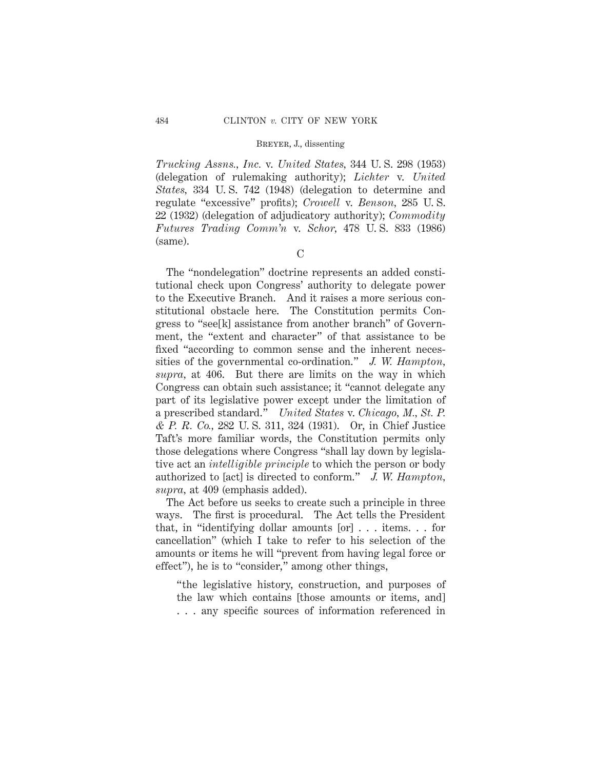*Trucking Assns., Inc.* v. *United States,* 344 U. S. 298 (1953) (delegation of rulemaking authority); *Lichter* v. *United States,* 334 U. S. 742 (1948) (delegation to determine and regulate "excessive" profits); *Crowell* v. *Benson,* 285 U. S. 22 (1932) (delegation of adjudicatory authority); *Commodity Futures Trading Comm'n* v. *Schor,* 478 U. S. 833 (1986) (same).

 $\mathcal{C}$ 

The "nondelegation" doctrine represents an added constitutional check upon Congress' authority to delegate power to the Executive Branch. And it raises a more serious constitutional obstacle here. The Constitution permits Congress to "see[k] assistance from another branch" of Government, the "extent and character" of that assistance to be fixed "according to common sense and the inherent necessities of the governmental co-ordination." *J. W. Hampton, supra,* at 406. But there are limits on the way in which Congress can obtain such assistance; it "cannot delegate any part of its legislative power except under the limitation of a prescribed standard." *United States* v. *Chicago, M., St. P. & P. R. Co.,* 282 U. S. 311, 324 (1931). Or, in Chief Justice Taft's more familiar words, the Constitution permits only those delegations where Congress "shall lay down by legislative act an *intelligible principle* to which the person or body authorized to [act] is directed to conform." *J. W. Hampton, supra,* at 409 (emphasis added).

The Act before us seeks to create such a principle in three ways. The first is procedural. The Act tells the President that, in "identifying dollar amounts [or]... items. . . for cancellation" (which I take to refer to his selection of the amounts or items he will "prevent from having legal force or effect"), he is to "consider," among other things,

"the legislative history, construction, and purposes of the law which contains [those amounts or items, and] . . . any specific sources of information referenced in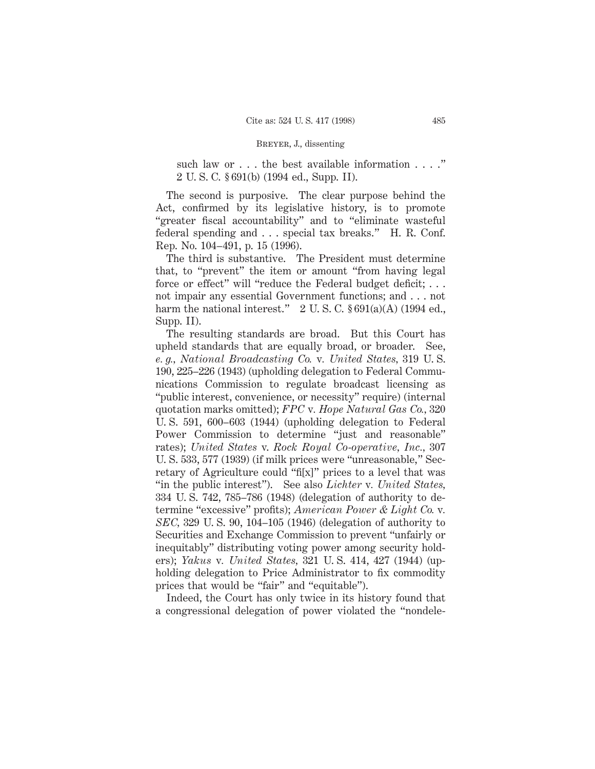such law or . . . the best available information . . . ." 2 U. S. C. § 691(b) (1994 ed., Supp. II).

The second is purposive. The clear purpose behind the Act, confirmed by its legislative history, is to promote "greater fiscal accountability" and to "eliminate wasteful federal spending and . . . special tax breaks." H. R. Conf. Rep. No. 104–491, p. 15 (1996).

The third is substantive. The President must determine that, to "prevent" the item or amount "from having legal force or effect" will "reduce the Federal budget deficit; ... not impair any essential Government functions; and . . . not harm the national interest."  $2 \text{ U.S. C. }$  \$691(a)(A) (1994 ed., Supp. II).

The resulting standards are broad. But this Court has upheld standards that are equally broad, or broader. See, *e. g., National Broadcasting Co.* v*. United States,* 319 U. S. 190, 225–226 (1943) (upholding delegation to Federal Communications Commission to regulate broadcast licensing as "public interest, convenience, or necessity" require) (internal quotation marks omitted); *FPC* v*. Hope Natural Gas Co.,* 320 U. S. 591, 600–603 (1944) (upholding delegation to Federal Power Commission to determine "just and reasonable" rates); *United States* v. *Rock Royal Co-operative, Inc.,* 307 U. S. 533, 577 (1939) (if milk prices were "unreasonable," Secretary of Agriculture could "fi[x]" prices to a level that was "in the public interest"). See also *Lichter* v*. United States,* 334 U. S. 742, 785–786 (1948) (delegation of authority to determine "excessive" profits); *American Power & Light Co.* v*. SEC,* 329 U. S. 90, 104–105 (1946) (delegation of authority to Securities and Exchange Commission to prevent "unfairly or inequitably" distributing voting power among security holders); *Yakus* v*. United States,* 321 U. S. 414, 427 (1944) (upholding delegation to Price Administrator to fix commodity prices that would be "fair" and "equitable").

Indeed, the Court has only twice in its history found that a congressional delegation of power violated the "nondele-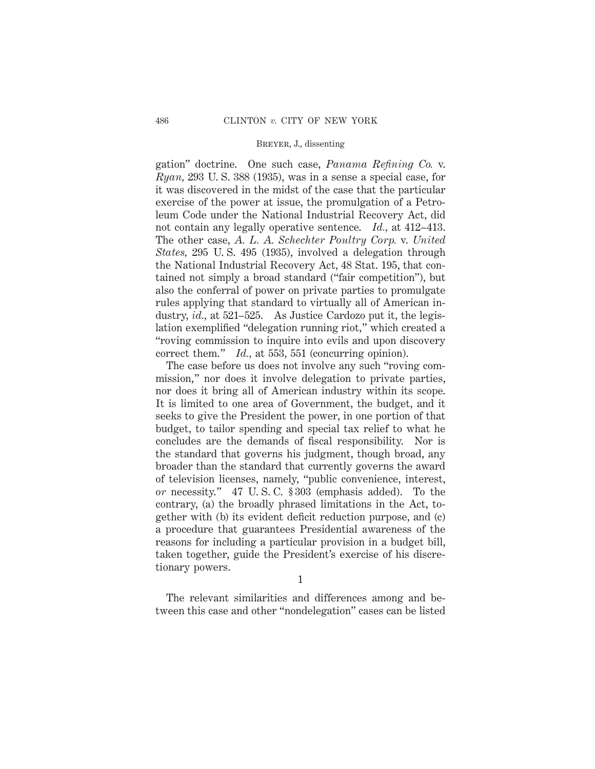gation" doctrine. One such case, *Panama Refining Co.* v. *Ryan,* 293 U. S. 388 (1935), was in a sense a special case, for it was discovered in the midst of the case that the particular exercise of the power at issue, the promulgation of a Petroleum Code under the National Industrial Recovery Act, did not contain any legally operative sentence. *Id.,* at 412–413. The other case, *A. L. A. Schechter Poultry Corp.* v. *United States,* 295 U. S. 495 (1935), involved a delegation through the National Industrial Recovery Act, 48 Stat. 195, that contained not simply a broad standard ("fair competition"), but also the conferral of power on private parties to promulgate rules applying that standard to virtually all of American industry, *id.,* at 521–525. As Justice Cardozo put it, the legislation exemplified "delegation running riot," which created a "roving commission to inquire into evils and upon discovery correct them." *Id.*, at 553, 551 (concurring opinion).

The case before us does not involve any such "roving commission," nor does it involve delegation to private parties, nor does it bring all of American industry within its scope. It is limited to one area of Government, the budget, and it seeks to give the President the power, in one portion of that budget, to tailor spending and special tax relief to what he concludes are the demands of fiscal responsibility. Nor is the standard that governs his judgment, though broad, any broader than the standard that currently governs the award of television licenses, namely, "public convenience, interest, *or* necessity." 47 U. S. C. § 303 (emphasis added). To the contrary, (a) the broadly phrased limitations in the Act, together with (b) its evident deficit reduction purpose, and (c) a procedure that guarantees Presidential awareness of the reasons for including a particular provision in a budget bill, taken together, guide the President's exercise of his discretionary powers.

The relevant similarities and differences among and between this case and other "nondelegation" cases can be listed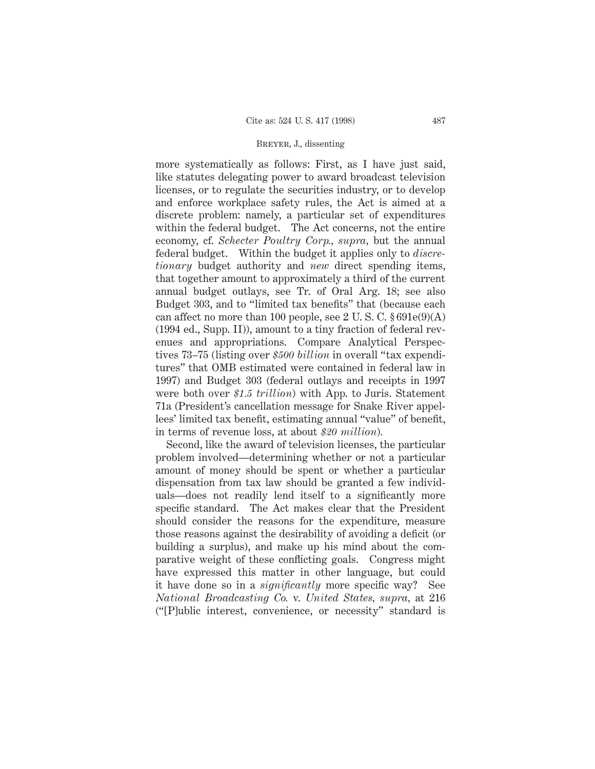more systematically as follows: First, as I have just said, like statutes delegating power to award broadcast television licenses, or to regulate the securities industry, or to develop and enforce workplace safety rules, the Act is aimed at a discrete problem: namely, a particular set of expenditures within the federal budget. The Act concerns, not the entire economy, cf. *Schecter Poultry Corp., supra,* but the annual federal budget. Within the budget it applies only to *discretionary* budget authority and *new* direct spending items, that together amount to approximately a third of the current annual budget outlays, see Tr. of Oral Arg. 18; see also Budget 303, and to "limited tax benefits" that (because each can affect no more than 100 people, see 2 U.S.C.  $\S 691e(9)$ (A) (1994 ed., Supp. II)), amount to a tiny fraction of federal revenues and appropriations. Compare Analytical Perspectives 73–75 (listing over *\$500 billion* in overall "tax expenditures" that OMB estimated were contained in federal law in 1997) and Budget 303 (federal outlays and receipts in 1997 were both over *\$1.5 trillion*) with App. to Juris. Statement 71a (President's cancellation message for Snake River appellees' limited tax benefit, estimating annual "value" of benefit, in terms of revenue loss, at about *\$20 million*)*.*

Second, like the award of television licenses, the particular problem involved—determining whether or not a particular amount of money should be spent or whether a particular dispensation from tax law should be granted a few individuals—does not readily lend itself to a significantly more specific standard. The Act makes clear that the President should consider the reasons for the expenditure, measure those reasons against the desirability of avoiding a deficit (or building a surplus), and make up his mind about the comparative weight of these conflicting goals. Congress might have expressed this matter in other language, but could it have done so in a *significantly* more specific way? See *National Broadcasting Co.* v. *United States, supra,* at 216 ("[P]ublic interest, convenience, or necessity" standard is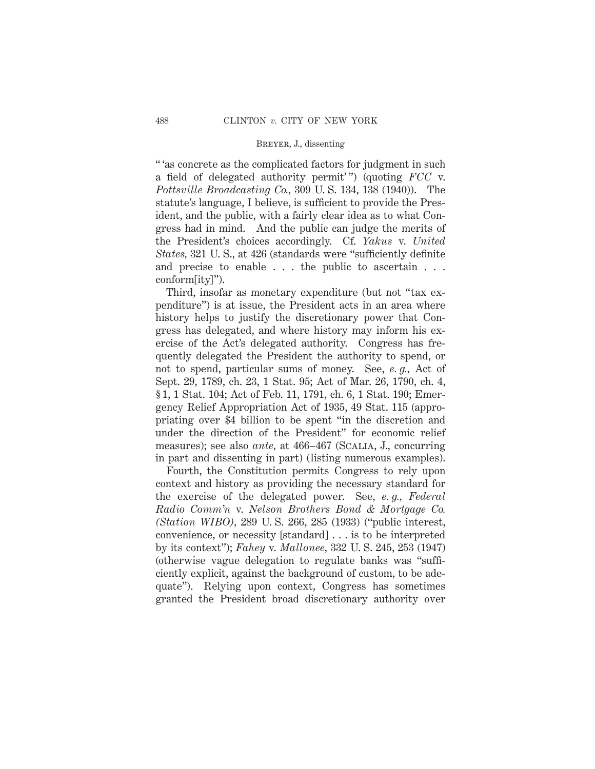" 'as concrete as the complicated factors for judgment in such a field of delegated authority permit' ") (quoting *FCC* v. *Pottsville Broadcasting Co.,* 309 U. S. 134, 138 (1940)). The statute's language, I believe, is sufficient to provide the President, and the public, with a fairly clear idea as to what Congress had in mind. And the public can judge the merits of the President's choices accordingly. Cf. *Yakus* v. *United States,* 321 U. S., at 426 (standards were "sufficiently definite and precise to enable . . . the public to ascertain . . . conform[ity]").

Third, insofar as monetary expenditure (but not "tax expenditure") is at issue, the President acts in an area where history helps to justify the discretionary power that Congress has delegated, and where history may inform his exercise of the Act's delegated authority. Congress has frequently delegated the President the authority to spend, or not to spend, particular sums of money. See, *e. g.,* Act of Sept. 29, 1789, ch. 23, 1 Stat. 95; Act of Mar. 26, 1790, ch. 4, § 1, 1 Stat. 104; Act of Feb. 11, 1791, ch. 6, 1 Stat. 190; Emergency Relief Appropriation Act of 1935, 49 Stat. 115 (appropriating over \$4 billion to be spent "in the discretion and under the direction of the President" for economic relief measures); see also *ante,* at 466–467 (Scalia, J., concurring in part and dissenting in part) (listing numerous examples).

Fourth, the Constitution permits Congress to rely upon context and history as providing the necessary standard for the exercise of the delegated power. See, *e. g., Federal Radio Comm'n* v. *Nelson Brothers Bond & Mortgage Co. (Station WIBO),* 289 U. S. 266, 285 (1933) ("public interest, convenience, or necessity [standard] . . . is to be interpreted by its context"); *Fahey* v. *Mallonee,* 332 U. S. 245, 253 (1947) (otherwise vague delegation to regulate banks was "sufficiently explicit, against the background of custom, to be adequate"). Relying upon context, Congress has sometimes granted the President broad discretionary authority over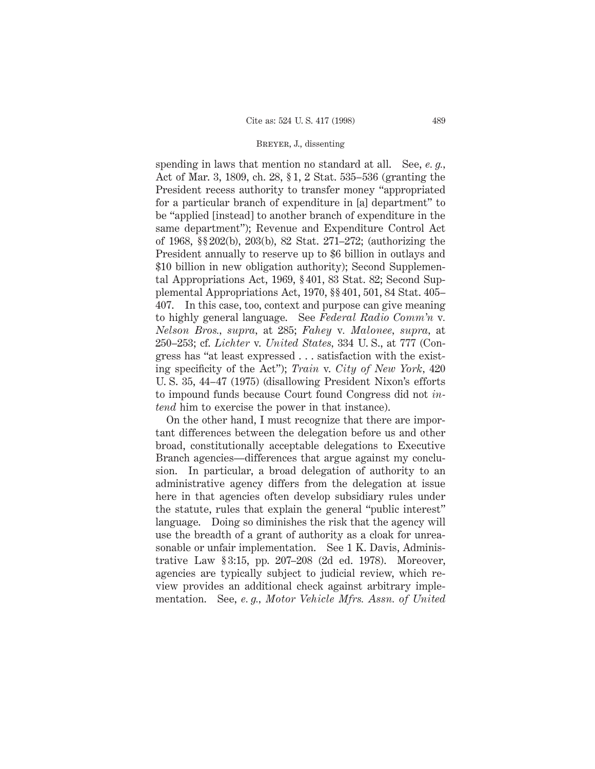spending in laws that mention no standard at all. See, *e. g.,* Act of Mar. 3, 1809, ch. 28, § 1, 2 Stat. 535–536 (granting the President recess authority to transfer money "appropriated for a particular branch of expenditure in [a] department" to be "applied [instead] to another branch of expenditure in the same department"); Revenue and Expenditure Control Act of 1968, §§ 202(b), 203(b), 82 Stat. 271–272; (authorizing the President annually to reserve up to \$6 billion in outlays and \$10 billion in new obligation authority); Second Supplemental Appropriations Act, 1969, § 401, 83 Stat. 82; Second Supplemental Appropriations Act, 1970, §§ 401, 501, 84 Stat. 405– 407. In this case, too, context and purpose can give meaning to highly general language. See *Federal Radio Comm'n* v*. Nelson Bros., supra,* at 285; *Fahey* v*. Malonee, supra,* at 250–253; cf. *Lichter* v. *United States,* 334 U. S., at 777 (Congress has "at least expressed . . . satisfaction with the existing specificity of the Act"); *Train* v. *City of New York,* 420 U. S. 35, 44–47 (1975) (disallowing President Nixon's efforts to impound funds because Court found Congress did not *intend* him to exercise the power in that instance).

On the other hand, I must recognize that there are important differences between the delegation before us and other broad, constitutionally acceptable delegations to Executive Branch agencies—differences that argue against my conclusion. In particular, a broad delegation of authority to an administrative agency differs from the delegation at issue here in that agencies often develop subsidiary rules under the statute, rules that explain the general "public interest" language. Doing so diminishes the risk that the agency will use the breadth of a grant of authority as a cloak for unreasonable or unfair implementation. See 1 K. Davis, Administrative Law § 3:15, pp. 207–208 (2d ed. 1978). Moreover, agencies are typically subject to judicial review, which review provides an additional check against arbitrary implementation. See, *e. g., Motor Vehicle Mfrs. Assn. of United*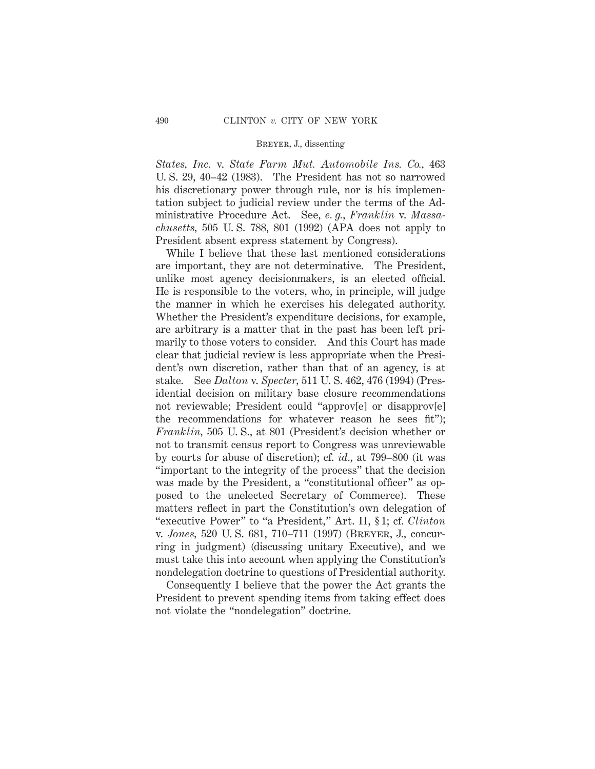*States, Inc.* v. *State Farm Mut. Automobile Ins. Co.,* 463 U. S. 29, 40–42 (1983). The President has not so narrowed his discretionary power through rule, nor is his implementation subject to judicial review under the terms of the Administrative Procedure Act. See, *e. g.*, *Franklin* v. *Massachusetts,* 505 U. S. 788, 801 (1992) (APA does not apply to President absent express statement by Congress).

While I believe that these last mentioned considerations are important, they are not determinative. The President, unlike most agency decisionmakers, is an elected official. He is responsible to the voters, who, in principle, will judge the manner in which he exercises his delegated authority. Whether the President's expenditure decisions, for example, are arbitrary is a matter that in the past has been left primarily to those voters to consider. And this Court has made clear that judicial review is less appropriate when the President's own discretion, rather than that of an agency, is at stake. See *Dalton* v. *Specter,* 511 U. S. 462, 476 (1994) (Presidential decision on military base closure recommendations not reviewable; President could "approv[e] or disapprov[e] the recommendations for whatever reason he sees fit"); *Franklin,* 505 U. S., at 801 (President's decision whether or not to transmit census report to Congress was unreviewable by courts for abuse of discretion); cf. *id.,* at 799–800 (it was "important to the integrity of the process" that the decision was made by the President, a "constitutional officer" as opposed to the unelected Secretary of Commerce). These matters reflect in part the Constitution's own delegation of "executive Power" to "a President," Art. II, § 1; cf. *Clinton* v. *Jones,* 520 U. S. 681, 710–711 (1997) (Breyer, J., concurring in judgment) (discussing unitary Executive), and we must take this into account when applying the Constitution's nondelegation doctrine to questions of Presidential authority.

Consequently I believe that the power the Act grants the President to prevent spending items from taking effect does not violate the "nondelegation" doctrine.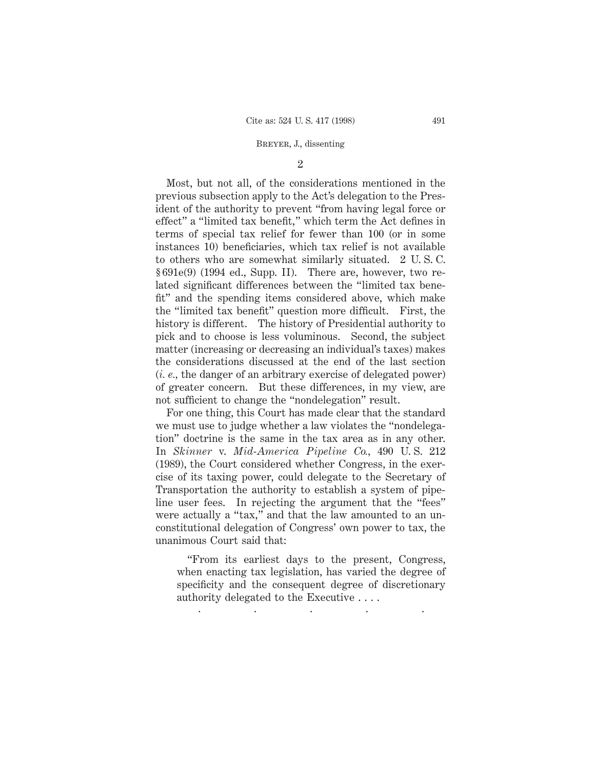#### 2

Most, but not all, of the considerations mentioned in the previous subsection apply to the Act's delegation to the President of the authority to prevent "from having legal force or effect" a "limited tax benefit," which term the Act defines in terms of special tax relief for fewer than 100 (or in some instances 10) beneficiaries, which tax relief is not available to others who are somewhat similarly situated. 2 U. S. C. § 691e(9) (1994 ed., Supp. II). There are, however, two related significant differences between the "limited tax benefit" and the spending items considered above, which make the "limited tax benefit" question more difficult. First, the history is different. The history of Presidential authority to pick and to choose is less voluminous. Second, the subject matter (increasing or decreasing an individual's taxes) makes the considerations discussed at the end of the last section (*i. e.,* the danger of an arbitrary exercise of delegated power) of greater concern. But these differences, in my view, are not sufficient to change the "nondelegation" result.

For one thing, this Court has made clear that the standard we must use to judge whether a law violates the "nondelegation" doctrine is the same in the tax area as in any other. In *Skinner* v. *Mid-America Pipeline Co.,* 490 U. S. 212 (1989), the Court considered whether Congress, in the exercise of its taxing power, could delegate to the Secretary of Transportation the authority to establish a system of pipeline user fees. In rejecting the argument that the "fees" were actually a "tax," and that the law amounted to an unconstitutional delegation of Congress' own power to tax, the unanimous Court said that:

"From its earliest days to the present, Congress, when enacting tax legislation, has varied the degree of specificity and the consequent degree of discretionary authority delegated to the Executive....

.....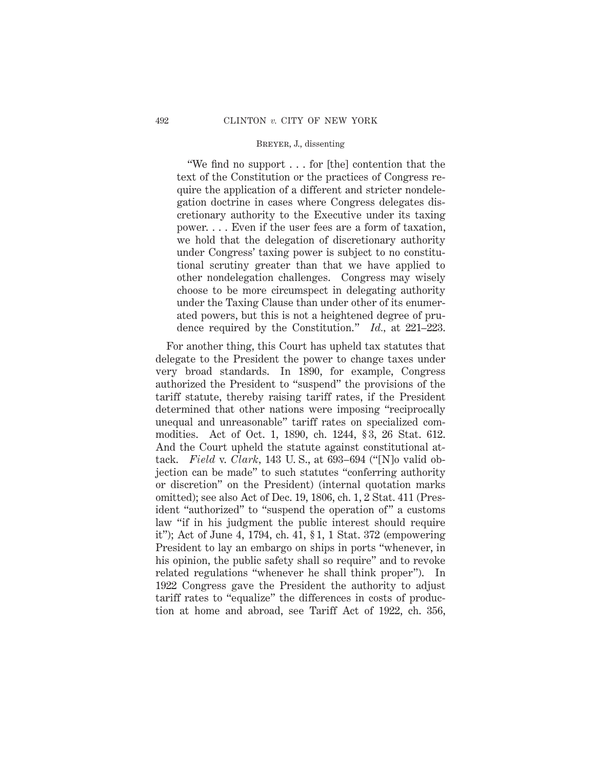"We find no support . . . for [the] contention that the text of the Constitution or the practices of Congress require the application of a different and stricter nondelegation doctrine in cases where Congress delegates discretionary authority to the Executive under its taxing power. . . . Even if the user fees are a form of taxation, we hold that the delegation of discretionary authority under Congress' taxing power is subject to no constitutional scrutiny greater than that we have applied to other nondelegation challenges. Congress may wisely choose to be more circumspect in delegating authority under the Taxing Clause than under other of its enumerated powers, but this is not a heightened degree of prudence required by the Constitution." *Id.,* at 221–223.

For another thing, this Court has upheld tax statutes that delegate to the President the power to change taxes under very broad standards. In 1890, for example, Congress authorized the President to "suspend" the provisions of the tariff statute, thereby raising tariff rates, if the President determined that other nations were imposing "reciprocally unequal and unreasonable" tariff rates on specialized commodities. Act of Oct. 1, 1890, ch. 1244, § 3, 26 Stat. 612. And the Court upheld the statute against constitutional attack. *Field* v. *Clark,* 143 U. S., at 693–694 ("[N]o valid objection can be made" to such statutes "conferring authority or discretion" on the President) (internal quotation marks omitted); see also Act of Dec. 19, 1806, ch. 1, 2 Stat. 411 (President "authorized" to "suspend the operation of" a customs law "if in his judgment the public interest should require it"); Act of June 4, 1794, ch. 41, § 1, 1 Stat. 372 (empowering President to lay an embargo on ships in ports "whenever, in his opinion, the public safety shall so require" and to revoke related regulations "whenever he shall think proper"). In 1922 Congress gave the President the authority to adjust tariff rates to "equalize" the differences in costs of production at home and abroad, see Tariff Act of 1922, ch. 356,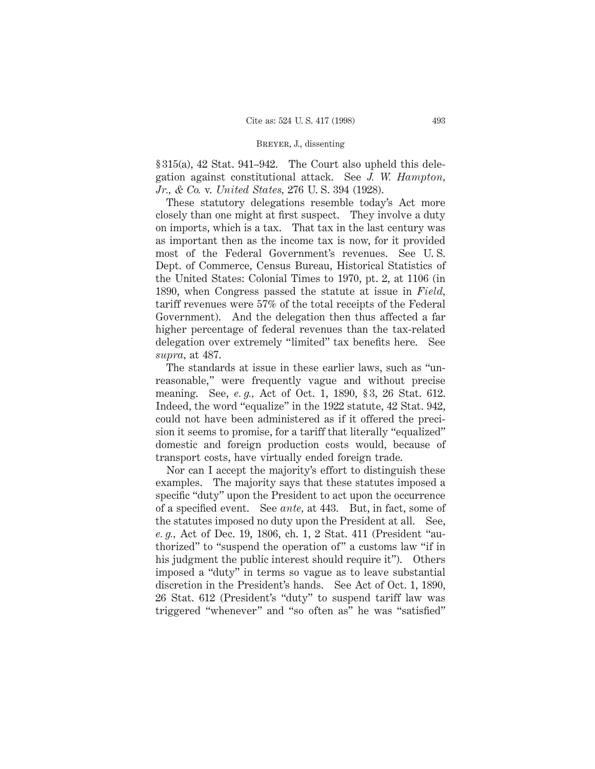§ 315(a), 42 Stat. 941–942. The Court also upheld this delegation against constitutional attack. See *J. W. Hampton, Jr., & Co.* v. *United States,* 276 U. S. 394 (1928).

These statutory delegations resemble today's Act more closely than one might at first suspect. They involve a duty on imports, which is a tax. That tax in the last century was as important then as the income tax is now, for it provided most of the Federal Government's revenues. See U. S. Dept. of Commerce, Census Bureau, Historical Statistics of the United States: Colonial Times to 1970, pt. 2, at 1106 (in 1890, when Congress passed the statute at issue in *Field,* tariff revenues were 57% of the total receipts of the Federal Government). And the delegation then thus affected a far higher percentage of federal revenues than the tax-related delegation over extremely "limited" tax benefits here. See *supra,* at 487.

The standards at issue in these earlier laws, such as "unreasonable," were frequently vague and without precise meaning. See, *e. g.,* Act of Oct. 1, 1890, § 3, 26 Stat. 612. Indeed, the word "equalize" in the 1922 statute, 42 Stat. 942, could not have been administered as if it offered the precision it seems to promise, for a tariff that literally "equalized" domestic and foreign production costs would, because of transport costs, have virtually ended foreign trade.

Nor can I accept the majority's effort to distinguish these examples. The majority says that these statutes imposed a specific "duty" upon the President to act upon the occurrence of a specified event. See *ante,* at 443. But, in fact, some of the statutes imposed no duty upon the President at all. See, *e. g.,* Act of Dec. 19, 1806, ch. 1, 2 Stat. 411 (President "authorized" to "suspend the operation of" a customs law "if in his judgment the public interest should require it"). Others imposed a "duty" in terms so vague as to leave substantial discretion in the President's hands. See Act of Oct. 1, 1890, 26 Stat. 612 (President's "duty" to suspend tariff law was triggered "whenever" and "so often as" he was "satisfied"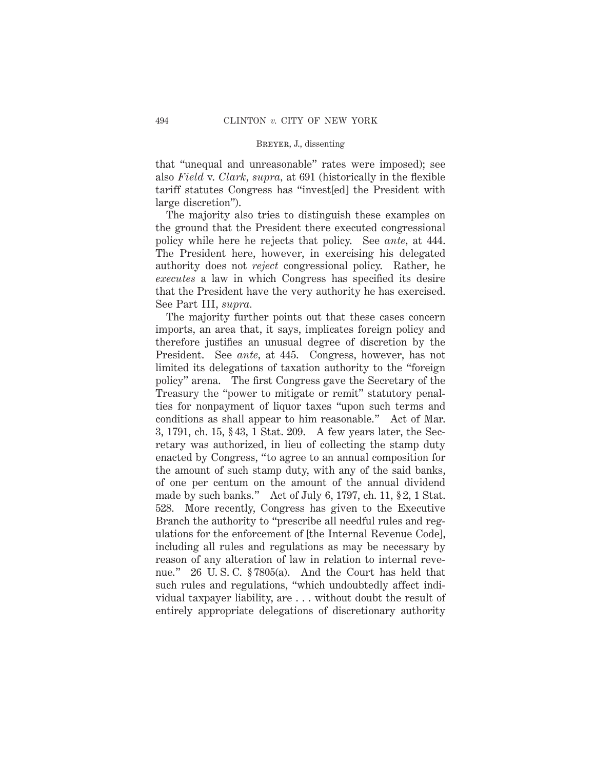that "unequal and unreasonable" rates were imposed); see also *Field* v. *Clark, supra,* at 691 (historically in the flexible tariff statutes Congress has "invest[ed] the President with large discretion").

The majority also tries to distinguish these examples on the ground that the President there executed congressional policy while here he rejects that policy. See *ante,* at 444. The President here, however, in exercising his delegated authority does not *reject* congressional policy. Rather, he *executes* a law in which Congress has specified its desire that the President have the very authority he has exercised. See Part III, *supra.*

The majority further points out that these cases concern imports, an area that, it says, implicates foreign policy and therefore justifies an unusual degree of discretion by the President. See *ante,* at 445. Congress, however, has not limited its delegations of taxation authority to the "foreign policy" arena. The first Congress gave the Secretary of the Treasury the "power to mitigate or remit" statutory penalties for nonpayment of liquor taxes "upon such terms and conditions as shall appear to him reasonable." Act of Mar. 3, 1791, ch. 15, § 43, 1 Stat. 209. A few years later, the Secretary was authorized, in lieu of collecting the stamp duty enacted by Congress, "to agree to an annual composition for the amount of such stamp duty, with any of the said banks, of one per centum on the amount of the annual dividend made by such banks." Act of July 6, 1797, ch. 11, § 2, 1 Stat. 528. More recently, Congress has given to the Executive Branch the authority to "prescribe all needful rules and regulations for the enforcement of [the Internal Revenue Code], including all rules and regulations as may be necessary by reason of any alteration of law in relation to internal revenue." 26 U. S. C. § 7805(a). And the Court has held that such rules and regulations, "which undoubtedly affect individual taxpayer liability, are . . . without doubt the result of entirely appropriate delegations of discretionary authority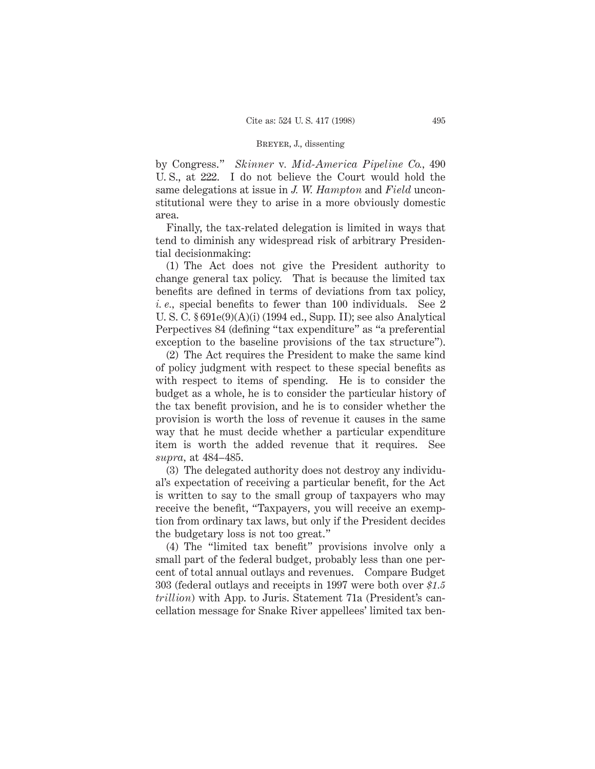by Congress." *Skinner* v*. Mid-America Pipeline Co.,* 490 U. S., at 222. I do not believe the Court would hold the same delegations at issue in *J. W. Hampton* and *Field* unconstitutional were they to arise in a more obviously domestic area.

Finally, the tax-related delegation is limited in ways that tend to diminish any widespread risk of arbitrary Presidential decisionmaking:

(1) The Act does not give the President authority to change general tax policy. That is because the limited tax benefits are defined in terms of deviations from tax policy, *i. e.,* special benefits to fewer than 100 individuals. See 2 U. S. C. § 691e(9)(A)(i) (1994 ed., Supp. II); see also Analytical Perpectives 84 (defining "tax expenditure" as "a preferential exception to the baseline provisions of the tax structure").

(2) The Act requires the President to make the same kind of policy judgment with respect to these special benefits as with respect to items of spending. He is to consider the budget as a whole, he is to consider the particular history of the tax benefit provision, and he is to consider whether the provision is worth the loss of revenue it causes in the same way that he must decide whether a particular expenditure item is worth the added revenue that it requires. See *supra,* at 484–485.

(3) The delegated authority does not destroy any individual's expectation of receiving a particular benefit, for the Act is written to say to the small group of taxpayers who may receive the benefit, "Taxpayers, you will receive an exemption from ordinary tax laws, but only if the President decides the budgetary loss is not too great."

(4) The "limited tax benefit" provisions involve only a small part of the federal budget, probably less than one percent of total annual outlays and revenues. Compare Budget 303 (federal outlays and receipts in 1997 were both over *\$1.5 trillion*) with App. to Juris. Statement 71a (President's cancellation message for Snake River appellees' limited tax ben-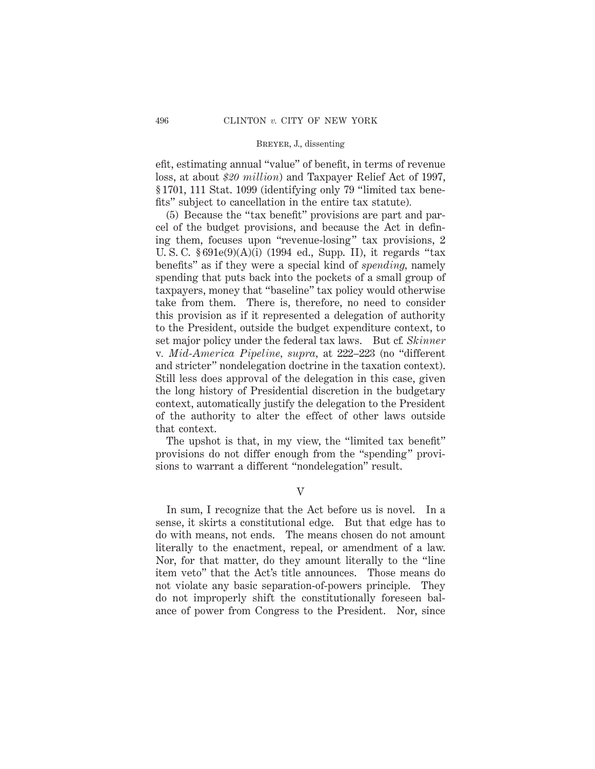efit, estimating annual "value" of benefit, in terms of revenue loss, at about *\$20 million*) and Taxpayer Relief Act of 1997, § 1701, 111 Stat. 1099 (identifying only 79 "limited tax benefits" subject to cancellation in the entire tax statute)*.*

(5) Because the "tax benefit" provisions are part and parcel of the budget provisions, and because the Act in defining them, focuses upon "revenue-losing" tax provisions, 2 U. S. C. § 691e(9)(A)(i) (1994 ed., Supp. II), it regards "tax benefits" as if they were a special kind of *spending,* namely spending that puts back into the pockets of a small group of taxpayers, money that "baseline" tax policy would otherwise take from them. There is, therefore, no need to consider this provision as if it represented a delegation of authority to the President, outside the budget expenditure context, to set major policy under the federal tax laws. But cf*. Skinner* v*. Mid-America Pipeline, supra,* at 222–223 (no "different and stricter" nondelegation doctrine in the taxation context). Still less does approval of the delegation in this case, given the long history of Presidential discretion in the budgetary context, automatically justify the delegation to the President of the authority to alter the effect of other laws outside that context.

The upshot is that, in my view, the "limited tax benefit" provisions do not differ enough from the "spending" provisions to warrant a different "nondelegation" result.

V

In sum, I recognize that the Act before us is novel. In a sense, it skirts a constitutional edge. But that edge has to do with means, not ends. The means chosen do not amount literally to the enactment, repeal, or amendment of a law. Nor, for that matter, do they amount literally to the "line item veto" that the Act's title announces. Those means do not violate any basic separation-of-powers principle. They do not improperly shift the constitutionally foreseen balance of power from Congress to the President. Nor, since